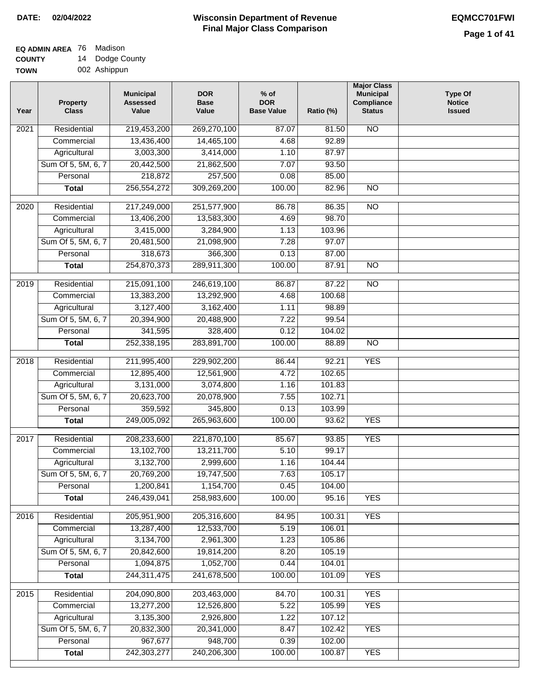#### **EQ ADMIN AREA** 76 Madison **COUNTY** 14 Dodge County

**TOWN** 002 Ashippun

| Year              | <b>Property</b><br><b>Class</b> | <b>Municipal</b><br><b>Assessed</b><br>Value | <b>DOR</b><br><b>Base</b><br>Value | $%$ of<br><b>DOR</b><br><b>Base Value</b> | Ratio (%) | <b>Major Class</b><br><b>Municipal</b><br>Compliance<br><b>Status</b> | <b>Type Of</b><br><b>Notice</b><br><b>Issued</b> |
|-------------------|---------------------------------|----------------------------------------------|------------------------------------|-------------------------------------------|-----------|-----------------------------------------------------------------------|--------------------------------------------------|
| 2021              | Residential                     | 219,453,200                                  | 269,270,100                        | 87.07                                     | 81.50     | <b>NO</b>                                                             |                                                  |
|                   | Commercial                      | 13,436,400                                   | 14,465,100                         | 4.68                                      | 92.89     |                                                                       |                                                  |
|                   | Agricultural                    | 3,003,300                                    | 3,414,000                          | 1.10                                      | 87.97     |                                                                       |                                                  |
|                   | Sum Of 5, 5M, 6, 7              | 20,442,500                                   | 21,862,500                         | 7.07                                      | 93.50     |                                                                       |                                                  |
|                   | Personal                        | 218,872                                      | 257,500                            | 0.08                                      | 85.00     |                                                                       |                                                  |
|                   | <b>Total</b>                    | 256,554,272                                  | 309,269,200                        | 100.00                                    | 82.96     | $\overline{NO}$                                                       |                                                  |
| $\overline{2020}$ | Residential                     | 217,249,000                                  | 251,577,900                        | 86.78                                     | 86.35     | $\overline{10}$                                                       |                                                  |
|                   | Commercial                      | 13,406,200                                   | 13,583,300                         | 4.69                                      | 98.70     |                                                                       |                                                  |
|                   | Agricultural                    | 3,415,000                                    | 3,284,900                          | 1.13                                      | 103.96    |                                                                       |                                                  |
|                   | Sum Of 5, 5M, 6, 7              | 20,481,500                                   | 21,098,900                         | 7.28                                      | 97.07     |                                                                       |                                                  |
|                   | Personal                        | 318,673                                      | 366,300                            | 0.13                                      | 87.00     |                                                                       |                                                  |
|                   | <b>Total</b>                    | 254,870,373                                  | 289,911,300                        | 100.00                                    | 87.91     | <b>NO</b>                                                             |                                                  |
|                   |                                 |                                              |                                    |                                           |           |                                                                       |                                                  |
| $\frac{1}{2019}$  | Residential                     | 215,091,100                                  | 246,619,100                        | 86.87                                     | 87.22     | $\overline{NO}$                                                       |                                                  |
|                   | Commercial                      | 13,383,200                                   | 13,292,900                         | 4.68                                      | 100.68    |                                                                       |                                                  |
|                   | Agricultural                    | 3,127,400                                    | 3,162,400                          | 1.11                                      | 98.89     |                                                                       |                                                  |
|                   | Sum Of 5, 5M, 6, 7              | 20,394,900                                   | 20,488,900                         | 7.22                                      | 99.54     |                                                                       |                                                  |
|                   | Personal                        | 341,595                                      | 328,400                            | 0.12                                      | 104.02    |                                                                       |                                                  |
|                   | <b>Total</b>                    | 252,338,195                                  | 283,891,700                        | 100.00                                    | 88.89     | $\overline{NO}$                                                       |                                                  |
| 2018              | Residential                     | 211,995,400                                  | 229,902,200                        | 86.44                                     | 92.21     | <b>YES</b>                                                            |                                                  |
|                   | Commercial                      | 12,895,400                                   | 12,561,900                         | 4.72                                      | 102.65    |                                                                       |                                                  |
|                   | Agricultural                    | 3,131,000                                    | 3,074,800                          | 1.16                                      | 101.83    |                                                                       |                                                  |
|                   | Sum Of 5, 5M, 6, 7              | 20,623,700                                   | 20,078,900                         | 7.55                                      | 102.71    |                                                                       |                                                  |
|                   | Personal                        | 359,592                                      | 345,800                            | 0.13                                      | 103.99    |                                                                       |                                                  |
|                   | <b>Total</b>                    | 249,005,092                                  | 265,963,600                        | 100.00                                    | 93.62     | <b>YES</b>                                                            |                                                  |
| 2017              | Residential                     | 208,233,600                                  | 221,870,100                        | 85.67                                     | 93.85     | <b>YES</b>                                                            |                                                  |
|                   | Commercial                      | 13,102,700                                   | 13,211,700                         | 5.10                                      | 99.17     |                                                                       |                                                  |
|                   | Agricultural                    | 3,132,700                                    | 2,999,600                          | 1.16                                      | 104.44    |                                                                       |                                                  |
|                   | Sum Of 5, 5M, 6, 7              | 20,769,200                                   | 19,747,500                         | 7.63                                      | 105.17    |                                                                       |                                                  |
|                   | Personal                        | 1,200,841                                    | 1,154,700                          | 0.45                                      | 104.00    |                                                                       |                                                  |
|                   | <b>Total</b>                    | 246,439,041                                  | 258,983,600                        | 100.00                                    | 95.16     | <b>YES</b>                                                            |                                                  |
| 2016              | Residential                     | 205,951,900                                  | 205,316,600                        | 84.95                                     | 100.31    | <b>YES</b>                                                            |                                                  |
|                   | Commercial                      | 13,287,400                                   | 12,533,700                         | 5.19                                      | 106.01    |                                                                       |                                                  |
|                   | Agricultural                    | 3,134,700                                    | 2,961,300                          | 1.23                                      | 105.86    |                                                                       |                                                  |
|                   | Sum Of 5, 5M, 6, 7              | 20,842,600                                   | 19,814,200                         | 8.20                                      | 105.19    |                                                                       |                                                  |
|                   | Personal                        | 1,094,875                                    | 1,052,700                          | 0.44                                      | 104.01    |                                                                       |                                                  |
|                   | <b>Total</b>                    | 244,311,475                                  | 241,678,500                        | 100.00                                    | 101.09    | <b>YES</b>                                                            |                                                  |
| 2015              | Residential                     | 204,090,800                                  | 203,463,000                        | 84.70                                     | 100.31    | <b>YES</b>                                                            |                                                  |
|                   | Commercial                      | 13,277,200                                   | 12,526,800                         | 5.22                                      | 105.99    | <b>YES</b>                                                            |                                                  |
|                   | Agricultural                    | 3,135,300                                    | 2,926,800                          | 1.22                                      | 107.12    |                                                                       |                                                  |
|                   | Sum Of 5, 5M, 6, 7              | 20,832,300                                   | 20,341,000                         | 8.47                                      | 102.42    | <b>YES</b>                                                            |                                                  |
|                   | Personal                        | 967,677                                      | 948,700                            | 0.39                                      | 102.00    |                                                                       |                                                  |
|                   | <b>Total</b>                    | 242,303,277                                  | 240,206,300                        | 100.00                                    | 100.87    | <b>YES</b>                                                            |                                                  |
|                   |                                 |                                              |                                    |                                           |           |                                                                       |                                                  |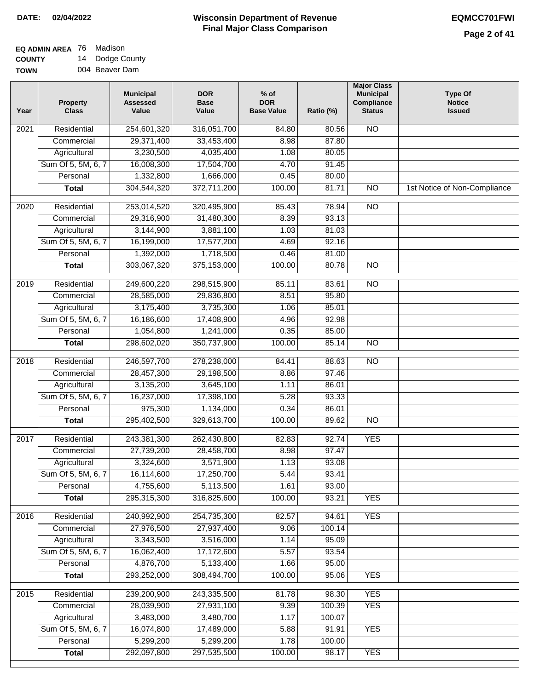## **Wisconsin Department of Revenue DATE: 02/04/2022 EQMCC701FWI Final Major Class Comparison**

| <b>EQ ADMIN AREA 76 Madison</b> |    |              |
|---------------------------------|----|--------------|
| <b>COUNTY</b>                   | 14 | Dodge County |
|                                 |    |              |

**TOWN** 004 Beaver Dam

| 254,601,320<br><b>NO</b><br>2021<br>Residential<br>316,051,700<br>84.80<br>80.56<br>29,371,400<br>33,453,400<br>8.98<br>87.80<br>Commercial<br>3,230,500<br>Agricultural<br>4,035,400<br>1.08<br>80.05<br>Sum Of 5, 5M, 6, 7<br>16,008,300<br>17,504,700<br>4.70<br>91.45<br>1,332,800<br>1,666,000<br>Personal<br>0.45<br>80.00<br>304,544,320<br>372,711,200<br>100.00<br>$\overline{NO}$<br><b>Total</b><br>81.71<br>1st Notice of Non-Compliance<br>2020<br>Residential<br>253,014,520<br>320,495,900<br>85.43<br>78.94<br>$\overline{NO}$<br>29,316,900<br>31,480,300<br>8.39<br>93.13<br>Commercial<br>Agricultural<br>3,144,900<br>3,881,100<br>1.03<br>81.03 |  |
|----------------------------------------------------------------------------------------------------------------------------------------------------------------------------------------------------------------------------------------------------------------------------------------------------------------------------------------------------------------------------------------------------------------------------------------------------------------------------------------------------------------------------------------------------------------------------------------------------------------------------------------------------------------------|--|
|                                                                                                                                                                                                                                                                                                                                                                                                                                                                                                                                                                                                                                                                      |  |
|                                                                                                                                                                                                                                                                                                                                                                                                                                                                                                                                                                                                                                                                      |  |
|                                                                                                                                                                                                                                                                                                                                                                                                                                                                                                                                                                                                                                                                      |  |
|                                                                                                                                                                                                                                                                                                                                                                                                                                                                                                                                                                                                                                                                      |  |
|                                                                                                                                                                                                                                                                                                                                                                                                                                                                                                                                                                                                                                                                      |  |
|                                                                                                                                                                                                                                                                                                                                                                                                                                                                                                                                                                                                                                                                      |  |
|                                                                                                                                                                                                                                                                                                                                                                                                                                                                                                                                                                                                                                                                      |  |
|                                                                                                                                                                                                                                                                                                                                                                                                                                                                                                                                                                                                                                                                      |  |
|                                                                                                                                                                                                                                                                                                                                                                                                                                                                                                                                                                                                                                                                      |  |
| Sum Of 5, 5M, 6, 7<br>16,199,000<br>17,577,200<br>4.69<br>92.16                                                                                                                                                                                                                                                                                                                                                                                                                                                                                                                                                                                                      |  |
| 1,392,000<br>1,718,500<br>81.00<br>Personal<br>0.46                                                                                                                                                                                                                                                                                                                                                                                                                                                                                                                                                                                                                  |  |
| 375,153,000<br>303,067,320<br>100.00<br><b>NO</b><br>80.78<br><b>Total</b>                                                                                                                                                                                                                                                                                                                                                                                                                                                                                                                                                                                           |  |
| 2019<br>Residential<br>249,600,220<br>298,515,900<br>85.11<br>83.61<br>$\overline{NO}$                                                                                                                                                                                                                                                                                                                                                                                                                                                                                                                                                                               |  |
| 28,585,000<br>8.51<br>95.80<br>Commercial<br>29,836,800                                                                                                                                                                                                                                                                                                                                                                                                                                                                                                                                                                                                              |  |
| 3,175,400<br>3,735,300<br>1.06<br>85.01<br>Agricultural                                                                                                                                                                                                                                                                                                                                                                                                                                                                                                                                                                                                              |  |
| 16,186,600<br>Sum Of 5, 5M, 6, 7<br>17,408,900<br>4.96<br>92.98                                                                                                                                                                                                                                                                                                                                                                                                                                                                                                                                                                                                      |  |
| 1,054,800<br>1,241,000<br>Personal<br>0.35<br>85.00                                                                                                                                                                                                                                                                                                                                                                                                                                                                                                                                                                                                                  |  |
| 298,602,020<br>350,737,900<br>100.00<br>85.14<br>$\overline{NO}$<br><b>Total</b>                                                                                                                                                                                                                                                                                                                                                                                                                                                                                                                                                                                     |  |
| Residential<br>246,597,700<br>278,238,000<br>$\overline{NO}$<br>2018<br>84.41<br>88.63                                                                                                                                                                                                                                                                                                                                                                                                                                                                                                                                                                               |  |
| 29,198,500<br>97.46<br>Commercial<br>28,457,300<br>8.86                                                                                                                                                                                                                                                                                                                                                                                                                                                                                                                                                                                                              |  |
| 3,135,200<br>3,645,100<br>86.01<br>Agricultural<br>1.11                                                                                                                                                                                                                                                                                                                                                                                                                                                                                                                                                                                                              |  |
| 16,237,000<br>Sum Of 5, 5M, 6, 7<br>17,398,100<br>5.28<br>93.33                                                                                                                                                                                                                                                                                                                                                                                                                                                                                                                                                                                                      |  |
| Personal<br>975,300<br>1,134,000<br>0.34<br>86.01                                                                                                                                                                                                                                                                                                                                                                                                                                                                                                                                                                                                                    |  |
| 295,402,500<br>329,613,700<br>100.00<br><b>NO</b><br>89.62<br><b>Total</b>                                                                                                                                                                                                                                                                                                                                                                                                                                                                                                                                                                                           |  |
|                                                                                                                                                                                                                                                                                                                                                                                                                                                                                                                                                                                                                                                                      |  |
| Residential<br>243,381,300<br>262,430,800<br>92.74<br><b>YES</b><br>2017<br>82.83                                                                                                                                                                                                                                                                                                                                                                                                                                                                                                                                                                                    |  |
| Commercial<br>27,739,200<br>28,458,700<br>8.98<br>97.47                                                                                                                                                                                                                                                                                                                                                                                                                                                                                                                                                                                                              |  |
| 3,324,600<br>3,571,900<br>1.13<br>93.08<br>Agricultural                                                                                                                                                                                                                                                                                                                                                                                                                                                                                                                                                                                                              |  |
| 17,250,700<br>Sum Of 5, 5M, 6, 7<br>16,114,600<br>93.41<br>5.44                                                                                                                                                                                                                                                                                                                                                                                                                                                                                                                                                                                                      |  |
| Personal<br>4,755,600<br>5,113,500<br>1.61<br>93.00                                                                                                                                                                                                                                                                                                                                                                                                                                                                                                                                                                                                                  |  |
| 295,315,300<br>316,825,600<br>100.00<br>93.21<br><b>YES</b><br><b>Total</b>                                                                                                                                                                                                                                                                                                                                                                                                                                                                                                                                                                                          |  |
| <b>YES</b><br>Residential<br>240,992,900<br>254,735,300<br>2016<br>82.57<br>94.61                                                                                                                                                                                                                                                                                                                                                                                                                                                                                                                                                                                    |  |
| Commercial<br>27,976,500<br>27,937,400<br>9.06<br>100.14                                                                                                                                                                                                                                                                                                                                                                                                                                                                                                                                                                                                             |  |
| 3,343,500<br>3,516,000<br>Agricultural<br>1.14<br>95.09                                                                                                                                                                                                                                                                                                                                                                                                                                                                                                                                                                                                              |  |
| Sum Of 5, 5M, 6, 7<br>17,172,600<br>5.57<br>16,062,400<br>93.54                                                                                                                                                                                                                                                                                                                                                                                                                                                                                                                                                                                                      |  |
| 4,876,700<br>5,133,400<br>1.66<br>95.00<br>Personal                                                                                                                                                                                                                                                                                                                                                                                                                                                                                                                                                                                                                  |  |
| 293,252,000<br>308,494,700<br>100.00<br>95.06<br><b>YES</b><br><b>Total</b>                                                                                                                                                                                                                                                                                                                                                                                                                                                                                                                                                                                          |  |
| <b>YES</b><br>Residential<br>239,200,900<br>243,335,500<br>81.78<br>98.30<br>2015                                                                                                                                                                                                                                                                                                                                                                                                                                                                                                                                                                                    |  |
| 28,039,900<br>27,931,100<br>9.39<br>100.39<br><b>YES</b><br>Commercial                                                                                                                                                                                                                                                                                                                                                                                                                                                                                                                                                                                               |  |
| 3,483,000<br>3,480,700<br>100.07<br>Agricultural<br>1.17                                                                                                                                                                                                                                                                                                                                                                                                                                                                                                                                                                                                             |  |
| Sum Of 5, 5M, 6, 7<br>16,074,800<br>17,489,000<br>5.88<br><b>YES</b><br>91.91                                                                                                                                                                                                                                                                                                                                                                                                                                                                                                                                                                                        |  |
| 5,299,200<br>5,299,200<br>Personal<br>1.78<br>100.00                                                                                                                                                                                                                                                                                                                                                                                                                                                                                                                                                                                                                 |  |
| 292,097,800<br>297,535,500<br>100.00<br><b>YES</b><br><b>Total</b><br>98.17                                                                                                                                                                                                                                                                                                                                                                                                                                                                                                                                                                                          |  |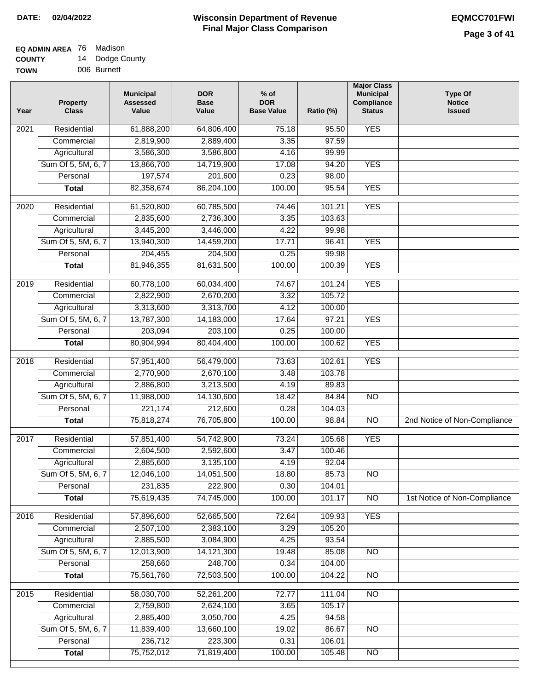| TOWN | 006 Burnett |  |
|------|-------------|--|
|      |             |  |

| Year | <b>Property</b><br><b>Class</b> | <b>Municipal</b><br><b>Assessed</b><br>Value | <b>DOR</b><br><b>Base</b><br>Value | $%$ of<br><b>DOR</b><br><b>Base Value</b> | Ratio (%) | <b>Major Class</b><br><b>Municipal</b><br>Compliance<br><b>Status</b> | <b>Type Of</b><br><b>Notice</b><br><b>Issued</b> |
|------|---------------------------------|----------------------------------------------|------------------------------------|-------------------------------------------|-----------|-----------------------------------------------------------------------|--------------------------------------------------|
| 2021 | Residential                     | 61,888,200                                   | 64,806,400                         | 75.18                                     | 95.50     | <b>YES</b>                                                            |                                                  |
|      | Commercial                      | 2,819,900                                    | 2,889,400                          | 3.35                                      | 97.59     |                                                                       |                                                  |
|      | Agricultural                    | 3,586,300                                    | 3,586,800                          | 4.16                                      | 99.99     |                                                                       |                                                  |
|      | Sum Of 5, 5M, 6, 7              | 13,866,700                                   | 14,719,900                         | 17.08                                     | 94.20     | <b>YES</b>                                                            |                                                  |
|      | Personal                        | 197,574                                      | 201,600                            | 0.23                                      | 98.00     |                                                                       |                                                  |
|      | <b>Total</b>                    | 82,358,674                                   | 86,204,100                         | 100.00                                    | 95.54     | <b>YES</b>                                                            |                                                  |
| 2020 | Residential                     | 61,520,800                                   | 60,785,500                         | 74.46                                     | 101.21    | <b>YES</b>                                                            |                                                  |
|      | Commercial                      | 2,835,600                                    | 2,736,300                          | 3.35                                      | 103.63    |                                                                       |                                                  |
|      | Agricultural                    | 3,445,200                                    | 3,446,000                          | 4.22                                      | 99.98     |                                                                       |                                                  |
|      | Sum Of 5, 5M, 6, 7              | 13,940,300                                   | 14,459,200                         | 17.71                                     | 96.41     | <b>YES</b>                                                            |                                                  |
|      | Personal                        | 204,455                                      | 204,500                            | 0.25                                      | 99.98     |                                                                       |                                                  |
|      | <b>Total</b>                    | 81,946,355                                   | 81,631,500                         | 100.00                                    | 100.39    | <b>YES</b>                                                            |                                                  |
| 2019 | Residential                     | 60,778,100                                   | 60,034,400                         | 74.67                                     | 101.24    | <b>YES</b>                                                            |                                                  |
|      | Commercial                      | 2,822,900                                    | 2,670,200                          | 3.32                                      | 105.72    |                                                                       |                                                  |
|      | Agricultural                    | 3,313,600                                    | 3,313,700                          | 4.12                                      | 100.00    |                                                                       |                                                  |
|      | Sum Of 5, 5M, 6, 7              | 13,787,300                                   | 14,183,000                         | 17.64                                     | 97.21     | <b>YES</b>                                                            |                                                  |
|      | Personal                        | 203,094                                      | 203,100                            | 0.25                                      | 100.00    |                                                                       |                                                  |
|      | <b>Total</b>                    | 80,904,994                                   | 80,404,400                         | 100.00                                    | 100.62    | <b>YES</b>                                                            |                                                  |
| 2018 | Residential                     | 57,951,400                                   | 56,479,000                         | 73.63                                     | 102.61    | <b>YES</b>                                                            |                                                  |
|      | Commercial                      | 2,770,900                                    | 2,670,100                          | 3.48                                      | 103.78    |                                                                       |                                                  |
|      | Agricultural                    | 2,886,800                                    | 3,213,500                          | 4.19                                      | 89.83     |                                                                       |                                                  |
|      | Sum Of 5, 5M, 6, 7              | 11,988,000                                   | 14,130,600                         | 18.42                                     | 84.84     | <b>NO</b>                                                             |                                                  |
|      | Personal                        | 221,174                                      | 212,600                            | 0.28                                      | 104.03    |                                                                       |                                                  |
|      | <b>Total</b>                    | 75,818,274                                   | 76,705,800                         | 100.00                                    | 98.84     | $\overline{NO}$                                                       | 2nd Notice of Non-Compliance                     |
| 2017 | Residential                     | 57,851,400                                   | 54,742,900                         | 73.24                                     | 105.68    | <b>YES</b>                                                            |                                                  |
|      | Commercial                      | 2,604,500                                    | 2,592,600                          | 3.47                                      | 100.46    |                                                                       |                                                  |
|      | Agricultural                    | 2,885,600                                    | 3,135,100                          | 4.19                                      | 92.04     |                                                                       |                                                  |
|      | Sum Of 5, 5M, 6, 7              | 12,046,100                                   | 14,051,500                         | 18.80                                     | 85.73     | $\overline{NO}$                                                       |                                                  |
|      | Personal                        | 231,835                                      | 222,900                            | 0.30                                      | 104.01    |                                                                       |                                                  |
|      | <b>Total</b>                    | 75,619,435                                   | 74,745,000                         | 100.00                                    | 101.17    | N <sub>O</sub>                                                        | 1st Notice of Non-Compliance                     |
| 2016 | Residential                     | 57,896,600                                   | 52,665,500                         | 72.64                                     | 109.93    | <b>YES</b>                                                            |                                                  |
|      | Commercial                      | 2,507,100                                    | 2,383,100                          | 3.29                                      | 105.20    |                                                                       |                                                  |
|      | Agricultural                    | 2,885,500                                    | 3,084,900                          | 4.25                                      | 93.54     |                                                                       |                                                  |
|      | Sum Of 5, 5M, 6, 7              | 12,013,900                                   | 14, 121, 300                       | 19.48                                     | 85.08     | N <sub>O</sub>                                                        |                                                  |
|      | Personal                        | 258,660                                      | 248,700                            | 0.34                                      | 104.00    |                                                                       |                                                  |
|      | <b>Total</b>                    | 75,561,760                                   | 72,503,500                         | 100.00                                    | 104.22    | N <sub>O</sub>                                                        |                                                  |
| 2015 | Residential                     | 58,030,700                                   | 52,261,200                         | 72.77                                     | 111.04    | N <sub>O</sub>                                                        |                                                  |
|      | Commercial                      | 2,759,800                                    | 2,624,100                          | 3.65                                      | 105.17    |                                                                       |                                                  |
|      | Agricultural                    | 2,885,400                                    | 3,050,700                          | 4.25                                      | 94.58     |                                                                       |                                                  |
|      | Sum Of 5, 5M, 6, 7              | 11,839,400                                   | 13,660,100                         | 19.02                                     | 86.67     | <b>NO</b>                                                             |                                                  |
|      | Personal                        | 236,712                                      | 223,300                            | 0.31                                      | 106.01    |                                                                       |                                                  |
|      | <b>Total</b>                    | 75,752,012                                   | 71,819,400                         | 100.00                                    | 105.48    | $\overline{NO}$                                                       |                                                  |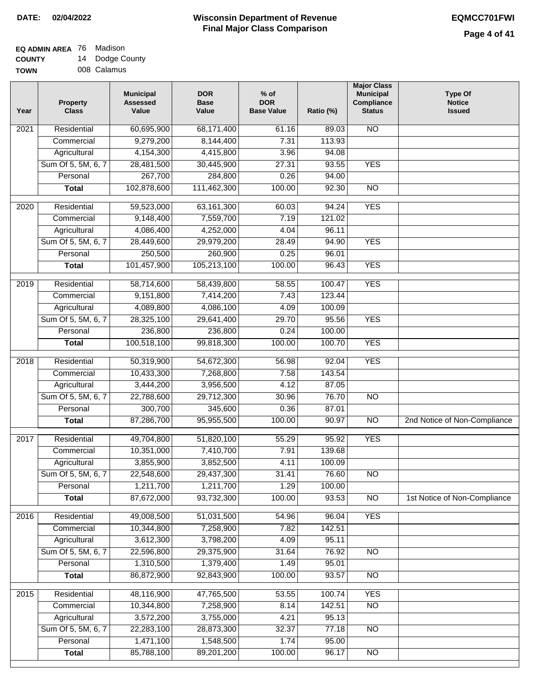#### **Wisconsin Department of Revenue Final Major Class Comparison DATE: 02/04/2022 EQMCC701FWI**

#### **EQ ADMIN AREA** 76 Madison **COUNTY** 14 Dodge County

**TOWN** 008 Calamus

| Year             | <b>Property</b><br><b>Class</b> | <b>Municipal</b><br><b>Assessed</b><br>Value | <b>DOR</b><br><b>Base</b><br>Value | $%$ of<br><b>DOR</b><br><b>Base Value</b> | Ratio (%) | <b>Major Class</b><br><b>Municipal</b><br>Compliance<br><b>Status</b> | <b>Type Of</b><br><b>Notice</b><br><b>Issued</b> |
|------------------|---------------------------------|----------------------------------------------|------------------------------------|-------------------------------------------|-----------|-----------------------------------------------------------------------|--------------------------------------------------|
| 2021             | Residential                     | 60,695,900                                   | 68,171,400                         | 61.16                                     | 89.03     | <b>NO</b>                                                             |                                                  |
|                  | Commercial                      | 9,279,200                                    | 8,144,400                          | 7.31                                      | 113.93    |                                                                       |                                                  |
|                  | Agricultural                    | 4,154,300                                    | 4,415,800                          | 3.96                                      | 94.08     |                                                                       |                                                  |
|                  | Sum Of 5, 5M, 6, 7              | 28,481,500                                   | 30,445,900                         | 27.31                                     | 93.55     | <b>YES</b>                                                            |                                                  |
|                  | Personal                        | 267,700                                      | 284,800                            | 0.26                                      | 94.00     |                                                                       |                                                  |
|                  | <b>Total</b>                    | 102,878,600                                  | 111,462,300                        | 100.00                                    | 92.30     | $\overline{NO}$                                                       |                                                  |
| $\frac{1}{2020}$ | Residential                     | 59,523,000                                   | 63,161,300                         | 60.03                                     | 94.24     | <b>YES</b>                                                            |                                                  |
|                  | Commercial                      | 9,148,400                                    | 7,559,700                          | 7.19                                      | 121.02    |                                                                       |                                                  |
|                  | Agricultural                    | 4,086,400                                    | 4,252,000                          | 4.04                                      | 96.11     |                                                                       |                                                  |
|                  | Sum Of 5, 5M, 6, 7              | 28,449,600                                   | 29,979,200                         | 28.49                                     | 94.90     | <b>YES</b>                                                            |                                                  |
|                  | Personal                        | 250,500                                      | 260,900                            | 0.25                                      | 96.01     |                                                                       |                                                  |
|                  | <b>Total</b>                    | 101,457,900                                  | 105,213,100                        | 100.00                                    | 96.43     | <b>YES</b>                                                            |                                                  |
| 2019             | Residential                     | 58,714,600                                   | 58,439,800                         | 58.55                                     | 100.47    | <b>YES</b>                                                            |                                                  |
|                  | Commercial                      | 9,151,800                                    | 7,414,200                          | 7.43                                      | 123.44    |                                                                       |                                                  |
|                  | Agricultural                    | 4,089,800                                    | 4,086,100                          | 4.09                                      | 100.09    |                                                                       |                                                  |
|                  | Sum Of 5, 5M, 6, 7              | 28,325,100                                   | 29,641,400                         | 29.70                                     | 95.56     | <b>YES</b>                                                            |                                                  |
|                  | Personal                        | 236,800                                      | 236,800                            | 0.24                                      | 100.00    |                                                                       |                                                  |
|                  | <b>Total</b>                    | 100,518,100                                  | 99,818,300                         | 100.00                                    | 100.70    | <b>YES</b>                                                            |                                                  |
| 2018             | Residential                     | 50,319,900                                   | 54,672,300                         | 56.98                                     | 92.04     | <b>YES</b>                                                            |                                                  |
|                  | Commercial                      | 10,433,300                                   | 7,268,800                          | 7.58                                      | 143.54    |                                                                       |                                                  |
|                  | Agricultural                    | 3,444,200                                    | 3,956,500                          | 4.12                                      | 87.05     |                                                                       |                                                  |
|                  | Sum Of 5, 5M, 6, 7              | 22,788,600                                   | 29,712,300                         | 30.96                                     | 76.70     | <b>NO</b>                                                             |                                                  |
|                  | Personal                        | 300,700                                      | 345,600                            | 0.36                                      | 87.01     |                                                                       |                                                  |
|                  | <b>Total</b>                    | 87,286,700                                   | 95,955,500                         | 100.00                                    | 90.97     | $\overline{10}$                                                       | 2nd Notice of Non-Compliance                     |
| 2017             | Residential                     | 49,704,800                                   | 51,820,100                         | 55.29                                     | 95.92     | <b>YES</b>                                                            |                                                  |
|                  | Commercial                      | 10,351,000                                   | 7,410,700                          | 7.91                                      | 139.68    |                                                                       |                                                  |
|                  | Agricultural                    | 3,855,900                                    | 3,852,500                          | 4.11                                      | 100.09    |                                                                       |                                                  |
|                  | Sum Of 5, 5M, 6, 7              | 22,548,600                                   | 29,437,300                         | 31.41                                     | 76.60     | $\overline{N}$                                                        |                                                  |
|                  | Personal                        | 1,211,700                                    | 1,211,700                          | 1.29                                      | 100.00    |                                                                       |                                                  |
|                  | <b>Total</b>                    | 87,672,000                                   | 93,732,300                         | 100.00                                    | 93.53     | N <sub>O</sub>                                                        | 1st Notice of Non-Compliance                     |
| 2016             | Residential                     | 49,008,500                                   | 51,031,500                         | 54.96                                     | 96.04     | <b>YES</b>                                                            |                                                  |
|                  | Commercial                      | 10,344,800                                   | 7,258,900                          | 7.82                                      | 142.51    |                                                                       |                                                  |
|                  | Agricultural                    | 3,612,300                                    | 3,798,200                          | 4.09                                      | 95.11     |                                                                       |                                                  |
|                  | Sum Of 5, 5M, 6, 7              | 22,596,800                                   | 29,375,900                         | 31.64                                     | 76.92     | N <sub>O</sub>                                                        |                                                  |
|                  | Personal                        | 1,310,500                                    | 1,379,400                          | 1.49                                      | 95.01     |                                                                       |                                                  |
|                  | <b>Total</b>                    | 86,872,900                                   | 92,843,900                         | 100.00                                    | 93.57     | N <sub>O</sub>                                                        |                                                  |
| 2015             | Residential                     | 48,116,900                                   | 47,765,500                         | 53.55                                     | 100.74    | <b>YES</b>                                                            |                                                  |
|                  | Commercial                      | 10,344,800                                   | 7,258,900                          | 8.14                                      | 142.51    | $\overline{NO}$                                                       |                                                  |
|                  | Agricultural                    | 3,572,200                                    | 3,755,000                          | 4.21                                      | 95.13     |                                                                       |                                                  |
|                  | Sum Of 5, 5M, 6, 7              | 22,283,100                                   | 28,873,300                         | 32.37                                     | 77.18     | N <sub>O</sub>                                                        |                                                  |
|                  | Personal                        | 1,471,100                                    | 1,548,500                          | 1.74                                      | 95.00     |                                                                       |                                                  |
|                  | <b>Total</b>                    | 85,788,100                                   | 89,201,200                         | 100.00                                    | 96.17     | N <sub>O</sub>                                                        |                                                  |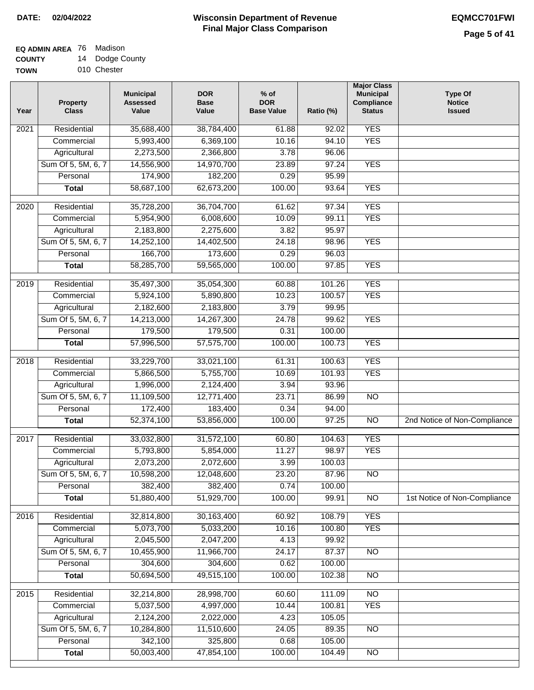# **EQ ADMIN AREA** 76 Madison

**COUNTY TOWN** 14 Dodge County

| 010 Chester |  |
|-------------|--|

| Year              | <b>Property</b><br><b>Class</b> | <b>Municipal</b><br><b>Assessed</b><br>Value | <b>DOR</b><br><b>Base</b><br>Value | $%$ of<br><b>DOR</b><br><b>Base Value</b> | Ratio (%) | <b>Major Class</b><br><b>Municipal</b><br>Compliance<br><b>Status</b> | <b>Type Of</b><br><b>Notice</b><br><b>Issued</b> |
|-------------------|---------------------------------|----------------------------------------------|------------------------------------|-------------------------------------------|-----------|-----------------------------------------------------------------------|--------------------------------------------------|
| $\overline{202}1$ | Residential                     | 35,688,400                                   | 38,784,400                         | 61.88                                     | 92.02     | <b>YES</b>                                                            |                                                  |
|                   | Commercial                      | 5,993,400                                    | 6,369,100                          | 10.16                                     | 94.10     | <b>YES</b>                                                            |                                                  |
|                   | Agricultural                    | 2,273,500                                    | 2,366,800                          | 3.78                                      | 96.06     |                                                                       |                                                  |
|                   | Sum Of 5, 5M, 6, 7              | 14,556,900                                   | 14,970,700                         | 23.89                                     | 97.24     | <b>YES</b>                                                            |                                                  |
|                   | Personal                        | 174,900                                      | 182,200                            | 0.29                                      | 95.99     |                                                                       |                                                  |
|                   | <b>Total</b>                    | 58,687,100                                   | 62,673,200                         | 100.00                                    | 93.64     | <b>YES</b>                                                            |                                                  |
| $\overline{2020}$ | Residential                     | 35,728,200                                   | 36,704,700                         | 61.62                                     | 97.34     | <b>YES</b>                                                            |                                                  |
|                   | Commercial                      | 5,954,900                                    | 6,008,600                          | 10.09                                     | 99.11     | <b>YES</b>                                                            |                                                  |
|                   | Agricultural                    | 2,183,800                                    | 2,275,600                          | 3.82                                      | 95.97     |                                                                       |                                                  |
|                   | Sum Of 5, 5M, 6, 7              | 14,252,100                                   | 14,402,500                         | 24.18                                     | 98.96     | <b>YES</b>                                                            |                                                  |
|                   | Personal                        | 166,700                                      | 173,600                            | 0.29                                      | 96.03     |                                                                       |                                                  |
|                   | <b>Total</b>                    | 58,285,700                                   | 59,565,000                         | 100.00                                    | 97.85     | <b>YES</b>                                                            |                                                  |
| 2019              | Residential                     | 35,497,300                                   | 35,054,300                         | 60.88                                     | 101.26    | <b>YES</b>                                                            |                                                  |
|                   | Commercial                      | 5,924,100                                    | 5,890,800                          | 10.23                                     | 100.57    | <b>YES</b>                                                            |                                                  |
|                   | Agricultural                    | 2,182,600                                    | 2,183,800                          | 3.79                                      | 99.95     |                                                                       |                                                  |
|                   | Sum Of 5, 5M, 6, 7              | 14,213,000                                   | 14,267,300                         | 24.78                                     | 99.62     | <b>YES</b>                                                            |                                                  |
|                   | Personal                        | 179,500                                      | 179,500                            | 0.31                                      | 100.00    |                                                                       |                                                  |
|                   | <b>Total</b>                    | 57,996,500                                   | 57,575,700                         | 100.00                                    | 100.73    | <b>YES</b>                                                            |                                                  |
|                   |                                 |                                              |                                    |                                           |           |                                                                       |                                                  |
| 2018              | Residential                     | 33,229,700                                   | 33,021,100                         | 61.31                                     | 100.63    | <b>YES</b>                                                            |                                                  |
|                   | Commercial                      | 5,866,500                                    | 5,755,700                          | 10.69                                     | 101.93    | <b>YES</b>                                                            |                                                  |
|                   | Agricultural                    | 1,996,000                                    | 2,124,400                          | 3.94                                      | 93.96     |                                                                       |                                                  |
|                   | Sum Of 5, 5M, 6, 7              | 11,109,500                                   | 12,771,400                         | 23.71                                     | 86.99     | $\overline{10}$                                                       |                                                  |
|                   | Personal                        | 172,400                                      | 183,400                            | 0.34                                      | 94.00     |                                                                       |                                                  |
|                   | <b>Total</b>                    | 52,374,100                                   | 53,856,000                         | 100.00                                    | 97.25     | $\overline{10}$                                                       | 2nd Notice of Non-Compliance                     |
| $\overline{2017}$ | Residential                     | 33,032,800                                   | 31,572,100                         | 60.80                                     | 104.63    | <b>YES</b>                                                            |                                                  |
|                   | Commercial                      | 5,793,800                                    | 5,854,000                          | 11.27                                     | 98.97     | <b>YES</b>                                                            |                                                  |
|                   | Agricultural                    | 2,073,200                                    | 2,072,600                          | 3.99                                      | 100.03    |                                                                       |                                                  |
|                   | Sum Of 5, 5M, 6, 7              | 10,598,200                                   | 12,048,600                         | 23.20                                     | 87.96     | <b>NO</b>                                                             |                                                  |
|                   | Personal                        | 382,400                                      | 382,400                            | 0.74                                      | 100.00    |                                                                       |                                                  |
|                   | <b>Total</b>                    | 51,880,400                                   | 51,929,700                         | 100.00                                    | 99.91     | <b>NO</b>                                                             | 1st Notice of Non-Compliance                     |
| 2016              | Residential                     | 32,814,800                                   | 30,163,400                         | 60.92                                     | 108.79    | <b>YES</b>                                                            |                                                  |
|                   | Commercial                      | 5,073,700                                    | 5,033,200                          | 10.16                                     | 100.80    | <b>YES</b>                                                            |                                                  |
|                   | Agricultural                    | 2,045,500                                    | 2,047,200                          | 4.13                                      | 99.92     |                                                                       |                                                  |
|                   | Sum Of 5, 5M, 6, 7              | 10,455,900                                   | 11,966,700                         | 24.17                                     | 87.37     | $\overline{NO}$                                                       |                                                  |
|                   | Personal                        | 304,600                                      | 304,600                            | 0.62                                      | 100.00    |                                                                       |                                                  |
|                   | <b>Total</b>                    | 50,694,500                                   | 49,515,100                         | 100.00                                    | 102.38    | $\overline{NO}$                                                       |                                                  |
| 2015              | Residential                     | 32,214,800                                   | 28,998,700                         | 60.60                                     | 111.09    | $\overline{NO}$                                                       |                                                  |
|                   | Commercial                      | 5,037,500                                    | 4,997,000                          | 10.44                                     | 100.81    | <b>YES</b>                                                            |                                                  |
|                   | Agricultural                    | 2,124,200                                    | 2,022,000                          | 4.23                                      | 105.05    |                                                                       |                                                  |
|                   | Sum Of 5, 5M, 6, 7              | 10,284,800                                   | 11,510,600                         | 24.05                                     | 89.35     | <b>NO</b>                                                             |                                                  |
|                   | Personal                        | 342,100                                      | 325,800                            | 0.68                                      | 105.00    |                                                                       |                                                  |
|                   | <b>Total</b>                    | 50,003,400                                   | 47,854,100                         | 100.00                                    | 104.49    | $\overline{NO}$                                                       |                                                  |
|                   |                                 |                                              |                                    |                                           |           |                                                                       |                                                  |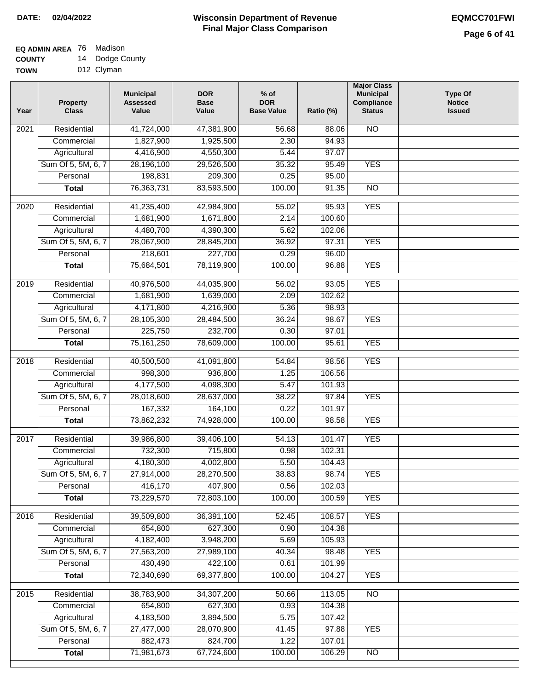# **EQ ADMIN AREA** 76 Madison

**COUNTY** 14 Dodge County

**TOWN** 012 Clyman

| Year              | <b>Property</b><br><b>Class</b> | <b>Municipal</b><br><b>Assessed</b><br>Value | <b>DOR</b><br><b>Base</b><br>Value | % of<br><b>DOR</b><br><b>Base Value</b> | Ratio (%) | <b>Major Class</b><br><b>Municipal</b><br>Compliance<br><b>Status</b> | <b>Type Of</b><br><b>Notice</b><br><b>Issued</b> |
|-------------------|---------------------------------|----------------------------------------------|------------------------------------|-----------------------------------------|-----------|-----------------------------------------------------------------------|--------------------------------------------------|
| $\overline{202}1$ | Residential                     | 41,724,000                                   | 47,381,900                         | 56.68                                   | 88.06     | <b>NO</b>                                                             |                                                  |
|                   | Commercial                      | 1,827,900                                    | 1,925,500                          | 2.30                                    | 94.93     |                                                                       |                                                  |
|                   | Agricultural                    | 4,416,900                                    | 4,550,300                          | 5.44                                    | 97.07     |                                                                       |                                                  |
|                   | Sum Of 5, 5M, 6, 7              | 28,196,100                                   | 29,526,500                         | 35.32                                   | 95.49     | <b>YES</b>                                                            |                                                  |
|                   | Personal                        | 198,831                                      | 209,300                            | 0.25                                    | 95.00     |                                                                       |                                                  |
|                   | <b>Total</b>                    | 76,363,731                                   | 83,593,500                         | 100.00                                  | 91.35     | $\overline{NO}$                                                       |                                                  |
| $\overline{2020}$ | Residential                     | 41,235,400                                   | 42,984,900                         | 55.02                                   | 95.93     | <b>YES</b>                                                            |                                                  |
|                   | Commercial                      | 1,681,900                                    | 1,671,800                          | 2.14                                    | 100.60    |                                                                       |                                                  |
|                   | Agricultural                    | 4,480,700                                    | 4,390,300                          | 5.62                                    | 102.06    |                                                                       |                                                  |
|                   | Sum Of 5, 5M, 6, 7              | 28,067,900                                   | 28,845,200                         | 36.92                                   | 97.31     | <b>YES</b>                                                            |                                                  |
|                   | Personal                        | 218,601                                      | 227,700                            | 0.29                                    | 96.00     |                                                                       |                                                  |
|                   | <b>Total</b>                    | 75,684,501                                   | 78,119,900                         | 100.00                                  | 96.88     | <b>YES</b>                                                            |                                                  |
| 2019              | Residential                     | 40,976,500                                   | 44,035,900                         | 56.02                                   | 93.05     | <b>YES</b>                                                            |                                                  |
|                   | Commercial                      | 1,681,900                                    | 1,639,000                          | 2.09                                    | 102.62    |                                                                       |                                                  |
|                   | Agricultural                    | 4,171,800                                    | 4,216,900                          | 5.36                                    | 98.93     |                                                                       |                                                  |
|                   | Sum Of 5, 5M, 6, 7              | 28,105,300                                   | 28,484,500                         | 36.24                                   | 98.67     | <b>YES</b>                                                            |                                                  |
|                   | Personal                        | 225,750                                      | 232,700                            | 0.30                                    | 97.01     |                                                                       |                                                  |
|                   | <b>Total</b>                    | 75, 161, 250                                 | 78,609,000                         | 100.00                                  | 95.61     | <b>YES</b>                                                            |                                                  |
| 2018              | Residential                     | 40,500,500                                   | 41,091,800                         | 54.84                                   | 98.56     | <b>YES</b>                                                            |                                                  |
|                   | Commercial                      | 998,300                                      | 936,800                            | 1.25                                    | 106.56    |                                                                       |                                                  |
|                   | Agricultural                    | 4,177,500                                    | 4,098,300                          | 5.47                                    | 101.93    |                                                                       |                                                  |
|                   | Sum Of 5, 5M, 6, 7              | 28,018,600                                   | 28,637,000                         | 38.22                                   | 97.84     | <b>YES</b>                                                            |                                                  |
|                   | Personal                        | 167,332                                      | 164,100                            | 0.22                                    | 101.97    |                                                                       |                                                  |
|                   | <b>Total</b>                    | 73,862,232                                   | 74,928,000                         | 100.00                                  | 98.58     | <b>YES</b>                                                            |                                                  |
| 2017              | Residential                     | 39,986,800                                   | 39,406,100                         | 54.13                                   | 101.47    | <b>YES</b>                                                            |                                                  |
|                   | Commercial                      | 732,300                                      | 715,800                            | 0.98                                    | 102.31    |                                                                       |                                                  |
|                   | Agricultural                    | 4,180,300                                    | 4,002,800                          | 5.50                                    | 104.43    |                                                                       |                                                  |
|                   | Sum Of 5, 5M, 6, 7              | 27,914,000                                   | 28,270,500                         | 38.83                                   | 98.74     | <b>YES</b>                                                            |                                                  |
|                   | Personal                        | 416,170                                      | 407,900                            | 0.56                                    | 102.03    |                                                                       |                                                  |
|                   | <b>Total</b>                    | 73,229,570                                   | 72,803,100                         | 100.00                                  | 100.59    | <b>YES</b>                                                            |                                                  |
| 2016              | Residential                     | 39,509,800                                   | 36,391,100                         | 52.45                                   | 108.57    | <b>YES</b>                                                            |                                                  |
|                   | Commercial                      | 654,800                                      | 627,300                            | 0.90                                    | 104.38    |                                                                       |                                                  |
|                   | Agricultural                    | 4,182,400                                    | 3,948,200                          | 5.69                                    | 105.93    |                                                                       |                                                  |
|                   | Sum Of 5, 5M, 6, 7              | 27,563,200                                   | 27,989,100                         | 40.34                                   | 98.48     | <b>YES</b>                                                            |                                                  |
|                   | Personal                        | 430,490                                      | 422,100                            | 0.61                                    | 101.99    |                                                                       |                                                  |
|                   | <b>Total</b>                    | 72,340,690                                   | 69,377,800                         | 100.00                                  | 104.27    | <b>YES</b>                                                            |                                                  |
| 2015              | Residential                     | 38,783,900                                   | 34,307,200                         | 50.66                                   | 113.05    | <b>NO</b>                                                             |                                                  |
|                   | Commercial                      | 654,800                                      | 627,300                            | 0.93                                    | 104.38    |                                                                       |                                                  |
|                   | Agricultural                    | 4,183,500                                    | 3,894,500                          | 5.75                                    | 107.42    |                                                                       |                                                  |
|                   | Sum Of 5, 5M, 6, 7              | 27,477,000                                   | 28,070,900                         | 41.45                                   | 97.88     | <b>YES</b>                                                            |                                                  |
|                   | Personal                        | 882,473                                      | 824,700                            | 1.22                                    | 107.01    |                                                                       |                                                  |
|                   | <b>Total</b>                    | 71,981,673                                   | 67,724,600                         | 100.00                                  | 106.29    | N <sub>O</sub>                                                        |                                                  |
|                   |                                 |                                              |                                    |                                         |           |                                                                       |                                                  |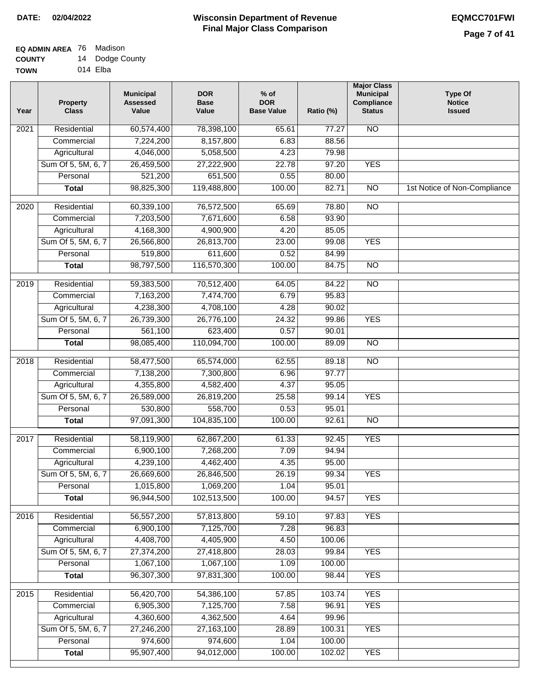### **EQ ADMIN AREA** 76 Madison **COUNTY**

| <b>COUNTY</b> | 14 | Dodge County |
|---------------|----|--------------|
| <b>TOWN</b>   |    | 014 Elba     |

| Year              | <b>Property</b><br><b>Class</b> | <b>Municipal</b><br><b>Assessed</b><br>Value | <b>DOR</b><br><b>Base</b><br>Value | $%$ of<br><b>DOR</b><br><b>Base Value</b> | Ratio (%) | <b>Major Class</b><br><b>Municipal</b><br>Compliance<br><b>Status</b> | <b>Type Of</b><br><b>Notice</b><br><b>Issued</b> |
|-------------------|---------------------------------|----------------------------------------------|------------------------------------|-------------------------------------------|-----------|-----------------------------------------------------------------------|--------------------------------------------------|
| 2021              | Residential                     | 60,574,400                                   | 78,398,100                         | 65.61                                     | 77.27     | N <sub>O</sub>                                                        |                                                  |
|                   | Commercial                      | 7,224,200                                    | 8,157,800                          | 6.83                                      | 88.56     |                                                                       |                                                  |
|                   | Agricultural                    | 4,046,000                                    | 5,058,500                          | 4.23                                      | 79.98     |                                                                       |                                                  |
|                   | Sum Of 5, 5M, 6, 7              | 26,459,500                                   | 27,222,900                         | 22.78                                     | 97.20     | <b>YES</b>                                                            |                                                  |
|                   | Personal                        | 521,200                                      | 651,500                            | 0.55                                      | 80.00     |                                                                       |                                                  |
|                   | <b>Total</b>                    | 98,825,300                                   | 119,488,800                        | 100.00                                    | 82.71     | $\overline{NO}$                                                       | 1st Notice of Non-Compliance                     |
| 2020              | Residential                     | 60,339,100                                   | 76,572,500                         | 65.69                                     | 78.80     | $\overline{10}$                                                       |                                                  |
|                   | Commercial                      | 7,203,500                                    | 7,671,600                          | 6.58                                      | 93.90     |                                                                       |                                                  |
|                   | Agricultural                    | 4,168,300                                    | 4,900,900                          | 4.20                                      | 85.05     |                                                                       |                                                  |
|                   | Sum Of 5, 5M, 6, 7              | 26,566,800                                   | 26,813,700                         | 23.00                                     | 99.08     | <b>YES</b>                                                            |                                                  |
|                   | Personal                        | 519,800                                      | 611,600                            | 0.52                                      | 84.99     |                                                                       |                                                  |
|                   | <b>Total</b>                    | 98,797,500                                   | 116,570,300                        | 100.00                                    | 84.75     | $\overline{NO}$                                                       |                                                  |
| 2019              | Residential                     | 59,383,500                                   | 70,512,400                         | 64.05                                     | 84.22     | <b>NO</b>                                                             |                                                  |
|                   | Commercial                      | 7,163,200                                    | 7,474,700                          | 6.79                                      | 95.83     |                                                                       |                                                  |
|                   | Agricultural                    | 4,238,300                                    | 4,708,100                          | 4.28                                      | 90.02     |                                                                       |                                                  |
|                   | Sum Of 5, 5M, 6, 7              | 26,739,300                                   | 26,776,100                         | 24.32                                     | 99.86     | <b>YES</b>                                                            |                                                  |
|                   | Personal                        | 561,100                                      | 623,400                            | 0.57                                      | 90.01     |                                                                       |                                                  |
|                   | <b>Total</b>                    | 98,085,400                                   | 110,094,700                        | 100.00                                    | 89.09     | $\overline{NO}$                                                       |                                                  |
| $\overline{2018}$ | Residential                     | 58,477,500                                   | 65,574,000                         | 62.55                                     | 89.18     | $\overline{NO}$                                                       |                                                  |
|                   | Commercial                      | 7,138,200                                    | 7,300,800                          | 6.96                                      | 97.77     |                                                                       |                                                  |
|                   | Agricultural                    | 4,355,800                                    | 4,582,400                          | 4.37                                      | 95.05     |                                                                       |                                                  |
|                   | Sum Of 5, 5M, 6, 7              | 26,589,000                                   | 26,819,200                         | 25.58                                     | 99.14     | <b>YES</b>                                                            |                                                  |
|                   | Personal                        | 530,800                                      | 558,700                            | 0.53                                      | 95.01     |                                                                       |                                                  |
|                   | <b>Total</b>                    | 97,091,300                                   | 104,835,100                        | 100.00                                    | 92.61     | $\overline{10}$                                                       |                                                  |
|                   |                                 |                                              |                                    |                                           |           |                                                                       |                                                  |
| 2017              | Residential                     | 58,119,900                                   | 62,867,200                         | 61.33                                     | 92.45     | <b>YES</b>                                                            |                                                  |
|                   | Commercial                      | 6,900,100                                    | 7,268,200                          | 7.09                                      | 94.94     |                                                                       |                                                  |
|                   | Agricultural                    | 4,239,100                                    | 4,462,400                          | 4.35                                      | 95.00     |                                                                       |                                                  |
|                   | Sum Of 5, 5M, 6, 7              | 26,669,600                                   | 26,846,500                         | 26.19                                     | 99.34     | YES                                                                   |                                                  |
|                   | Personal                        | 1,015,800                                    | 1,069,200                          | 1.04                                      | 95.01     |                                                                       |                                                  |
|                   | <b>Total</b>                    | 96,944,500                                   | 102,513,500                        | 100.00                                    | 94.57     | <b>YES</b>                                                            |                                                  |
| 2016              | Residential                     | 56,557,200                                   | 57,813,800                         | 59.10                                     | 97.83     | <b>YES</b>                                                            |                                                  |
|                   | Commercial                      | 6,900,100                                    | 7,125,700                          | 7.28                                      | 96.83     |                                                                       |                                                  |
|                   | Agricultural                    | 4,408,700                                    | 4,405,900                          | 4.50                                      | 100.06    |                                                                       |                                                  |
|                   | Sum Of 5, 5M, 6, 7              | 27,374,200                                   | 27,418,800                         | 28.03                                     | 99.84     | <b>YES</b>                                                            |                                                  |
|                   | Personal                        | 1,067,100                                    | 1,067,100                          | 1.09                                      | 100.00    |                                                                       |                                                  |
|                   | <b>Total</b>                    | 96,307,300                                   | 97,831,300                         | 100.00                                    | 98.44     | <b>YES</b>                                                            |                                                  |
| $\overline{2015}$ | Residential                     | 56,420,700                                   | 54,386,100                         | 57.85                                     | 103.74    | <b>YES</b>                                                            |                                                  |
|                   | Commercial                      | 6,905,300                                    | 7,125,700                          | 7.58                                      | 96.91     | <b>YES</b>                                                            |                                                  |
|                   | Agricultural                    | 4,360,600                                    | 4,362,500                          | 4.64                                      | 99.96     |                                                                       |                                                  |
|                   | Sum Of 5, 5M, 6, 7              | 27,246,200                                   | 27, 163, 100                       | 28.89                                     | 100.31    | <b>YES</b>                                                            |                                                  |
|                   | Personal                        | 974,600                                      | 974,600                            | 1.04                                      | 100.00    |                                                                       |                                                  |
|                   | <b>Total</b>                    | 95,907,400                                   | 94,012,000                         | 100.00                                    | 102.02    | <b>YES</b>                                                            |                                                  |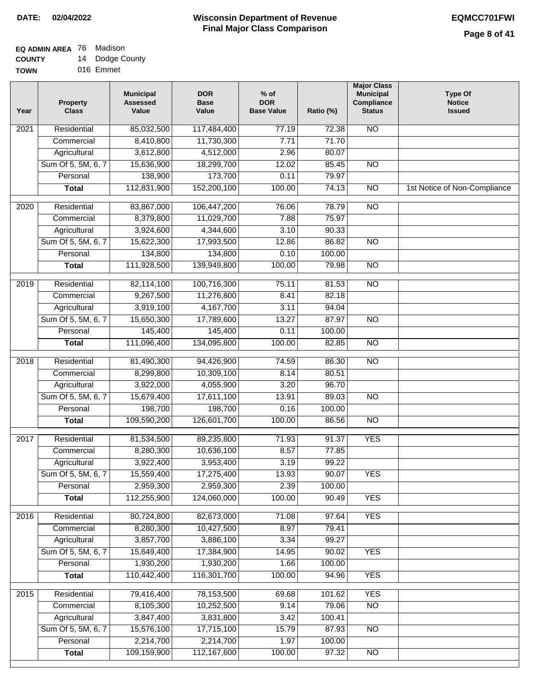#### **EQ ADMIN AREA** 76 Madison **COUNTY** 14 Dodge County

**TOWN** 016 Emmet

| Year             | <b>Property</b><br><b>Class</b> | <b>Municipal</b><br><b>Assessed</b><br>Value | <b>DOR</b><br><b>Base</b><br>Value | $%$ of<br><b>DOR</b><br><b>Base Value</b> | Ratio (%) | <b>Major Class</b><br><b>Municipal</b><br>Compliance<br><b>Status</b> | <b>Type Of</b><br><b>Notice</b><br><b>Issued</b> |
|------------------|---------------------------------|----------------------------------------------|------------------------------------|-------------------------------------------|-----------|-----------------------------------------------------------------------|--------------------------------------------------|
| 2021             | Residential                     | 85,032,500                                   | 117,484,400                        | 77.19                                     | 72.38     | <b>NO</b>                                                             |                                                  |
|                  | Commercial                      | 8,410,800                                    | 11,730,300                         | 7.71                                      | 71.70     |                                                                       |                                                  |
|                  | Agricultural                    | 3,612,800                                    | 4,512,000                          | 2.96                                      | 80.07     |                                                                       |                                                  |
|                  | Sum Of 5, 5M, 6, 7              | 15,636,900                                   | 18,299,700                         | 12.02                                     | 85.45     | $\overline{NO}$                                                       |                                                  |
|                  | Personal                        | 138,900                                      | 173,700                            | 0.11                                      | 79.97     |                                                                       |                                                  |
|                  | <b>Total</b>                    | 112,831,900                                  | 152,200,100                        | 100.00                                    | 74.13     | $\overline{NO}$                                                       | 1st Notice of Non-Compliance                     |
| $\frac{1}{2020}$ | Residential                     | 83,867,000                                   | 106,447,200                        | 76.06                                     | 78.79     | $\overline{NO}$                                                       |                                                  |
|                  | Commercial                      | 8,379,800                                    | 11,029,700                         | 7.88                                      | 75.97     |                                                                       |                                                  |
|                  | Agricultural                    | 3,924,600                                    | 4,344,600                          | 3.10                                      | 90.33     |                                                                       |                                                  |
|                  | Sum Of 5, 5M, 6, 7              | 15,622,300                                   | 17,993,500                         | 12.86                                     | 86.82     | <b>NO</b>                                                             |                                                  |
|                  | Personal                        | 134,800                                      | 134,800                            | 0.10                                      | 100.00    |                                                                       |                                                  |
|                  | <b>Total</b>                    | 111,928,500                                  | 139,949,800                        | 100.00                                    | 79.98     | <b>NO</b>                                                             |                                                  |
|                  |                                 |                                              |                                    |                                           |           |                                                                       |                                                  |
| $\frac{1}{2019}$ | Residential                     | 82,114,100                                   | 100,716,300                        | 75.11                                     | 81.53     | $\overline{NO}$                                                       |                                                  |
|                  | Commercial                      | 9,267,500                                    | 11,276,800                         | 8.41                                      | 82.18     |                                                                       |                                                  |
|                  | Agricultural                    | 3,919,100                                    | 4,167,700                          | 3.11                                      | 94.04     |                                                                       |                                                  |
|                  | Sum Of 5, 5M, 6, 7              | 15,650,300                                   | 17,789,600                         | 13.27                                     | 87.97     | $\overline{NO}$                                                       |                                                  |
|                  | Personal                        | 145,400                                      | 145,400                            | 0.11                                      | 100.00    |                                                                       |                                                  |
|                  | <b>Total</b>                    | 111,096,400                                  | 134,095,800                        | 100.00                                    | 82.85     | $\overline{NO}$                                                       |                                                  |
| 2018             | Residential                     | 81,490,300                                   | 94,426,900                         | 74.59                                     | 86.30     | $\overline{NO}$                                                       |                                                  |
|                  | Commercial                      | 8,299,800                                    | 10,309,100                         | 8.14                                      | 80.51     |                                                                       |                                                  |
|                  | Agricultural                    | 3,922,000                                    | 4,055,900                          | 3.20                                      | 96.70     |                                                                       |                                                  |
|                  | Sum Of 5, 5M, 6, 7              | 15,679,400                                   | 17,611,100                         | 13.91                                     | 89.03     | $\overline{NO}$                                                       |                                                  |
|                  | Personal                        | 198,700                                      | 198,700                            | 0.16                                      | 100.00    |                                                                       |                                                  |
|                  | <b>Total</b>                    | 109,590,200                                  | 126,601,700                        | 100.00                                    | 86.56     | $\overline{NO}$                                                       |                                                  |
| 2017             | Residential                     | 81,534,500                                   | 89,235,800                         | 71.93                                     | 91.37     | <b>YES</b>                                                            |                                                  |
|                  | Commercial                      | 8,280,300                                    | 10,636,100                         | 8.57                                      | 77.85     |                                                                       |                                                  |
|                  | Agricultural                    | 3,922,400                                    | 3,953,400                          | 3.19                                      | 99.22     |                                                                       |                                                  |
|                  | Sum Of 5, 5M, 6, 7              | 15,559,400                                   | 17,275,400                         | 13.93                                     | 90.07     | <b>YES</b>                                                            |                                                  |
|                  | Personal                        | 2,959,300                                    | 2,959,300                          | 2.39                                      | 100.00    |                                                                       |                                                  |
|                  | <b>Total</b>                    | 112,255,900                                  | 124,060,000                        | 100.00                                    | 90.49     | <b>YES</b>                                                            |                                                  |
| 2016             | Residential                     | 80,724,800                                   | 82,673,000                         | 71.08                                     | 97.64     | <b>YES</b>                                                            |                                                  |
|                  | Commercial                      | 8,280,300                                    | 10,427,500                         | 8.97                                      | 79.41     |                                                                       |                                                  |
|                  | Agricultural                    | 3,857,700                                    | 3,886,100                          | 3.34                                      | 99.27     |                                                                       |                                                  |
|                  | Sum Of 5, 5M, 6, 7              | 15,649,400                                   | 17,384,900                         | 14.95                                     | 90.02     | <b>YES</b>                                                            |                                                  |
|                  | Personal                        | 1,930,200                                    | 1,930,200                          | 1.66                                      | 100.00    |                                                                       |                                                  |
|                  | <b>Total</b>                    | 110,442,400                                  | 116,301,700                        | 100.00                                    | 94.96     | <b>YES</b>                                                            |                                                  |
| 2015             | Residential                     | 79,416,400                                   | 78,153,500                         | 69.68                                     | 101.62    | <b>YES</b>                                                            |                                                  |
|                  | Commercial                      | 8,105,300                                    | 10,252,500                         | 9.14                                      | 79.06     | $\overline{NO}$                                                       |                                                  |
|                  | Agricultural                    | 3,847,400                                    | 3,831,800                          | 3.42                                      | 100.41    |                                                                       |                                                  |
|                  | Sum Of 5, 5M, 6, 7              | 15,576,100                                   | 17,715,100                         | 15.79                                     | 87.93     | $\overline{NO}$                                                       |                                                  |
|                  | Personal                        | 2,214,700                                    | 2,214,700                          | 1.97                                      | 100.00    |                                                                       |                                                  |
|                  | <b>Total</b>                    | 109,159,900                                  | 112, 167, 600                      | 100.00                                    | 97.32     | $\overline{NO}$                                                       |                                                  |
|                  |                                 |                                              |                                    |                                           |           |                                                                       |                                                  |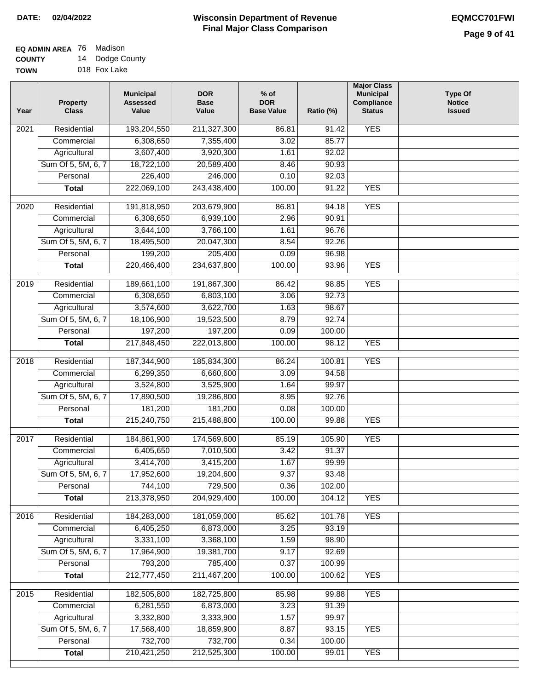### **EQ ADMIN AREA** 76 Madison **COUNTY**

**TOWN** 14 Dodge County 018 Fox Lake

| Year              | <b>Property</b><br><b>Class</b> | <b>Municipal</b><br><b>Assessed</b><br>Value | <b>DOR</b><br><b>Base</b><br>Value | $%$ of<br><b>DOR</b><br><b>Base Value</b> | Ratio (%) | <b>Major Class</b><br><b>Municipal</b><br>Compliance<br><b>Status</b> | <b>Type Of</b><br><b>Notice</b><br><b>Issued</b> |
|-------------------|---------------------------------|----------------------------------------------|------------------------------------|-------------------------------------------|-----------|-----------------------------------------------------------------------|--------------------------------------------------|
| 2021              | Residential                     | 193,204,550                                  | 211,327,300                        | 86.81                                     | 91.42     | <b>YES</b>                                                            |                                                  |
|                   | Commercial                      | 6,308,650                                    | 7,355,400                          | 3.02                                      | 85.77     |                                                                       |                                                  |
|                   | Agricultural                    | 3,607,400                                    | 3,920,300                          | 1.61                                      | 92.02     |                                                                       |                                                  |
|                   | Sum Of 5, 5M, 6, 7              | 18,722,100                                   | 20,589,400                         | 8.46                                      | 90.93     |                                                                       |                                                  |
|                   | Personal                        | 226,400                                      | 246,000                            | 0.10                                      | 92.03     |                                                                       |                                                  |
|                   | <b>Total</b>                    | 222,069,100                                  | 243,438,400                        | 100.00                                    | 91.22     | <b>YES</b>                                                            |                                                  |
| $\overline{2020}$ | Residential                     | 191,818,950                                  | 203,679,900                        | 86.81                                     | 94.18     | <b>YES</b>                                                            |                                                  |
|                   | Commercial                      | 6,308,650                                    | 6,939,100                          | 2.96                                      | 90.91     |                                                                       |                                                  |
|                   | Agricultural                    | 3,644,100                                    | 3,766,100                          | 1.61                                      | 96.76     |                                                                       |                                                  |
|                   | Sum Of 5, 5M, 6, 7              | 18,495,500                                   | 20,047,300                         | 8.54                                      | 92.26     |                                                                       |                                                  |
|                   | Personal                        | 199,200                                      | 205,400                            | 0.09                                      | 96.98     |                                                                       |                                                  |
|                   | <b>Total</b>                    | 220,466,400                                  | 234,637,800                        | 100.00                                    | 93.96     | <b>YES</b>                                                            |                                                  |
|                   |                                 |                                              |                                    |                                           |           |                                                                       |                                                  |
| 2019              | Residential                     | 189,661,100                                  | 191,867,300                        | 86.42                                     | 98.85     | <b>YES</b>                                                            |                                                  |
|                   | Commercial                      | 6,308,650                                    | 6,803,100                          | 3.06                                      | 92.73     |                                                                       |                                                  |
|                   | Agricultural                    | 3,574,600                                    | 3,622,700                          | 1.63                                      | 98.67     |                                                                       |                                                  |
|                   | Sum Of 5, 5M, 6, 7              | 18,106,900                                   | 19,523,500                         | 8.79                                      | 92.74     |                                                                       |                                                  |
|                   | Personal                        | 197,200                                      | 197,200                            | 0.09                                      | 100.00    |                                                                       |                                                  |
|                   | <b>Total</b>                    | 217,848,450                                  | 222,013,800                        | 100.00                                    | 98.12     | <b>YES</b>                                                            |                                                  |
| 2018              | Residential                     | 187,344,900                                  | 185,834,300                        | 86.24                                     | 100.81    | <b>YES</b>                                                            |                                                  |
|                   | Commercial                      | 6,299,350                                    | 6,660,600                          | 3.09                                      | 94.58     |                                                                       |                                                  |
|                   | Agricultural                    | 3,524,800                                    | 3,525,900                          | 1.64                                      | 99.97     |                                                                       |                                                  |
|                   | Sum Of 5, 5M, 6, 7              | 17,890,500                                   | 19,286,800                         | 8.95                                      | 92.76     |                                                                       |                                                  |
|                   | Personal                        | 181,200                                      | 181,200                            | 0.08                                      | 100.00    |                                                                       |                                                  |
|                   | <b>Total</b>                    | 215,240,750                                  | 215,488,800                        | 100.00                                    | 99.88     | <b>YES</b>                                                            |                                                  |
| 2017              | Residential                     | 184,861,900                                  | 174,569,600                        | 85.19                                     | 105.90    | <b>YES</b>                                                            |                                                  |
|                   | Commercial                      | 6,405,650                                    | 7,010,500                          | 3.42                                      | 91.37     |                                                                       |                                                  |
|                   | Agricultural                    | 3,414,700                                    | 3,415,200                          | 1.67                                      | 99.99     |                                                                       |                                                  |
|                   | Sum Of 5, 5M, 6, 7              | 17,952,600                                   | 19,204,600                         | 9.37                                      | 93.48     |                                                                       |                                                  |
|                   | Personal                        | 744,100                                      | 729,500                            | 0.36                                      | 102.00    |                                                                       |                                                  |
|                   | <b>Total</b>                    | 213,378,950                                  | 204,929,400                        | 100.00                                    | 104.12    | <b>YES</b>                                                            |                                                  |
| 2016              | Residential                     | 184,283,000                                  | 181,059,000                        | 85.62                                     | 101.78    | <b>YES</b>                                                            |                                                  |
|                   | Commercial                      | 6,405,250                                    | 6,873,000                          | 3.25                                      | 93.19     |                                                                       |                                                  |
|                   | Agricultural                    | 3,331,100                                    | 3,368,100                          | 1.59                                      | 98.90     |                                                                       |                                                  |
|                   | Sum Of 5, 5M, 6, 7              | 17,964,900                                   | 19,381,700                         | 9.17                                      | 92.69     |                                                                       |                                                  |
|                   | Personal                        | 793,200                                      | 785,400                            | 0.37                                      | 100.99    |                                                                       |                                                  |
|                   | <b>Total</b>                    | 212,777,450                                  | 211,467,200                        | 100.00                                    | 100.62    | <b>YES</b>                                                            |                                                  |
| 2015              | Residential                     | 182,505,800                                  | 182,725,800                        | 85.98                                     | 99.88     | <b>YES</b>                                                            |                                                  |
|                   | Commercial                      | 6,281,550                                    | 6,873,000                          | 3.23                                      | 91.39     |                                                                       |                                                  |
|                   | Agricultural                    | 3,332,800                                    | 3,333,900                          | 1.57                                      | 99.97     |                                                                       |                                                  |
|                   | Sum Of 5, 5M, 6, 7              | 17,568,400                                   | 18,859,900                         | 8.87                                      | 93.15     | <b>YES</b>                                                            |                                                  |
|                   | Personal                        | 732,700                                      | 732,700                            | 0.34                                      | 100.00    |                                                                       |                                                  |
|                   | <b>Total</b>                    | 210,421,250                                  | 212,525,300                        | 100.00                                    | 99.01     | <b>YES</b>                                                            |                                                  |
|                   |                                 |                                              |                                    |                                           |           |                                                                       |                                                  |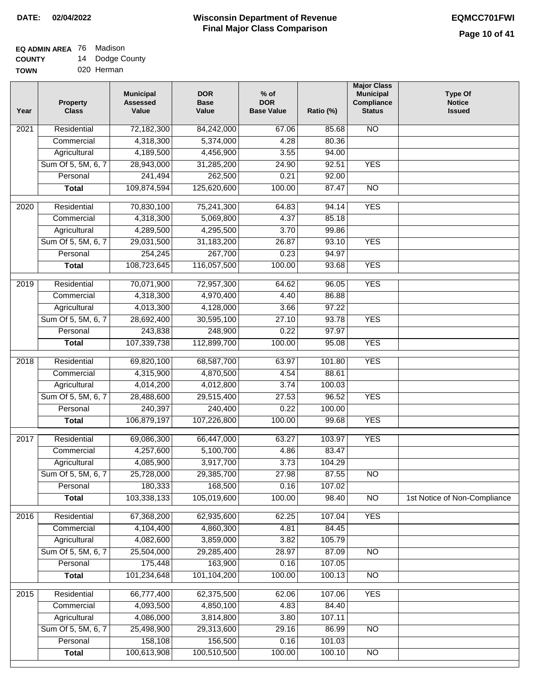#### **Wisconsin Department of Revenue Final Major Class Comparison DATE: 02/04/2022 EQMCC701FWI**

#### **EQ ADMIN AREA** 76 Madison **COUNTY** 14 Dodge County

**TOWN** 020 Herman

| Year             | <b>Property</b><br><b>Class</b> | <b>Municipal</b><br><b>Assessed</b><br>Value | <b>DOR</b><br><b>Base</b><br>Value | $%$ of<br><b>DOR</b><br><b>Base Value</b> | Ratio (%) | <b>Major Class</b><br><b>Municipal</b><br>Compliance<br><b>Status</b> | <b>Type Of</b><br><b>Notice</b><br><b>Issued</b> |
|------------------|---------------------------------|----------------------------------------------|------------------------------------|-------------------------------------------|-----------|-----------------------------------------------------------------------|--------------------------------------------------|
| 2021             | Residential                     | 72,182,300                                   | 84,242,000                         | 67.06                                     | 85.68     | <b>NO</b>                                                             |                                                  |
|                  | Commercial                      | 4,318,300                                    | 5,374,000                          | 4.28                                      | 80.36     |                                                                       |                                                  |
|                  | Agricultural                    | 4,189,500                                    | 4,456,900                          | 3.55                                      | 94.00     |                                                                       |                                                  |
|                  | Sum Of 5, 5M, 6, 7              | 28,943,000                                   | 31,285,200                         | 24.90                                     | 92.51     | <b>YES</b>                                                            |                                                  |
|                  | Personal                        | 241,494                                      | 262,500                            | 0.21                                      | 92.00     |                                                                       |                                                  |
|                  | <b>Total</b>                    | 109,874,594                                  | 125,620,600                        | 100.00                                    | 87.47     | $\overline{NO}$                                                       |                                                  |
| $\frac{1}{2020}$ | Residential                     | 70,830,100                                   | 75,241,300                         | 64.83                                     | 94.14     | <b>YES</b>                                                            |                                                  |
|                  | Commercial                      | 4,318,300                                    | 5,069,800                          | 4.37                                      | 85.18     |                                                                       |                                                  |
|                  | Agricultural                    | 4,289,500                                    | 4,295,500                          | 3.70                                      | 99.86     |                                                                       |                                                  |
|                  | Sum Of 5, 5M, 6, 7              | 29,031,500                                   | 31,183,200                         | 26.87                                     | 93.10     | <b>YES</b>                                                            |                                                  |
|                  | Personal                        | 254,245                                      | 267,700                            | 0.23                                      | 94.97     |                                                                       |                                                  |
|                  | <b>Total</b>                    | 108,723,645                                  | 116,057,500                        | 100.00                                    | 93.68     | <b>YES</b>                                                            |                                                  |
|                  |                                 |                                              |                                    |                                           |           |                                                                       |                                                  |
| 2019             | Residential                     | 70,071,900                                   | 72,957,300                         | 64.62                                     | 96.05     | <b>YES</b>                                                            |                                                  |
|                  | Commercial                      | 4,318,300                                    | 4,970,400                          | 4.40                                      | 86.88     |                                                                       |                                                  |
|                  | Agricultural                    | 4,013,300                                    | 4,128,000                          | 3.66                                      | 97.22     |                                                                       |                                                  |
|                  | Sum Of 5, 5M, 6, 7              | 28,692,400                                   | 30,595,100                         | 27.10                                     | 93.78     | <b>YES</b>                                                            |                                                  |
|                  | Personal                        | 243,838                                      | 248,900                            | 0.22                                      | 97.97     |                                                                       |                                                  |
|                  | <b>Total</b>                    | 107,339,738                                  | 112,899,700                        | 100.00                                    | 95.08     | <b>YES</b>                                                            |                                                  |
| 2018             | Residential                     | 69,820,100                                   | 68,587,700                         | 63.97                                     | 101.80    | <b>YES</b>                                                            |                                                  |
|                  | Commercial                      | 4,315,900                                    | 4,870,500                          | 4.54                                      | 88.61     |                                                                       |                                                  |
|                  | Agricultural                    | 4,014,200                                    | 4,012,800                          | 3.74                                      | 100.03    |                                                                       |                                                  |
|                  | Sum Of 5, 5M, 6, 7              | 28,488,600                                   | 29,515,400                         | 27.53                                     | 96.52     | <b>YES</b>                                                            |                                                  |
|                  | Personal                        | 240,397                                      | 240,400                            | 0.22                                      | 100.00    |                                                                       |                                                  |
|                  | <b>Total</b>                    | 106,879,197                                  | 107,226,800                        | 100.00                                    | 99.68     | <b>YES</b>                                                            |                                                  |
| 2017             | Residential                     | 69,086,300                                   | 66,447,000                         | 63.27                                     | 103.97    | <b>YES</b>                                                            |                                                  |
|                  | Commercial                      | 4,257,600                                    | 5,100,700                          | 4.86                                      | 83.47     |                                                                       |                                                  |
|                  | Agricultural                    | 4,085,900                                    | 3,917,700                          | 3.73                                      | 104.29    |                                                                       |                                                  |
|                  | Sum Of 5, 5M, 6, 7              | 25,728,000                                   | 29,385,700                         | 27.98                                     | 87.55     | $\overline{N}$                                                        |                                                  |
|                  | Personal                        | 180,333                                      | 168,500                            | 0.16                                      | 107.02    |                                                                       |                                                  |
|                  | <b>Total</b>                    | 103,338,133                                  | 105,019,600                        | 100.00                                    | 98.40     | N <sub>O</sub>                                                        | 1st Notice of Non-Compliance                     |
| 2016             | Residential                     | 67,368,200                                   | 62,935,600                         | 62.25                                     | 107.04    | <b>YES</b>                                                            |                                                  |
|                  | Commercial                      | 4,104,400                                    | 4,860,300                          | 4.81                                      | 84.45     |                                                                       |                                                  |
|                  | Agricultural                    | 4,082,600                                    | 3,859,000                          | 3.82                                      | 105.79    |                                                                       |                                                  |
|                  | Sum Of 5, 5M, 6, 7              | 25,504,000                                   | 29,285,400                         | 28.97                                     | 87.09     | $\overline{NO}$                                                       |                                                  |
|                  | Personal                        | 175,448                                      | 163,900                            | 0.16                                      | 107.05    |                                                                       |                                                  |
|                  | <b>Total</b>                    | 101,234,648                                  | 101,104,200                        | 100.00                                    | 100.13    | N <sub>O</sub>                                                        |                                                  |
| 2015             | Residential                     | 66,777,400                                   | 62,375,500                         | 62.06                                     | 107.06    | <b>YES</b>                                                            |                                                  |
|                  | Commercial                      | 4,093,500                                    | 4,850,100                          | 4.83                                      | 84.40     |                                                                       |                                                  |
|                  | Agricultural                    | 4,086,000                                    | 3,814,800                          | 3.80                                      | 107.11    |                                                                       |                                                  |
|                  | Sum Of 5, 5M, 6, 7              | 25,498,900                                   | 29,313,600                         | 29.16                                     | 86.99     | N <sub>O</sub>                                                        |                                                  |
|                  | Personal                        | 158,108                                      | 156,500                            | 0.16                                      | 101.03    |                                                                       |                                                  |
|                  | <b>Total</b>                    | 100,613,908                                  | 100,510,500                        | 100.00                                    | 100.10    | N <sub>O</sub>                                                        |                                                  |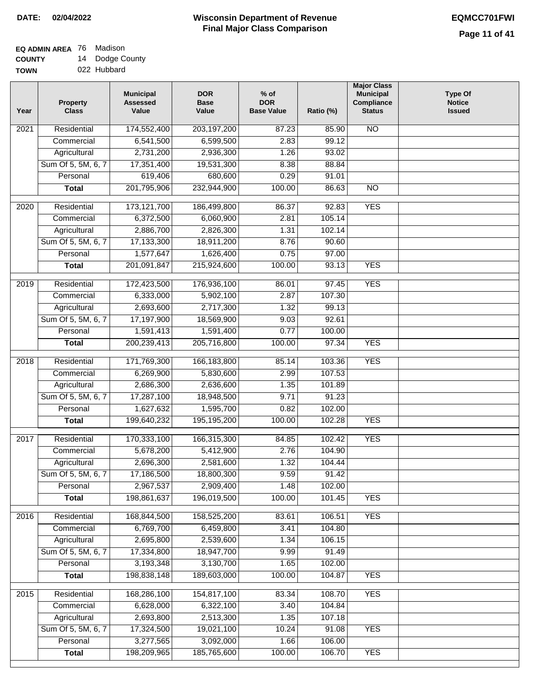#### **Wisconsin Department of Revenue Final Major Class Comparison DATE: 02/04/2022 EQMCC701FWI**

#### **EQ ADMIN AREA** 76 Madison **COUNTY** 14 Dodge County

**TOWN** 022 Hubbard

| Year | <b>Property</b><br><b>Class</b> | <b>Municipal</b><br><b>Assessed</b><br>Value | <b>DOR</b><br><b>Base</b><br>Value | $%$ of<br><b>DOR</b><br><b>Base Value</b> | Ratio (%) | <b>Major Class</b><br><b>Municipal</b><br>Compliance<br><b>Status</b> | <b>Type Of</b><br><b>Notice</b><br><b>Issued</b> |
|------|---------------------------------|----------------------------------------------|------------------------------------|-------------------------------------------|-----------|-----------------------------------------------------------------------|--------------------------------------------------|
| 2021 | Residential                     | 174,552,400                                  | 203, 197, 200                      | 87.23                                     | 85.90     | N <sub>O</sub>                                                        |                                                  |
|      | Commercial                      | 6,541,500                                    | 6,599,500                          | 2.83                                      | 99.12     |                                                                       |                                                  |
|      | Agricultural                    | 2,731,200                                    | 2,936,300                          | 1.26                                      | 93.02     |                                                                       |                                                  |
|      | Sum Of 5, 5M, 6, 7              | 17,351,400                                   | 19,531,300                         | 8.38                                      | 88.84     |                                                                       |                                                  |
|      | Personal                        | 619,406                                      | 680,600                            | 0.29                                      | 91.01     |                                                                       |                                                  |
|      | <b>Total</b>                    | 201,795,906                                  | 232,944,900                        | 100.00                                    | 86.63     | $\overline{NO}$                                                       |                                                  |
| 2020 | Residential                     | 173, 121, 700                                | 186,499,800                        | 86.37                                     | 92.83     | <b>YES</b>                                                            |                                                  |
|      | Commercial                      | 6,372,500                                    | 6,060,900                          | 2.81                                      | 105.14    |                                                                       |                                                  |
|      | Agricultural                    | 2,886,700                                    | 2,826,300                          | 1.31                                      | 102.14    |                                                                       |                                                  |
|      | Sum Of 5, 5M, 6, 7              | 17,133,300                                   | 18,911,200                         | 8.76                                      | 90.60     |                                                                       |                                                  |
|      | Personal                        | 1,577,647                                    | 1,626,400                          | 0.75                                      | 97.00     |                                                                       |                                                  |
|      | <b>Total</b>                    | 201,091,847                                  | 215,924,600                        | 100.00                                    | 93.13     | <b>YES</b>                                                            |                                                  |
|      |                                 |                                              |                                    |                                           |           |                                                                       |                                                  |
| 2019 | Residential                     | 172,423,500                                  | 176,936,100                        | 86.01                                     | 97.45     | <b>YES</b>                                                            |                                                  |
|      | Commercial                      | 6,333,000                                    | 5,902,100                          | 2.87                                      | 107.30    |                                                                       |                                                  |
|      | Agricultural                    | 2,693,600                                    | 2,717,300                          | 1.32                                      | 99.13     |                                                                       |                                                  |
|      | Sum Of 5, 5M, 6, 7              | 17,197,900                                   | 18,569,900                         | 9.03                                      | 92.61     |                                                                       |                                                  |
|      | Personal                        | 1,591,413                                    | 1,591,400                          | 0.77                                      | 100.00    |                                                                       |                                                  |
|      | <b>Total</b>                    | 200,239,413                                  | 205,716,800                        | 100.00                                    | 97.34     | <b>YES</b>                                                            |                                                  |
| 2018 | Residential                     | 171,769,300                                  | 166,183,800                        | 85.14                                     | 103.36    | <b>YES</b>                                                            |                                                  |
|      | Commercial                      | 6,269,900                                    | 5,830,600                          | 2.99                                      | 107.53    |                                                                       |                                                  |
|      | Agricultural                    | 2,686,300                                    | 2,636,600                          | 1.35                                      | 101.89    |                                                                       |                                                  |
|      | Sum Of 5, 5M, 6, 7              | 17,287,100                                   | 18,948,500                         | 9.71                                      | 91.23     |                                                                       |                                                  |
|      | Personal                        | 1,627,632                                    | 1,595,700                          | 0.82                                      | 102.00    |                                                                       |                                                  |
|      | <b>Total</b>                    | 199,640,232                                  | 195,195,200                        | 100.00                                    | 102.28    | <b>YES</b>                                                            |                                                  |
| 2017 | Residential                     | 170,333,100                                  | 166,315,300                        | 84.85                                     | 102.42    | <b>YES</b>                                                            |                                                  |
|      | Commercial                      | 5,678,200                                    | 5,412,900                          | 2.76                                      | 104.90    |                                                                       |                                                  |
|      | Agricultural                    | 2,696,300                                    | 2,581,600                          | 1.32                                      | 104.44    |                                                                       |                                                  |
|      | Sum Of 5, 5M, 6, 7              | 17,186,500                                   | 18,800,300                         | 9.59                                      | 91.42     |                                                                       |                                                  |
|      | Personal                        | 2,967,537                                    | 2,909,400                          | 1.48                                      | 102.00    |                                                                       |                                                  |
|      | <b>Total</b>                    | 198,861,637                                  | 196,019,500                        | 100.00                                    | 101.45    | <b>YES</b>                                                            |                                                  |
| 2016 | Residential                     | 168,844,500                                  | 158,525,200                        | 83.61                                     | 106.51    | <b>YES</b>                                                            |                                                  |
|      | Commercial                      | 6,769,700                                    | 6,459,800                          | 3.41                                      | 104.80    |                                                                       |                                                  |
|      | Agricultural                    | 2,695,800                                    | 2,539,600                          | 1.34                                      | 106.15    |                                                                       |                                                  |
|      | Sum Of 5, 5M, 6, 7              | 17,334,800                                   | 18,947,700                         | 9.99                                      | 91.49     |                                                                       |                                                  |
|      | Personal                        | 3,193,348                                    | 3,130,700                          | 1.65                                      | 102.00    |                                                                       |                                                  |
|      | <b>Total</b>                    | 198,838,148                                  | 189,603,000                        | 100.00                                    | 104.87    | <b>YES</b>                                                            |                                                  |
|      |                                 |                                              |                                    |                                           |           |                                                                       |                                                  |
| 2015 | Residential                     | 168,286,100                                  | 154,817,100                        | 83.34                                     | 108.70    | <b>YES</b>                                                            |                                                  |
|      | Commercial                      | 6,628,000                                    | 6,322,100                          | 3.40                                      | 104.84    |                                                                       |                                                  |
|      | Agricultural                    | 2,693,800                                    | 2,513,300                          | 1.35                                      | 107.18    |                                                                       |                                                  |
|      | Sum Of 5, 5M, 6, 7              | 17,324,500                                   | 19,021,100                         | 10.24                                     | 91.08     | <b>YES</b>                                                            |                                                  |
|      | Personal                        | 3,277,565                                    | 3,092,000                          | 1.66                                      | 106.00    |                                                                       |                                                  |
|      | <b>Total</b>                    | 198,209,965                                  | 185,765,600                        | 100.00                                    | 106.70    | <b>YES</b>                                                            |                                                  |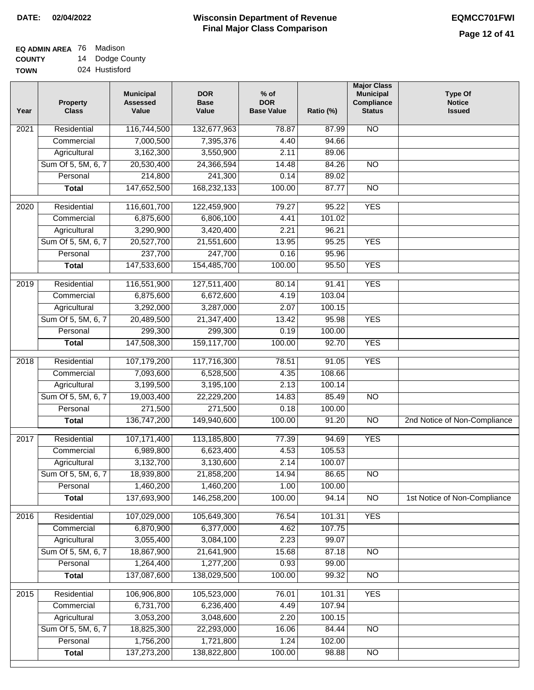#### **EQ ADMIN AREA** 76 Madison **COUNTY** 14 Dodge County

**TOWN** 024 Hustisford

| Year              | <b>Property</b><br><b>Class</b> | <b>Municipal</b><br><b>Assessed</b><br>Value | <b>DOR</b><br><b>Base</b><br>Value | $%$ of<br><b>DOR</b><br><b>Base Value</b> | Ratio (%)       | <b>Major Class</b><br><b>Municipal</b><br>Compliance<br><b>Status</b> | <b>Type Of</b><br><b>Notice</b><br><b>Issued</b> |
|-------------------|---------------------------------|----------------------------------------------|------------------------------------|-------------------------------------------|-----------------|-----------------------------------------------------------------------|--------------------------------------------------|
| $\overline{202}1$ | Residential                     | 116,744,500                                  | 132,677,963                        | 78.87                                     | 87.99           | N <sub>O</sub>                                                        |                                                  |
|                   | Commercial                      | 7,000,500                                    | 7,395,376                          | 4.40                                      | 94.66           |                                                                       |                                                  |
|                   | Agricultural                    | 3,162,300                                    | 3,550,900                          | 2.11                                      | 89.06           |                                                                       |                                                  |
|                   | Sum Of 5, 5M, 6, 7              | 20,530,400                                   | 24,366,594                         | 14.48                                     | 84.26           | $\overline{NO}$                                                       |                                                  |
|                   | Personal                        | 214,800                                      | 241,300                            | 0.14                                      | 89.02           |                                                                       |                                                  |
|                   | <b>Total</b>                    | 147,652,500                                  | 168,232,133                        | 100.00                                    | 87.77           | $\overline{NO}$                                                       |                                                  |
| $\overline{2020}$ | Residential                     | 116,601,700                                  | 122,459,900                        | 79.27                                     | 95.22           | <b>YES</b>                                                            |                                                  |
|                   | Commercial                      | 6,875,600                                    | 6,806,100                          | 4.41                                      | 101.02          |                                                                       |                                                  |
|                   | Agricultural                    | 3,290,900                                    | 3,420,400                          | 2.21                                      | 96.21           |                                                                       |                                                  |
|                   | Sum Of 5, 5M, 6, 7              | 20,527,700                                   | 21,551,600                         | 13.95                                     | 95.25           | <b>YES</b>                                                            |                                                  |
|                   | Personal                        | 237,700                                      | 247,700                            | 0.16                                      | 95.96           |                                                                       |                                                  |
|                   | <b>Total</b>                    | 147,533,600                                  | 154,485,700                        | 100.00                                    | 95.50           | <b>YES</b>                                                            |                                                  |
| 2019              | Residential                     | 116,551,900                                  | 127,511,400                        | 80.14                                     | 91.41           | <b>YES</b>                                                            |                                                  |
|                   | Commercial                      | 6,875,600                                    | 6,672,600                          | 4.19                                      | 103.04          |                                                                       |                                                  |
|                   | Agricultural                    | 3,292,000                                    | 3,287,000                          | 2.07                                      | 100.15          |                                                                       |                                                  |
|                   | Sum Of 5, 5M, 6, 7              | 20,489,500                                   | 21,347,400                         | 13.42                                     | 95.98           | <b>YES</b>                                                            |                                                  |
|                   | Personal                        | 299,300                                      | 299,300                            | 0.19                                      | 100.00          |                                                                       |                                                  |
|                   | <b>Total</b>                    | 147,508,300                                  | 159,117,700                        | 100.00                                    | 92.70           | <b>YES</b>                                                            |                                                  |
|                   |                                 |                                              |                                    |                                           |                 |                                                                       |                                                  |
| 2018              | Residential                     | 107,179,200                                  | 117,716,300                        | 78.51                                     | 91.05           | <b>YES</b>                                                            |                                                  |
|                   | Commercial                      | 7,093,600                                    | 6,528,500                          | 4.35                                      | 108.66          |                                                                       |                                                  |
|                   | Agricultural                    | 3,199,500                                    | 3,195,100                          | 2.13                                      | 100.14          |                                                                       |                                                  |
|                   | Sum Of 5, 5M, 6, 7              | 19,003,400                                   | 22,229,200                         | 14.83                                     | 85.49           | $\overline{10}$                                                       |                                                  |
|                   | Personal<br><b>Total</b>        | 271,500<br>136,747,200                       | 271,500<br>149,940,600             | 0.18<br>100.00                            | 100.00<br>91.20 | $\overline{10}$                                                       | 2nd Notice of Non-Compliance                     |
|                   |                                 |                                              |                                    |                                           |                 |                                                                       |                                                  |
| $\overline{2017}$ | Residential                     | 107, 171, 400                                | 113,185,800                        | 77.39                                     | 94.69           | <b>YES</b>                                                            |                                                  |
|                   | Commercial                      | 6,989,800                                    | 6,623,400                          | 4.53                                      | 105.53          |                                                                       |                                                  |
|                   | Agricultural                    | 3,132,700                                    | 3,130,600                          | 2.14                                      | 100.07          |                                                                       |                                                  |
|                   | Sum Of 5, 5M, 6, 7              | 18,939,800                                   | 21,858,200                         | 14.94                                     | 86.65           | <b>NO</b>                                                             |                                                  |
|                   | Personal                        | 1,460,200                                    | 1,460,200                          | 1.00                                      | 100.00          |                                                                       |                                                  |
|                   | <b>Total</b>                    | 137,693,900                                  | 146,258,200                        | 100.00                                    | 94.14           | <b>NO</b>                                                             | 1st Notice of Non-Compliance                     |
| 2016              | Residential                     | 107,029,000                                  | 105,649,300                        | 76.54                                     | 101.31          | <b>YES</b>                                                            |                                                  |
|                   | Commercial                      | 6,870,900                                    | 6,377,000                          | 4.62                                      | 107.75          |                                                                       |                                                  |
|                   | Agricultural                    | 3,055,400                                    | 3,084,100                          | 2.23                                      | 99.07           |                                                                       |                                                  |
|                   | Sum Of 5, 5M, 6, 7              | 18,867,900                                   | 21,641,900                         | 15.68                                     | 87.18           | $\overline{NO}$                                                       |                                                  |
|                   | Personal                        | 1,264,400                                    | 1,277,200                          | 0.93                                      | 99.00           |                                                                       |                                                  |
|                   | <b>Total</b>                    | 137,087,600                                  | 138,029,500                        | 100.00                                    | 99.32           | N <sub>O</sub>                                                        |                                                  |
| 2015              | Residential                     | 106,906,800                                  | 105,523,000                        | 76.01                                     | 101.31          | <b>YES</b>                                                            |                                                  |
|                   | Commercial                      | 6,731,700                                    | 6,236,400                          | 4.49                                      | 107.94          |                                                                       |                                                  |
|                   | Agricultural                    | 3,053,200                                    | 3,048,600                          | 2.20                                      | 100.15          |                                                                       |                                                  |
|                   | Sum Of 5, 5M, 6, 7              | 18,825,300                                   | 22,293,000                         | 16.06                                     | 84.44           | <b>NO</b>                                                             |                                                  |
|                   | Personal                        | 1,756,200                                    | 1,721,800                          | 1.24                                      | 102.00          |                                                                       |                                                  |
|                   | <b>Total</b>                    | 137,273,200                                  | 138,822,800                        | 100.00                                    | 98.88           | <b>NO</b>                                                             |                                                  |
|                   |                                 |                                              |                                    |                                           |                 |                                                                       |                                                  |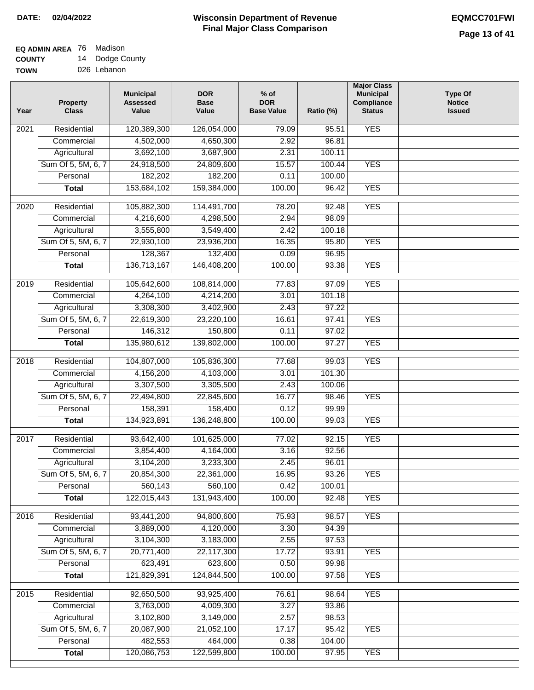#### **Wisconsin Department of Revenue Final Major Class Comparison DATE: 02/04/2022 EQMCC701FWI**

| <b>TOWN</b> | 026 Lebanon |
|-------------|-------------|

| <b>YES</b><br>Residential<br>120,389,300<br>126,054,000<br>79.09<br>95.51<br>2021<br>4,502,000<br>4,650,300<br>2.92<br>96.81<br>Commercial<br>3,692,100<br>3,687,900<br>2.31<br>100.11<br>Agricultural<br>Sum Of 5, 5M, 6, 7<br>24,918,500<br>24,809,600<br>15.57<br>100.44<br><b>YES</b><br>182,202<br>182,200<br>Personal<br>0.11<br>100.00<br>153,684,102<br>159,384,000<br><b>YES</b><br>100.00<br>96.42<br><b>Total</b><br><b>YES</b><br>Residential<br>105,882,300<br>114,491,700<br>78.20<br>92.48<br>2020<br>4,216,600<br>2.94<br>98.09<br>Commercial<br>4,298,500<br>3,555,800<br>3,549,400<br>2.42<br>100.18<br>Agricultural<br><b>YES</b><br>Sum Of 5, 5M, 6, 7<br>22,930,100<br>23,936,200<br>16.35<br>95.80<br>128,367<br>132,400<br>Personal<br>0.09<br>96.95<br><b>YES</b><br>136,713,167<br>146,408,200<br>100.00<br>93.38<br><b>Total</b><br><b>YES</b><br>Residential<br>105,642,600<br>108,814,000<br>77.83<br>97.09<br>2019<br>Commercial<br>4,264,100<br>4,214,200<br>3.01<br>101.18<br>3,308,300<br>3,402,900<br>97.22<br>Agricultural<br>2.43<br>Sum Of 5, 5M, 6, 7<br>22,619,300<br>23,220,100<br>16.61<br>97.41<br><b>YES</b><br>146,312<br>Personal<br>150,800<br>0.11<br>97.02<br>135,980,612<br>139,802,000<br>100.00<br>97.27<br><b>YES</b><br><b>Total</b><br>2018<br>Residential<br>104,807,000<br>105,836,300<br>99.03<br><b>YES</b><br>77.68<br>Commercial<br>4,156,200<br>4,103,000<br>3.01<br>101.30<br>3,307,500<br>3,305,500<br>2.43<br>100.06<br>Agricultural<br>Sum Of 5, 5M, 6, 7<br>16.77<br><b>YES</b><br>22,494,800<br>22,845,600<br>98.46<br>158,391<br>Personal<br>158,400<br>0.12<br>99.99<br><b>YES</b><br><b>Total</b><br>134,923,891<br>136,248,800<br>100.00<br>99.03<br><b>YES</b><br>2017<br>Residential<br>93,642,400<br>101,625,000<br>92.15<br>77.02<br>3,854,400<br>3.16<br>4,164,000<br>92.56<br>Commercial<br>3,104,200<br>3,233,300<br>2.45<br>96.01<br>Agricultural<br>Sum Of 5, 5M, 6, 7<br>20,854,300<br>22,361,000<br><b>YES</b><br>16.95<br>93.26<br>560,143<br>560,100<br>0.42<br>100.01<br>Personal<br>100.00<br><b>YES</b><br>122,015,443<br>131,943,400<br>92.48<br><b>Total</b><br>Residential<br><b>YES</b><br>93,441,200<br>94,800,600<br>75.93<br>98.57<br>2016<br>3,889,000<br>4,120,000<br>3.30<br>94.39<br>Commercial<br>3,104,300<br>Agricultural<br>3,183,000<br>2.55<br>97.53<br>Sum Of 5, 5M, 6, 7<br>20,771,400<br>22,117,300<br>17.72<br>93.91<br><b>YES</b><br>623,491<br>623,600<br>0.50<br>99.98<br>Personal<br>121,829,391<br>124,844,500<br>100.00<br>97.58<br><b>YES</b><br><b>Total</b><br>92,650,500<br>93,925,400<br><b>YES</b><br>2015<br>Residential<br>76.61<br>98.64<br>3,763,000<br>Commercial<br>4,009,300<br>3.27<br>93.86 | Year | <b>Property</b><br><b>Class</b> | <b>Municipal</b><br><b>Assessed</b><br>Value | <b>DOR</b><br><b>Base</b><br>Value | $%$ of<br><b>DOR</b><br><b>Base Value</b> | Ratio (%) | <b>Major Class</b><br><b>Municipal</b><br>Compliance<br><b>Status</b> | <b>Type Of</b><br><b>Notice</b><br><b>Issued</b> |
|-----------------------------------------------------------------------------------------------------------------------------------------------------------------------------------------------------------------------------------------------------------------------------------------------------------------------------------------------------------------------------------------------------------------------------------------------------------------------------------------------------------------------------------------------------------------------------------------------------------------------------------------------------------------------------------------------------------------------------------------------------------------------------------------------------------------------------------------------------------------------------------------------------------------------------------------------------------------------------------------------------------------------------------------------------------------------------------------------------------------------------------------------------------------------------------------------------------------------------------------------------------------------------------------------------------------------------------------------------------------------------------------------------------------------------------------------------------------------------------------------------------------------------------------------------------------------------------------------------------------------------------------------------------------------------------------------------------------------------------------------------------------------------------------------------------------------------------------------------------------------------------------------------------------------------------------------------------------------------------------------------------------------------------------------------------------------------------------------------------------------------------------------------------------------------------------------------------------------------------------------------------------------------------------------------------------------------------------------------------------------------------------------------------------------------------------------------------------------------------------------------------------------------------------------------------------------------------------------------------------------------------------------------------------------------------------------------------------------------|------|---------------------------------|----------------------------------------------|------------------------------------|-------------------------------------------|-----------|-----------------------------------------------------------------------|--------------------------------------------------|
|                                                                                                                                                                                                                                                                                                                                                                                                                                                                                                                                                                                                                                                                                                                                                                                                                                                                                                                                                                                                                                                                                                                                                                                                                                                                                                                                                                                                                                                                                                                                                                                                                                                                                                                                                                                                                                                                                                                                                                                                                                                                                                                                                                                                                                                                                                                                                                                                                                                                                                                                                                                                                                                                                                                             |      |                                 |                                              |                                    |                                           |           |                                                                       |                                                  |
|                                                                                                                                                                                                                                                                                                                                                                                                                                                                                                                                                                                                                                                                                                                                                                                                                                                                                                                                                                                                                                                                                                                                                                                                                                                                                                                                                                                                                                                                                                                                                                                                                                                                                                                                                                                                                                                                                                                                                                                                                                                                                                                                                                                                                                                                                                                                                                                                                                                                                                                                                                                                                                                                                                                             |      |                                 |                                              |                                    |                                           |           |                                                                       |                                                  |
|                                                                                                                                                                                                                                                                                                                                                                                                                                                                                                                                                                                                                                                                                                                                                                                                                                                                                                                                                                                                                                                                                                                                                                                                                                                                                                                                                                                                                                                                                                                                                                                                                                                                                                                                                                                                                                                                                                                                                                                                                                                                                                                                                                                                                                                                                                                                                                                                                                                                                                                                                                                                                                                                                                                             |      |                                 |                                              |                                    |                                           |           |                                                                       |                                                  |
|                                                                                                                                                                                                                                                                                                                                                                                                                                                                                                                                                                                                                                                                                                                                                                                                                                                                                                                                                                                                                                                                                                                                                                                                                                                                                                                                                                                                                                                                                                                                                                                                                                                                                                                                                                                                                                                                                                                                                                                                                                                                                                                                                                                                                                                                                                                                                                                                                                                                                                                                                                                                                                                                                                                             |      |                                 |                                              |                                    |                                           |           |                                                                       |                                                  |
|                                                                                                                                                                                                                                                                                                                                                                                                                                                                                                                                                                                                                                                                                                                                                                                                                                                                                                                                                                                                                                                                                                                                                                                                                                                                                                                                                                                                                                                                                                                                                                                                                                                                                                                                                                                                                                                                                                                                                                                                                                                                                                                                                                                                                                                                                                                                                                                                                                                                                                                                                                                                                                                                                                                             |      |                                 |                                              |                                    |                                           |           |                                                                       |                                                  |
|                                                                                                                                                                                                                                                                                                                                                                                                                                                                                                                                                                                                                                                                                                                                                                                                                                                                                                                                                                                                                                                                                                                                                                                                                                                                                                                                                                                                                                                                                                                                                                                                                                                                                                                                                                                                                                                                                                                                                                                                                                                                                                                                                                                                                                                                                                                                                                                                                                                                                                                                                                                                                                                                                                                             |      |                                 |                                              |                                    |                                           |           |                                                                       |                                                  |
|                                                                                                                                                                                                                                                                                                                                                                                                                                                                                                                                                                                                                                                                                                                                                                                                                                                                                                                                                                                                                                                                                                                                                                                                                                                                                                                                                                                                                                                                                                                                                                                                                                                                                                                                                                                                                                                                                                                                                                                                                                                                                                                                                                                                                                                                                                                                                                                                                                                                                                                                                                                                                                                                                                                             |      |                                 |                                              |                                    |                                           |           |                                                                       |                                                  |
|                                                                                                                                                                                                                                                                                                                                                                                                                                                                                                                                                                                                                                                                                                                                                                                                                                                                                                                                                                                                                                                                                                                                                                                                                                                                                                                                                                                                                                                                                                                                                                                                                                                                                                                                                                                                                                                                                                                                                                                                                                                                                                                                                                                                                                                                                                                                                                                                                                                                                                                                                                                                                                                                                                                             |      |                                 |                                              |                                    |                                           |           |                                                                       |                                                  |
|                                                                                                                                                                                                                                                                                                                                                                                                                                                                                                                                                                                                                                                                                                                                                                                                                                                                                                                                                                                                                                                                                                                                                                                                                                                                                                                                                                                                                                                                                                                                                                                                                                                                                                                                                                                                                                                                                                                                                                                                                                                                                                                                                                                                                                                                                                                                                                                                                                                                                                                                                                                                                                                                                                                             |      |                                 |                                              |                                    |                                           |           |                                                                       |                                                  |
|                                                                                                                                                                                                                                                                                                                                                                                                                                                                                                                                                                                                                                                                                                                                                                                                                                                                                                                                                                                                                                                                                                                                                                                                                                                                                                                                                                                                                                                                                                                                                                                                                                                                                                                                                                                                                                                                                                                                                                                                                                                                                                                                                                                                                                                                                                                                                                                                                                                                                                                                                                                                                                                                                                                             |      |                                 |                                              |                                    |                                           |           |                                                                       |                                                  |
|                                                                                                                                                                                                                                                                                                                                                                                                                                                                                                                                                                                                                                                                                                                                                                                                                                                                                                                                                                                                                                                                                                                                                                                                                                                                                                                                                                                                                                                                                                                                                                                                                                                                                                                                                                                                                                                                                                                                                                                                                                                                                                                                                                                                                                                                                                                                                                                                                                                                                                                                                                                                                                                                                                                             |      |                                 |                                              |                                    |                                           |           |                                                                       |                                                  |
|                                                                                                                                                                                                                                                                                                                                                                                                                                                                                                                                                                                                                                                                                                                                                                                                                                                                                                                                                                                                                                                                                                                                                                                                                                                                                                                                                                                                                                                                                                                                                                                                                                                                                                                                                                                                                                                                                                                                                                                                                                                                                                                                                                                                                                                                                                                                                                                                                                                                                                                                                                                                                                                                                                                             |      |                                 |                                              |                                    |                                           |           |                                                                       |                                                  |
|                                                                                                                                                                                                                                                                                                                                                                                                                                                                                                                                                                                                                                                                                                                                                                                                                                                                                                                                                                                                                                                                                                                                                                                                                                                                                                                                                                                                                                                                                                                                                                                                                                                                                                                                                                                                                                                                                                                                                                                                                                                                                                                                                                                                                                                                                                                                                                                                                                                                                                                                                                                                                                                                                                                             |      |                                 |                                              |                                    |                                           |           |                                                                       |                                                  |
|                                                                                                                                                                                                                                                                                                                                                                                                                                                                                                                                                                                                                                                                                                                                                                                                                                                                                                                                                                                                                                                                                                                                                                                                                                                                                                                                                                                                                                                                                                                                                                                                                                                                                                                                                                                                                                                                                                                                                                                                                                                                                                                                                                                                                                                                                                                                                                                                                                                                                                                                                                                                                                                                                                                             |      |                                 |                                              |                                    |                                           |           |                                                                       |                                                  |
|                                                                                                                                                                                                                                                                                                                                                                                                                                                                                                                                                                                                                                                                                                                                                                                                                                                                                                                                                                                                                                                                                                                                                                                                                                                                                                                                                                                                                                                                                                                                                                                                                                                                                                                                                                                                                                                                                                                                                                                                                                                                                                                                                                                                                                                                                                                                                                                                                                                                                                                                                                                                                                                                                                                             |      |                                 |                                              |                                    |                                           |           |                                                                       |                                                  |
|                                                                                                                                                                                                                                                                                                                                                                                                                                                                                                                                                                                                                                                                                                                                                                                                                                                                                                                                                                                                                                                                                                                                                                                                                                                                                                                                                                                                                                                                                                                                                                                                                                                                                                                                                                                                                                                                                                                                                                                                                                                                                                                                                                                                                                                                                                                                                                                                                                                                                                                                                                                                                                                                                                                             |      |                                 |                                              |                                    |                                           |           |                                                                       |                                                  |
|                                                                                                                                                                                                                                                                                                                                                                                                                                                                                                                                                                                                                                                                                                                                                                                                                                                                                                                                                                                                                                                                                                                                                                                                                                                                                                                                                                                                                                                                                                                                                                                                                                                                                                                                                                                                                                                                                                                                                                                                                                                                                                                                                                                                                                                                                                                                                                                                                                                                                                                                                                                                                                                                                                                             |      |                                 |                                              |                                    |                                           |           |                                                                       |                                                  |
|                                                                                                                                                                                                                                                                                                                                                                                                                                                                                                                                                                                                                                                                                                                                                                                                                                                                                                                                                                                                                                                                                                                                                                                                                                                                                                                                                                                                                                                                                                                                                                                                                                                                                                                                                                                                                                                                                                                                                                                                                                                                                                                                                                                                                                                                                                                                                                                                                                                                                                                                                                                                                                                                                                                             |      |                                 |                                              |                                    |                                           |           |                                                                       |                                                  |
|                                                                                                                                                                                                                                                                                                                                                                                                                                                                                                                                                                                                                                                                                                                                                                                                                                                                                                                                                                                                                                                                                                                                                                                                                                                                                                                                                                                                                                                                                                                                                                                                                                                                                                                                                                                                                                                                                                                                                                                                                                                                                                                                                                                                                                                                                                                                                                                                                                                                                                                                                                                                                                                                                                                             |      |                                 |                                              |                                    |                                           |           |                                                                       |                                                  |
|                                                                                                                                                                                                                                                                                                                                                                                                                                                                                                                                                                                                                                                                                                                                                                                                                                                                                                                                                                                                                                                                                                                                                                                                                                                                                                                                                                                                                                                                                                                                                                                                                                                                                                                                                                                                                                                                                                                                                                                                                                                                                                                                                                                                                                                                                                                                                                                                                                                                                                                                                                                                                                                                                                                             |      |                                 |                                              |                                    |                                           |           |                                                                       |                                                  |
|                                                                                                                                                                                                                                                                                                                                                                                                                                                                                                                                                                                                                                                                                                                                                                                                                                                                                                                                                                                                                                                                                                                                                                                                                                                                                                                                                                                                                                                                                                                                                                                                                                                                                                                                                                                                                                                                                                                                                                                                                                                                                                                                                                                                                                                                                                                                                                                                                                                                                                                                                                                                                                                                                                                             |      |                                 |                                              |                                    |                                           |           |                                                                       |                                                  |
|                                                                                                                                                                                                                                                                                                                                                                                                                                                                                                                                                                                                                                                                                                                                                                                                                                                                                                                                                                                                                                                                                                                                                                                                                                                                                                                                                                                                                                                                                                                                                                                                                                                                                                                                                                                                                                                                                                                                                                                                                                                                                                                                                                                                                                                                                                                                                                                                                                                                                                                                                                                                                                                                                                                             |      |                                 |                                              |                                    |                                           |           |                                                                       |                                                  |
|                                                                                                                                                                                                                                                                                                                                                                                                                                                                                                                                                                                                                                                                                                                                                                                                                                                                                                                                                                                                                                                                                                                                                                                                                                                                                                                                                                                                                                                                                                                                                                                                                                                                                                                                                                                                                                                                                                                                                                                                                                                                                                                                                                                                                                                                                                                                                                                                                                                                                                                                                                                                                                                                                                                             |      |                                 |                                              |                                    |                                           |           |                                                                       |                                                  |
|                                                                                                                                                                                                                                                                                                                                                                                                                                                                                                                                                                                                                                                                                                                                                                                                                                                                                                                                                                                                                                                                                                                                                                                                                                                                                                                                                                                                                                                                                                                                                                                                                                                                                                                                                                                                                                                                                                                                                                                                                                                                                                                                                                                                                                                                                                                                                                                                                                                                                                                                                                                                                                                                                                                             |      |                                 |                                              |                                    |                                           |           |                                                                       |                                                  |
|                                                                                                                                                                                                                                                                                                                                                                                                                                                                                                                                                                                                                                                                                                                                                                                                                                                                                                                                                                                                                                                                                                                                                                                                                                                                                                                                                                                                                                                                                                                                                                                                                                                                                                                                                                                                                                                                                                                                                                                                                                                                                                                                                                                                                                                                                                                                                                                                                                                                                                                                                                                                                                                                                                                             |      |                                 |                                              |                                    |                                           |           |                                                                       |                                                  |
|                                                                                                                                                                                                                                                                                                                                                                                                                                                                                                                                                                                                                                                                                                                                                                                                                                                                                                                                                                                                                                                                                                                                                                                                                                                                                                                                                                                                                                                                                                                                                                                                                                                                                                                                                                                                                                                                                                                                                                                                                                                                                                                                                                                                                                                                                                                                                                                                                                                                                                                                                                                                                                                                                                                             |      |                                 |                                              |                                    |                                           |           |                                                                       |                                                  |
|                                                                                                                                                                                                                                                                                                                                                                                                                                                                                                                                                                                                                                                                                                                                                                                                                                                                                                                                                                                                                                                                                                                                                                                                                                                                                                                                                                                                                                                                                                                                                                                                                                                                                                                                                                                                                                                                                                                                                                                                                                                                                                                                                                                                                                                                                                                                                                                                                                                                                                                                                                                                                                                                                                                             |      |                                 |                                              |                                    |                                           |           |                                                                       |                                                  |
|                                                                                                                                                                                                                                                                                                                                                                                                                                                                                                                                                                                                                                                                                                                                                                                                                                                                                                                                                                                                                                                                                                                                                                                                                                                                                                                                                                                                                                                                                                                                                                                                                                                                                                                                                                                                                                                                                                                                                                                                                                                                                                                                                                                                                                                                                                                                                                                                                                                                                                                                                                                                                                                                                                                             |      |                                 |                                              |                                    |                                           |           |                                                                       |                                                  |
|                                                                                                                                                                                                                                                                                                                                                                                                                                                                                                                                                                                                                                                                                                                                                                                                                                                                                                                                                                                                                                                                                                                                                                                                                                                                                                                                                                                                                                                                                                                                                                                                                                                                                                                                                                                                                                                                                                                                                                                                                                                                                                                                                                                                                                                                                                                                                                                                                                                                                                                                                                                                                                                                                                                             |      |                                 |                                              |                                    |                                           |           |                                                                       |                                                  |
|                                                                                                                                                                                                                                                                                                                                                                                                                                                                                                                                                                                                                                                                                                                                                                                                                                                                                                                                                                                                                                                                                                                                                                                                                                                                                                                                                                                                                                                                                                                                                                                                                                                                                                                                                                                                                                                                                                                                                                                                                                                                                                                                                                                                                                                                                                                                                                                                                                                                                                                                                                                                                                                                                                                             |      |                                 |                                              |                                    |                                           |           |                                                                       |                                                  |
|                                                                                                                                                                                                                                                                                                                                                                                                                                                                                                                                                                                                                                                                                                                                                                                                                                                                                                                                                                                                                                                                                                                                                                                                                                                                                                                                                                                                                                                                                                                                                                                                                                                                                                                                                                                                                                                                                                                                                                                                                                                                                                                                                                                                                                                                                                                                                                                                                                                                                                                                                                                                                                                                                                                             |      |                                 |                                              |                                    |                                           |           |                                                                       |                                                  |
|                                                                                                                                                                                                                                                                                                                                                                                                                                                                                                                                                                                                                                                                                                                                                                                                                                                                                                                                                                                                                                                                                                                                                                                                                                                                                                                                                                                                                                                                                                                                                                                                                                                                                                                                                                                                                                                                                                                                                                                                                                                                                                                                                                                                                                                                                                                                                                                                                                                                                                                                                                                                                                                                                                                             |      |                                 |                                              |                                    |                                           |           |                                                                       |                                                  |
|                                                                                                                                                                                                                                                                                                                                                                                                                                                                                                                                                                                                                                                                                                                                                                                                                                                                                                                                                                                                                                                                                                                                                                                                                                                                                                                                                                                                                                                                                                                                                                                                                                                                                                                                                                                                                                                                                                                                                                                                                                                                                                                                                                                                                                                                                                                                                                                                                                                                                                                                                                                                                                                                                                                             |      |                                 |                                              |                                    |                                           |           |                                                                       |                                                  |
|                                                                                                                                                                                                                                                                                                                                                                                                                                                                                                                                                                                                                                                                                                                                                                                                                                                                                                                                                                                                                                                                                                                                                                                                                                                                                                                                                                                                                                                                                                                                                                                                                                                                                                                                                                                                                                                                                                                                                                                                                                                                                                                                                                                                                                                                                                                                                                                                                                                                                                                                                                                                                                                                                                                             |      |                                 |                                              |                                    |                                           |           |                                                                       |                                                  |
|                                                                                                                                                                                                                                                                                                                                                                                                                                                                                                                                                                                                                                                                                                                                                                                                                                                                                                                                                                                                                                                                                                                                                                                                                                                                                                                                                                                                                                                                                                                                                                                                                                                                                                                                                                                                                                                                                                                                                                                                                                                                                                                                                                                                                                                                                                                                                                                                                                                                                                                                                                                                                                                                                                                             |      |                                 |                                              |                                    |                                           |           |                                                                       |                                                  |
|                                                                                                                                                                                                                                                                                                                                                                                                                                                                                                                                                                                                                                                                                                                                                                                                                                                                                                                                                                                                                                                                                                                                                                                                                                                                                                                                                                                                                                                                                                                                                                                                                                                                                                                                                                                                                                                                                                                                                                                                                                                                                                                                                                                                                                                                                                                                                                                                                                                                                                                                                                                                                                                                                                                             |      |                                 |                                              |                                    |                                           |           |                                                                       |                                                  |
|                                                                                                                                                                                                                                                                                                                                                                                                                                                                                                                                                                                                                                                                                                                                                                                                                                                                                                                                                                                                                                                                                                                                                                                                                                                                                                                                                                                                                                                                                                                                                                                                                                                                                                                                                                                                                                                                                                                                                                                                                                                                                                                                                                                                                                                                                                                                                                                                                                                                                                                                                                                                                                                                                                                             |      |                                 |                                              |                                    |                                           |           |                                                                       |                                                  |
|                                                                                                                                                                                                                                                                                                                                                                                                                                                                                                                                                                                                                                                                                                                                                                                                                                                                                                                                                                                                                                                                                                                                                                                                                                                                                                                                                                                                                                                                                                                                                                                                                                                                                                                                                                                                                                                                                                                                                                                                                                                                                                                                                                                                                                                                                                                                                                                                                                                                                                                                                                                                                                                                                                                             |      |                                 |                                              |                                    |                                           |           |                                                                       |                                                  |
|                                                                                                                                                                                                                                                                                                                                                                                                                                                                                                                                                                                                                                                                                                                                                                                                                                                                                                                                                                                                                                                                                                                                                                                                                                                                                                                                                                                                                                                                                                                                                                                                                                                                                                                                                                                                                                                                                                                                                                                                                                                                                                                                                                                                                                                                                                                                                                                                                                                                                                                                                                                                                                                                                                                             |      |                                 |                                              |                                    |                                           |           |                                                                       |                                                  |
| 3,102,800<br>3,149,000<br>Agricultural<br>2.57<br>98.53                                                                                                                                                                                                                                                                                                                                                                                                                                                                                                                                                                                                                                                                                                                                                                                                                                                                                                                                                                                                                                                                                                                                                                                                                                                                                                                                                                                                                                                                                                                                                                                                                                                                                                                                                                                                                                                                                                                                                                                                                                                                                                                                                                                                                                                                                                                                                                                                                                                                                                                                                                                                                                                                     |      |                                 |                                              |                                    |                                           |           |                                                                       |                                                  |
| Sum Of 5, 5M, 6, 7<br>20,087,900<br>95.42<br>21,052,100<br>17.17<br><b>YES</b>                                                                                                                                                                                                                                                                                                                                                                                                                                                                                                                                                                                                                                                                                                                                                                                                                                                                                                                                                                                                                                                                                                                                                                                                                                                                                                                                                                                                                                                                                                                                                                                                                                                                                                                                                                                                                                                                                                                                                                                                                                                                                                                                                                                                                                                                                                                                                                                                                                                                                                                                                                                                                                              |      |                                 |                                              |                                    |                                           |           |                                                                       |                                                  |
| Personal<br>482,553<br>464,000<br>104.00<br>0.38                                                                                                                                                                                                                                                                                                                                                                                                                                                                                                                                                                                                                                                                                                                                                                                                                                                                                                                                                                                                                                                                                                                                                                                                                                                                                                                                                                                                                                                                                                                                                                                                                                                                                                                                                                                                                                                                                                                                                                                                                                                                                                                                                                                                                                                                                                                                                                                                                                                                                                                                                                                                                                                                            |      |                                 |                                              |                                    |                                           |           |                                                                       |                                                  |
| 120,086,753<br>122,599,800<br>100.00<br><b>YES</b><br>97.95<br><b>Total</b>                                                                                                                                                                                                                                                                                                                                                                                                                                                                                                                                                                                                                                                                                                                                                                                                                                                                                                                                                                                                                                                                                                                                                                                                                                                                                                                                                                                                                                                                                                                                                                                                                                                                                                                                                                                                                                                                                                                                                                                                                                                                                                                                                                                                                                                                                                                                                                                                                                                                                                                                                                                                                                                 |      |                                 |                                              |                                    |                                           |           |                                                                       |                                                  |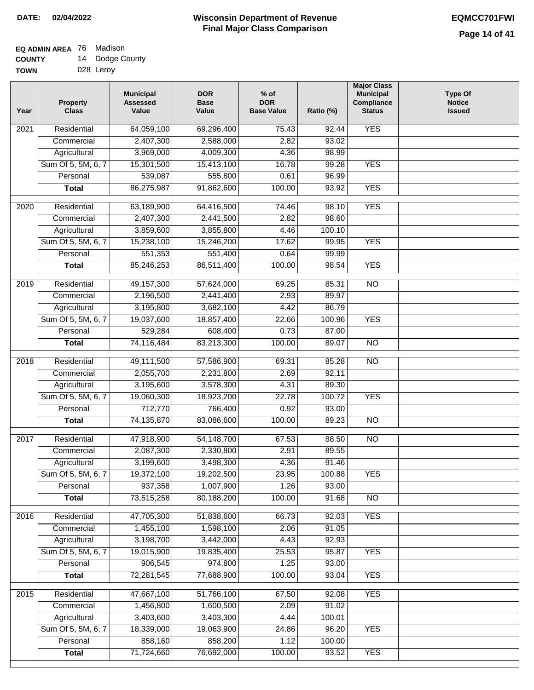|             | . .       |
|-------------|-----------|
| <b>TOWN</b> | 028 Leroy |

| Year              | <b>Property</b><br><b>Class</b> | <b>Municipal</b><br><b>Assessed</b><br>Value | <b>DOR</b><br><b>Base</b><br>Value | $%$ of<br><b>DOR</b><br><b>Base Value</b> | Ratio (%) | <b>Major Class</b><br><b>Municipal</b><br>Compliance<br><b>Status</b> | <b>Type Of</b><br><b>Notice</b><br><b>Issued</b> |
|-------------------|---------------------------------|----------------------------------------------|------------------------------------|-------------------------------------------|-----------|-----------------------------------------------------------------------|--------------------------------------------------|
| $\overline{202}1$ | Residential                     | 64,059,100                                   | 69,296,400                         | 75.43                                     | 92.44     | <b>YES</b>                                                            |                                                  |
|                   | Commercial                      | 2,407,300                                    | 2,588,000                          | 2.82                                      | 93.02     |                                                                       |                                                  |
|                   | Agricultural                    | 3,969,000                                    | 4,009,300                          | 4.36                                      | 98.99     |                                                                       |                                                  |
|                   | Sum Of 5, 5M, 6, 7              | 15,301,500                                   | 15,413,100                         | 16.78                                     | 99.28     | <b>YES</b>                                                            |                                                  |
|                   | Personal                        | 539,087                                      | 555,800                            | 0.61                                      | 96.99     |                                                                       |                                                  |
|                   | <b>Total</b>                    | 86,275,987                                   | 91,862,600                         | 100.00                                    | 93.92     | <b>YES</b>                                                            |                                                  |
| $\overline{2020}$ | Residential                     | 63,189,900                                   | 64,416,500                         | 74.46                                     | 98.10     | <b>YES</b>                                                            |                                                  |
|                   | Commercial                      | 2,407,300                                    | 2,441,500                          | 2.82                                      | 98.60     |                                                                       |                                                  |
|                   | Agricultural                    | 3,859,600                                    | 3,855,800                          | 4.46                                      | 100.10    |                                                                       |                                                  |
|                   | Sum Of 5, 5M, 6, 7              | 15,238,100                                   | 15,246,200                         | 17.62                                     | 99.95     | <b>YES</b>                                                            |                                                  |
|                   | Personal                        | 551,353                                      | 551,400                            | 0.64                                      | 99.99     |                                                                       |                                                  |
|                   | <b>Total</b>                    | 85,246,253                                   | 86,511,400                         | 100.00                                    | 98.54     | <b>YES</b>                                                            |                                                  |
|                   |                                 |                                              |                                    |                                           |           |                                                                       |                                                  |
| 2019              | Residential                     | 49, 157, 300                                 | 57,624,000                         | 69.25                                     | 85.31     | $\overline{NO}$                                                       |                                                  |
|                   | Commercial                      | 2,196,500                                    | 2,441,400                          | 2.93                                      | 89.97     |                                                                       |                                                  |
|                   | Agricultural                    | 3,195,800                                    | 3,682,100                          | 4.42                                      | 86.79     |                                                                       |                                                  |
|                   | Sum Of 5, 5M, 6, 7              | 19,037,600                                   | 18,857,400                         | 22.66                                     | 100.96    | <b>YES</b>                                                            |                                                  |
|                   | Personal                        | 529,284                                      | 608,400                            | 0.73                                      | 87.00     |                                                                       |                                                  |
|                   | <b>Total</b>                    | 74,116,484                                   | 83,213,300                         | 100.00                                    | 89.07     | $\overline{NO}$                                                       |                                                  |
| 2018              | Residential                     | 49,111,500                                   | 57,586,900                         | 69.31                                     | 85.28     | $\overline{10}$                                                       |                                                  |
|                   | Commercial                      | 2,055,700                                    | 2,231,800                          | 2.69                                      | 92.11     |                                                                       |                                                  |
|                   | Agricultural                    | 3,195,600                                    | 3,578,300                          | 4.31                                      | 89.30     |                                                                       |                                                  |
|                   | Sum Of 5, 5M, 6, 7              | 19,060,300                                   | 18,923,200                         | 22.78                                     | 100.72    | <b>YES</b>                                                            |                                                  |
|                   | Personal                        | 712,770                                      | 766,400                            | 0.92                                      | 93.00     |                                                                       |                                                  |
|                   | <b>Total</b>                    | 74,135,870                                   | 83,086,600                         | 100.00                                    | 89.23     | <b>NO</b>                                                             |                                                  |
| 2017              | Residential                     | 47,918,900                                   | 54,148,700                         | 67.53                                     | 88.50     | <b>NO</b>                                                             |                                                  |
|                   | Commercial                      | 2,087,300                                    | 2,330,800                          | 2.91                                      | 89.55     |                                                                       |                                                  |
|                   | Agricultural                    | 3,199,600                                    | 3,498,300                          | 4.36                                      | 91.46     |                                                                       |                                                  |
|                   | Sum Of 5, 5M, 6, 7              | 19,372,100                                   | 19,202,500                         | 23.95                                     | 100.88    | <b>YES</b>                                                            |                                                  |
|                   | Personal                        | 937,358                                      | 1,007,900                          | 1.26                                      | 93.00     |                                                                       |                                                  |
|                   | <b>Total</b>                    | 73,515,258                                   | 80,188,200                         | 100.00                                    | 91.68     | <b>NO</b>                                                             |                                                  |
|                   |                                 |                                              |                                    |                                           |           |                                                                       |                                                  |
| 2016              | Residential                     | 47,705,300                                   | 51,838,600                         | 66.73                                     | 92.03     | <b>YES</b>                                                            |                                                  |
|                   | Commercial                      | 1,455,100                                    | 1,598,100                          | 2.06                                      | 91.05     |                                                                       |                                                  |
|                   | Agricultural                    | 3,198,700                                    | 3,442,000                          | 4.43                                      | 92.93     |                                                                       |                                                  |
|                   | Sum Of 5, 5M, 6, 7              | 19,015,900                                   | 19,835,400                         | 25.53                                     | 95.87     | <b>YES</b>                                                            |                                                  |
|                   | Personal                        | 906,545                                      | 974,800                            | 1.25                                      | 93.00     |                                                                       |                                                  |
|                   | <b>Total</b>                    | 72,281,545                                   | 77,688,900                         | 100.00                                    | 93.04     | <b>YES</b>                                                            |                                                  |
| 2015              | Residential                     | 47,667,100                                   | 51,766,100                         | 67.50                                     | 92.08     | <b>YES</b>                                                            |                                                  |
|                   | Commercial                      | 1,456,800                                    | 1,600,500                          | 2.09                                      | 91.02     |                                                                       |                                                  |
|                   | Agricultural                    | 3,403,600                                    | 3,403,300                          | 4.44                                      | 100.01    |                                                                       |                                                  |
|                   | Sum Of 5, 5M, 6, 7              | 18,339,000                                   | 19,063,900                         | 24.86                                     | 96.20     | <b>YES</b>                                                            |                                                  |
|                   | Personal                        | 858,160                                      | 858,200                            | 1.12                                      | 100.00    |                                                                       |                                                  |
|                   | <b>Total</b>                    | 71,724,660                                   | 76,692,000                         | 100.00                                    | 93.52     | <b>YES</b>                                                            |                                                  |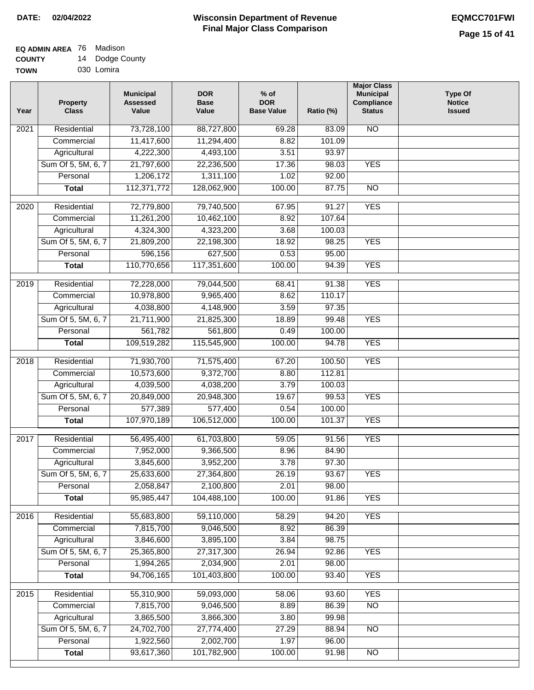| TOWN | 030 Lomira |
|------|------------|

| Year | <b>Property</b><br><b>Class</b> | <b>Municipal</b><br><b>Assessed</b><br>Value | <b>DOR</b><br><b>Base</b><br>Value | $%$ of<br><b>DOR</b><br><b>Base Value</b> | Ratio (%) | <b>Major Class</b><br><b>Municipal</b><br>Compliance<br><b>Status</b> | <b>Type Of</b><br><b>Notice</b><br><b>Issued</b> |
|------|---------------------------------|----------------------------------------------|------------------------------------|-------------------------------------------|-----------|-----------------------------------------------------------------------|--------------------------------------------------|
| 2021 | Residential                     | 73,728,100                                   | 88,727,800                         | 69.28                                     | 83.09     | N <sub>O</sub>                                                        |                                                  |
|      | Commercial                      | 11,417,600                                   | 11,294,400                         | 8.82                                      | 101.09    |                                                                       |                                                  |
|      | Agricultural                    | 4,222,300                                    | 4,493,100                          | 3.51                                      | 93.97     |                                                                       |                                                  |
|      | Sum Of 5, 5M, 6, 7              | 21,797,600                                   | 22,236,500                         | 17.36                                     | 98.03     | <b>YES</b>                                                            |                                                  |
|      | Personal                        | 1,206,172                                    | 1,311,100                          | 1.02                                      | 92.00     |                                                                       |                                                  |
|      | <b>Total</b>                    | 112,371,772                                  | 128,062,900                        | 100.00                                    | 87.75     | $\overline{NO}$                                                       |                                                  |
| 2020 | Residential                     | 72,779,800                                   | 79,740,500                         | 67.95                                     | 91.27     | <b>YES</b>                                                            |                                                  |
|      | Commercial                      | 11,261,200                                   | 10,462,100                         | 8.92                                      | 107.64    |                                                                       |                                                  |
|      | Agricultural                    | 4,324,300                                    | 4,323,200                          | 3.68                                      | 100.03    |                                                                       |                                                  |
|      | Sum Of 5, 5M, 6, 7              | 21,809,200                                   | 22,198,300                         | 18.92                                     | 98.25     | <b>YES</b>                                                            |                                                  |
|      | Personal                        | 596,156                                      | 627,500                            | 0.53                                      | 95.00     |                                                                       |                                                  |
|      | <b>Total</b>                    | 110,770,656                                  | 117,351,600                        | 100.00                                    | 94.39     | <b>YES</b>                                                            |                                                  |
|      |                                 |                                              |                                    |                                           |           |                                                                       |                                                  |
| 2019 | Residential                     | 72,228,000                                   | 79,044,500                         | 68.41                                     | 91.38     | <b>YES</b>                                                            |                                                  |
|      | Commercial                      | 10,978,800                                   | 9,965,400                          | 8.62                                      | 110.17    |                                                                       |                                                  |
|      | Agricultural                    | 4,038,800                                    | 4,148,900                          | 3.59                                      | 97.35     |                                                                       |                                                  |
|      | Sum Of 5, 5M, 6, 7              | 21,711,900                                   | 21,825,300                         | 18.89                                     | 99.48     | <b>YES</b>                                                            |                                                  |
|      | Personal                        | 561,782                                      | 561,800                            | 0.49                                      | 100.00    |                                                                       |                                                  |
|      | <b>Total</b>                    | 109,519,282                                  | 115,545,900                        | 100.00                                    | 94.78     | <b>YES</b>                                                            |                                                  |
| 2018 | Residential                     | 71,930,700                                   | 71,575,400                         | 67.20                                     | 100.50    | <b>YES</b>                                                            |                                                  |
|      | Commercial                      | 10,573,600                                   | 9,372,700                          | 8.80                                      | 112.81    |                                                                       |                                                  |
|      | Agricultural                    | 4,039,500                                    | 4,038,200                          | 3.79                                      | 100.03    |                                                                       |                                                  |
|      | Sum Of 5, 5M, 6, 7              | 20,849,000                                   | 20,948,300                         | 19.67                                     | 99.53     | <b>YES</b>                                                            |                                                  |
|      | Personal                        | 577,389                                      | 577,400                            | 0.54                                      | 100.00    |                                                                       |                                                  |
|      | <b>Total</b>                    | 107,970,189                                  | 106,512,000                        | 100.00                                    | 101.37    | <b>YES</b>                                                            |                                                  |
| 2017 | Residential                     | 56,495,400                                   | 61,703,800                         | 59.05                                     | 91.56     | <b>YES</b>                                                            |                                                  |
|      | Commercial                      | 7,952,000                                    | 9,366,500                          | 8.96                                      | 84.90     |                                                                       |                                                  |
|      | Agricultural                    | 3,845,600                                    | 3,952,200                          | 3.78                                      | 97.30     |                                                                       |                                                  |
|      | Sum Of 5, 5M, 6, 7              | 25,633,600                                   | 27,364,800                         | 26.19                                     | 93.67     | <b>YES</b>                                                            |                                                  |
|      | Personal                        | 2,058,847                                    | 2,100,800                          | 2.01                                      | 98.00     |                                                                       |                                                  |
|      | <b>Total</b>                    | 95,985,447                                   | 104,488,100                        | 100.00                                    | 91.86     | <b>YES</b>                                                            |                                                  |
|      |                                 |                                              |                                    |                                           |           |                                                                       |                                                  |
| 2016 | Residential                     | 55,683,800                                   | 59,110,000                         | 58.29                                     | 94.20     | <b>YES</b>                                                            |                                                  |
|      | Commercial                      | 7,815,700                                    | 9,046,500                          | 8.92                                      | 86.39     |                                                                       |                                                  |
|      | Agricultural                    | 3,846,600                                    | 3,895,100                          | 3.84                                      | 98.75     |                                                                       |                                                  |
|      | Sum Of 5, 5M, 6, 7              | 25,365,800                                   | 27,317,300                         | 26.94                                     | 92.86     | <b>YES</b>                                                            |                                                  |
|      | Personal                        | 1,994,265                                    | 2,034,900                          | 2.01                                      | 98.00     |                                                                       |                                                  |
|      | <b>Total</b>                    | 94,706,165                                   | 101,403,800                        | 100.00                                    | 93.40     | <b>YES</b>                                                            |                                                  |
| 2015 | Residential                     | 55,310,900                                   | 59,093,000                         | 58.06                                     | 93.60     | <b>YES</b>                                                            |                                                  |
|      | Commercial                      | 7,815,700                                    | 9,046,500                          | 8.89                                      | 86.39     | N <sub>O</sub>                                                        |                                                  |
|      | Agricultural                    | 3,865,500                                    | 3,866,300                          | 3.80                                      | 99.98     |                                                                       |                                                  |
|      | Sum Of 5, 5M, 6, 7              | 24,702,700                                   | 27,774,400                         | 27.29                                     | 88.94     | <b>NO</b>                                                             |                                                  |
|      | Personal                        | 1,922,560                                    | 2,002,700                          | 1.97                                      | 96.00     |                                                                       |                                                  |
|      | <b>Total</b>                    | 93,617,360                                   | 101,782,900                        | 100.00                                    | 91.98     | N <sub>O</sub>                                                        |                                                  |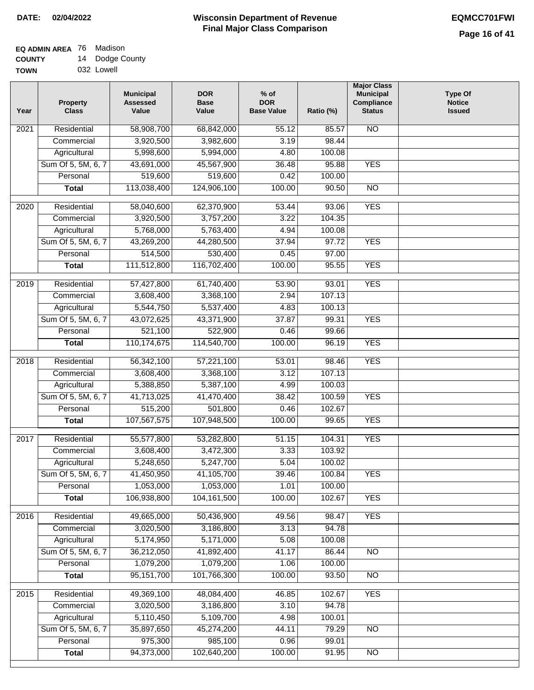| <b>TOWN</b> | 032 Lowell |
|-------------|------------|

| Year              | <b>Property</b><br><b>Class</b> | <b>Municipal</b><br><b>Assessed</b><br>Value | <b>DOR</b><br><b>Base</b><br>Value | % of<br><b>DOR</b><br><b>Base Value</b> | Ratio (%) | <b>Major Class</b><br><b>Municipal</b><br>Compliance<br><b>Status</b> | <b>Type Of</b><br><b>Notice</b><br><b>Issued</b> |
|-------------------|---------------------------------|----------------------------------------------|------------------------------------|-----------------------------------------|-----------|-----------------------------------------------------------------------|--------------------------------------------------|
| $\overline{202}1$ | Residential                     | 58,908,700                                   | 68,842,000                         | 55.12                                   | 85.57     | N <sub>O</sub>                                                        |                                                  |
|                   | Commercial                      | 3,920,500                                    | 3,982,600                          | 3.19                                    | 98.44     |                                                                       |                                                  |
|                   | Agricultural                    | 5,998,600                                    | 5,994,000                          | 4.80                                    | 100.08    |                                                                       |                                                  |
|                   | Sum Of 5, 5M, 6, 7              | 43,691,000                                   | 45,567,900                         | 36.48                                   | 95.88     | <b>YES</b>                                                            |                                                  |
|                   | Personal                        | 519,600                                      | 519,600                            | 0.42                                    | 100.00    |                                                                       |                                                  |
|                   | <b>Total</b>                    | 113,038,400                                  | 124,906,100                        | 100.00                                  | 90.50     | $\overline{NO}$                                                       |                                                  |
| $\overline{2020}$ | Residential                     | 58,040,600                                   | 62,370,900                         | 53.44                                   | 93.06     | <b>YES</b>                                                            |                                                  |
|                   | Commercial                      | 3,920,500                                    | 3,757,200                          | 3.22                                    | 104.35    |                                                                       |                                                  |
|                   | Agricultural                    | 5,768,000                                    | 5,763,400                          | 4.94                                    | 100.08    |                                                                       |                                                  |
|                   | Sum Of 5, 5M, 6, 7              | 43,269,200                                   | 44,280,500                         | 37.94                                   | 97.72     | <b>YES</b>                                                            |                                                  |
|                   | Personal                        | 514,500                                      | 530,400                            | 0.45                                    | 97.00     |                                                                       |                                                  |
|                   | <b>Total</b>                    | 111,512,800                                  | 116,702,400                        | 100.00                                  | 95.55     | <b>YES</b>                                                            |                                                  |
| $\frac{1}{2019}$  | Residential                     | 57,427,800                                   | 61,740,400                         | 53.90                                   | 93.01     | <b>YES</b>                                                            |                                                  |
|                   | Commercial                      | 3,608,400                                    | 3,368,100                          | 2.94                                    | 107.13    |                                                                       |                                                  |
|                   | Agricultural                    | 5,544,750                                    | 5,537,400                          | 4.83                                    | 100.13    |                                                                       |                                                  |
|                   | Sum Of 5, 5M, 6, 7              | 43,072,625                                   | 43,371,900                         | 37.87                                   | 99.31     | <b>YES</b>                                                            |                                                  |
|                   | Personal                        | 521,100                                      | 522,900                            | 0.46                                    | 99.66     |                                                                       |                                                  |
|                   | <b>Total</b>                    | 110,174,675                                  | 114,540,700                        | 100.00                                  | 96.19     | <b>YES</b>                                                            |                                                  |
|                   |                                 |                                              |                                    |                                         |           |                                                                       |                                                  |
| 2018              | Residential                     | 56,342,100                                   | 57,221,100                         | 53.01                                   | 98.46     | <b>YES</b>                                                            |                                                  |
|                   | Commercial                      | 3,608,400                                    | 3,368,100                          | 3.12                                    | 107.13    |                                                                       |                                                  |
|                   | Agricultural                    | 5,388,850                                    | 5,387,100                          | 4.99                                    | 100.03    |                                                                       |                                                  |
|                   | Sum Of 5, 5M, 6, 7              | 41,713,025                                   | 41,470,400                         | 38.42                                   | 100.59    | <b>YES</b>                                                            |                                                  |
|                   | Personal                        | 515,200                                      | 501,800                            | 0.46                                    | 102.67    |                                                                       |                                                  |
|                   | <b>Total</b>                    | 107,567,575                                  | 107,948,500                        | 100.00                                  | 99.65     | <b>YES</b>                                                            |                                                  |
| 2017              | Residential                     | 55,577,800                                   | 53,282,800                         | 51.15                                   | 104.31    | <b>YES</b>                                                            |                                                  |
|                   | Commercial                      | 3,608,400                                    | 3,472,300                          | 3.33                                    | 103.92    |                                                                       |                                                  |
|                   | Agricultural                    | 5,248,650                                    | 5,247,700                          | 5.04                                    | 100.02    |                                                                       |                                                  |
|                   | Sum Of 5, 5M, 6, 7              | 41,450,950                                   | 41,105,700                         | 39.46                                   | 100.84    | <b>YES</b>                                                            |                                                  |
|                   | Personal                        | 1,053,000                                    | 1,053,000                          | 1.01                                    | 100.00    |                                                                       |                                                  |
|                   | <b>Total</b>                    | 106,938,800                                  | 104,161,500                        | 100.00                                  | 102.67    | <b>YES</b>                                                            |                                                  |
| 2016              | Residential                     | 49,665,000                                   | 50,436,900                         | 49.56                                   | 98.47     | <b>YES</b>                                                            |                                                  |
|                   | Commercial                      | 3,020,500                                    | 3,186,800                          | 3.13                                    | 94.78     |                                                                       |                                                  |
|                   | Agricultural                    | 5,174,950                                    | 5,171,000                          | 5.08                                    | 100.08    |                                                                       |                                                  |
|                   | Sum Of 5, 5M, 6, 7              | 36,212,050                                   | 41,892,400                         | 41.17                                   | 86.44     | N <sub>O</sub>                                                        |                                                  |
|                   | Personal                        | 1,079,200                                    | 1,079,200                          | 1.06                                    | 100.00    |                                                                       |                                                  |
|                   | <b>Total</b>                    | 95, 151, 700                                 | 101,766,300                        | 100.00                                  | 93.50     | N <sub>O</sub>                                                        |                                                  |
| 2015              | Residential                     | 49,369,100                                   | 48,084,400                         | 46.85                                   | 102.67    | <b>YES</b>                                                            |                                                  |
|                   | Commercial                      | 3,020,500                                    | 3,186,800                          | 3.10                                    | 94.78     |                                                                       |                                                  |
|                   | Agricultural                    | 5,110,450                                    | 5,109,700                          | 4.98                                    | 100.01    |                                                                       |                                                  |
|                   | Sum Of 5, 5M, 6, 7              | 35,897,650                                   | 45,274,200                         | 44.11                                   | 79.29     | <b>NO</b>                                                             |                                                  |
|                   | Personal                        | 975,300                                      | 985,100                            | 0.96                                    | 99.01     |                                                                       |                                                  |
|                   | <b>Total</b>                    | 94,373,000                                   | 102,640,200                        | 100.00                                  | 91.95     | <b>NO</b>                                                             |                                                  |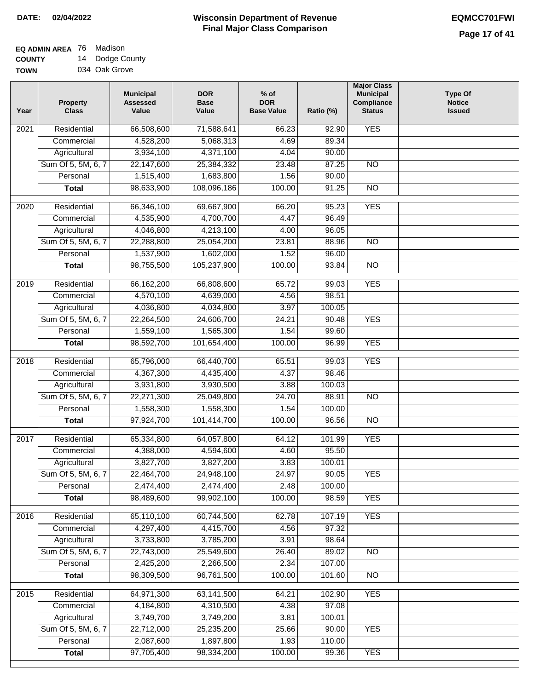#### **EQ ADMIN AREA** 76 Madison **COUNTY** 14 Dodge County

**TOWN** 034 Oak Grove

| Year             | <b>Property</b><br><b>Class</b> | <b>Municipal</b><br><b>Assessed</b><br>Value | <b>DOR</b><br><b>Base</b><br>Value | $%$ of<br><b>DOR</b><br><b>Base Value</b> | Ratio (%)         | <b>Major Class</b><br><b>Municipal</b><br>Compliance<br><b>Status</b> | <b>Type Of</b><br><b>Notice</b><br><b>Issued</b> |
|------------------|---------------------------------|----------------------------------------------|------------------------------------|-------------------------------------------|-------------------|-----------------------------------------------------------------------|--------------------------------------------------|
| 2021             | Residential                     | 66,508,600                                   | 71,588,641                         | 66.23                                     | $\frac{1}{92.90}$ | <b>YES</b>                                                            |                                                  |
|                  | Commercial                      | 4,528,200                                    | 5,068,313                          | 4.69                                      | 89.34             |                                                                       |                                                  |
|                  | Agricultural                    | 3,934,100                                    | 4,371,100                          | 4.04                                      | 90.00             |                                                                       |                                                  |
|                  | Sum Of 5, 5M, 6, 7              | 22,147,600                                   | 25,384,332                         | 23.48                                     | 87.25             | $\overline{NO}$                                                       |                                                  |
|                  | Personal                        | 1,515,400                                    | 1,683,800                          | 1.56                                      | 90.00             |                                                                       |                                                  |
|                  | <b>Total</b>                    | 98,633,900                                   | 108,096,186                        | 100.00                                    | 91.25             | $\overline{NO}$                                                       |                                                  |
| $\frac{1}{2020}$ | Residential                     | 66,346,100                                   | 69,667,900                         | 66.20                                     | 95.23             | <b>YES</b>                                                            |                                                  |
|                  | Commercial                      | 4,535,900                                    | 4,700,700                          | 4.47                                      | 96.49             |                                                                       |                                                  |
|                  | Agricultural                    | 4,046,800                                    | 4,213,100                          | 4.00                                      | 96.05             |                                                                       |                                                  |
|                  | Sum Of 5, 5M, 6, 7              | 22,288,800                                   | 25,054,200                         | 23.81                                     | 88.96             | <b>NO</b>                                                             |                                                  |
|                  | Personal                        | 1,537,900                                    | 1,602,000                          | 1.52                                      | 96.00             |                                                                       |                                                  |
|                  | <b>Total</b>                    | 98,755,500                                   | 105,237,900                        | 100.00                                    | 93.84             | $\overline{NO}$                                                       |                                                  |
|                  |                                 |                                              |                                    |                                           |                   |                                                                       |                                                  |
| $\frac{1}{2019}$ | Residential                     | 66,162,200                                   | 66,808,600                         | 65.72                                     | 99.03             | <b>YES</b>                                                            |                                                  |
|                  | Commercial                      | 4,570,100                                    | 4,639,000                          | 4.56                                      | 98.51             |                                                                       |                                                  |
|                  | Agricultural                    | 4,036,800                                    | 4,034,800                          | 3.97                                      | 100.05            |                                                                       |                                                  |
|                  | Sum Of 5, 5M, 6, 7              | 22,264,500                                   | 24,606,700                         | 24.21                                     | 90.48             | <b>YES</b>                                                            |                                                  |
|                  | Personal                        | 1,559,100                                    | 1,565,300                          | 1.54                                      | 99.60             |                                                                       |                                                  |
|                  | <b>Total</b>                    | 98,592,700                                   | 101,654,400                        | 100.00                                    | 96.99             | <b>YES</b>                                                            |                                                  |
| 2018             | Residential                     | 65,796,000                                   | 66,440,700                         | 65.51                                     | 99.03             | <b>YES</b>                                                            |                                                  |
|                  | Commercial                      | 4,367,300                                    | 4,435,400                          | 4.37                                      | 98.46             |                                                                       |                                                  |
|                  | Agricultural                    | 3,931,800                                    | 3,930,500                          | 3.88                                      | 100.03            |                                                                       |                                                  |
|                  | Sum Of 5, 5M, 6, 7              | 22,271,300                                   | 25,049,800                         | 24.70                                     | 88.91             | <b>NO</b>                                                             |                                                  |
|                  | Personal                        | 1,558,300                                    | 1,558,300                          | 1.54                                      | 100.00            |                                                                       |                                                  |
|                  | <b>Total</b>                    | 97,924,700                                   | 101,414,700                        | 100.00                                    | 96.56             | $\overline{10}$                                                       |                                                  |
| 2017             | Residential                     | 65,334,800                                   | 64,057,800                         | 64.12                                     | 101.99            | <b>YES</b>                                                            |                                                  |
|                  | Commercial                      | 4,388,000                                    | 4,594,600                          | 4.60                                      | 95.50             |                                                                       |                                                  |
|                  | Agricultural                    | 3,827,700                                    | 3,827,200                          | 3.83                                      | 100.01            |                                                                       |                                                  |
|                  | Sum Of 5, 5M, 6, 7              | 22,464,700                                   | 24,948,100                         | 24.97                                     | 90.05             | <b>YES</b>                                                            |                                                  |
|                  | Personal                        | 2,474,400                                    | 2,474,400                          | 2.48                                      | 100.00            |                                                                       |                                                  |
|                  | <b>Total</b>                    | 98,489,600                                   | 99,902,100                         | 100.00                                    | 98.59             | <b>YES</b>                                                            |                                                  |
|                  |                                 |                                              |                                    |                                           |                   |                                                                       |                                                  |
| 2016             | Residential                     | 65,110,100                                   | 60,744,500                         | 62.78                                     | 107.19            | <b>YES</b>                                                            |                                                  |
|                  | Commercial                      | 4,297,400                                    | 4,415,700                          | 4.56                                      | 97.32             |                                                                       |                                                  |
|                  | Agricultural                    | 3,733,800                                    | 3,785,200                          | 3.91                                      | 98.64             |                                                                       |                                                  |
|                  | Sum Of 5, 5M, 6, 7              | 22,743,000                                   | 25,549,600                         | 26.40                                     | 89.02             | <b>NO</b>                                                             |                                                  |
|                  | Personal                        | 2,425,200                                    | 2,266,500                          | 2.34                                      | 107.00            |                                                                       |                                                  |
|                  | <b>Total</b>                    | 98,309,500                                   | 96,761,500                         | 100.00                                    | 101.60            | N <sub>O</sub>                                                        |                                                  |
| 2015             | Residential                     | 64,971,300                                   | 63,141,500                         | 64.21                                     | 102.90            | <b>YES</b>                                                            |                                                  |
|                  | Commercial                      | 4,184,800                                    | 4,310,500                          | 4.38                                      | 97.08             |                                                                       |                                                  |
|                  | Agricultural                    | 3,749,700                                    | 3,749,200                          | 3.81                                      | 100.01            |                                                                       |                                                  |
|                  | Sum Of 5, 5M, 6, 7              | 22,712,000                                   | 25,235,200                         | 25.66                                     | 90.00             | <b>YES</b>                                                            |                                                  |
|                  | Personal                        | 2,087,600                                    | 1,897,800                          | 1.93                                      | 110.00            |                                                                       |                                                  |
|                  | <b>Total</b>                    | 97,705,400                                   | 98,334,200                         | 100.00                                    | 99.36             | <b>YES</b>                                                            |                                                  |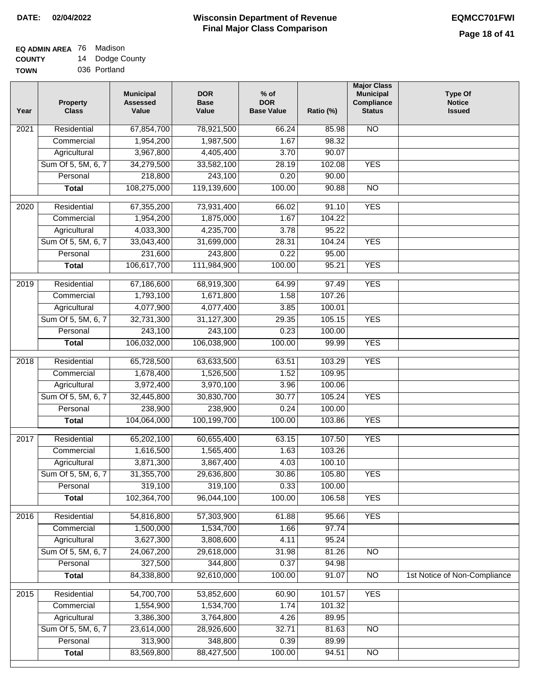| - - - - - - - |              |
|---------------|--------------|
| <b>TOWN</b>   | 036 Portland |

| Year | <b>Property</b><br><b>Class</b> | <b>Municipal</b><br><b>Assessed</b><br>Value | <b>DOR</b><br><b>Base</b><br>Value | $%$ of<br><b>DOR</b><br><b>Base Value</b> | Ratio (%) | <b>Major Class</b><br><b>Municipal</b><br>Compliance<br><b>Status</b> | <b>Type Of</b><br><b>Notice</b><br><b>Issued</b> |
|------|---------------------------------|----------------------------------------------|------------------------------------|-------------------------------------------|-----------|-----------------------------------------------------------------------|--------------------------------------------------|
| 2021 | Residential                     | 67,854,700                                   | 78,921,500                         | 66.24                                     | 85.98     | N <sub>O</sub>                                                        |                                                  |
|      | Commercial                      | 1,954,200                                    | 1,987,500                          | 1.67                                      | 98.32     |                                                                       |                                                  |
|      | Agricultural                    | 3,967,800                                    | 4,405,400                          | 3.70                                      | 90.07     |                                                                       |                                                  |
|      | Sum Of 5, 5M, 6, 7              | 34,279,500                                   | 33,582,100                         | 28.19                                     | 102.08    | <b>YES</b>                                                            |                                                  |
|      | Personal                        | 218,800                                      | 243,100                            | 0.20                                      | 90.00     |                                                                       |                                                  |
|      | <b>Total</b>                    | 108,275,000                                  | 119,139,600                        | 100.00                                    | 90.88     | $\overline{NO}$                                                       |                                                  |
| 2020 | Residential                     | 67,355,200                                   | 73,931,400                         | 66.02                                     | 91.10     | <b>YES</b>                                                            |                                                  |
|      | Commercial                      | 1,954,200                                    | 1,875,000                          | 1.67                                      | 104.22    |                                                                       |                                                  |
|      | Agricultural                    | 4,033,300                                    | 4,235,700                          | 3.78                                      | 95.22     |                                                                       |                                                  |
|      | Sum Of 5, 5M, 6, 7              | 33,043,400                                   | 31,699,000                         | 28.31                                     | 104.24    | <b>YES</b>                                                            |                                                  |
|      | Personal                        | 231,600                                      | 243,800                            | 0.22                                      | 95.00     |                                                                       |                                                  |
|      | <b>Total</b>                    | 106,617,700                                  | 111,984,900                        | 100.00                                    | 95.21     | <b>YES</b>                                                            |                                                  |
| 2019 | Residential                     | 67,186,600                                   | 68,919,300                         | 64.99                                     | 97.49     | <b>YES</b>                                                            |                                                  |
|      | Commercial                      | 1,793,100                                    | 1,671,800                          | 1.58                                      | 107.26    |                                                                       |                                                  |
|      | Agricultural                    | 4,077,900                                    | 4,077,400                          | 3.85                                      | 100.01    |                                                                       |                                                  |
|      | Sum Of 5, 5M, 6, 7              | 32,731,300                                   | 31,127,300                         | 29.35                                     | 105.15    | <b>YES</b>                                                            |                                                  |
|      | Personal                        | 243,100                                      | 243,100                            | 0.23                                      | 100.00    |                                                                       |                                                  |
|      | <b>Total</b>                    | 106,032,000                                  | 106,038,900                        | 100.00                                    | 99.99     | <b>YES</b>                                                            |                                                  |
| 2018 | Residential                     | 65,728,500                                   | 63,633,500                         | 63.51                                     | 103.29    | <b>YES</b>                                                            |                                                  |
|      | Commercial                      | 1,678,400                                    | 1,526,500                          | 1.52                                      | 109.95    |                                                                       |                                                  |
|      | Agricultural                    | 3,972,400                                    | 3,970,100                          | 3.96                                      | 100.06    |                                                                       |                                                  |
|      | Sum Of 5, 5M, 6, 7              | 32,445,800                                   | 30,830,700                         | 30.77                                     | 105.24    | <b>YES</b>                                                            |                                                  |
|      | Personal                        | 238,900                                      | 238,900                            | 0.24                                      | 100.00    |                                                                       |                                                  |
|      | <b>Total</b>                    | 104,064,000                                  | 100,199,700                        | 100.00                                    | 103.86    | <b>YES</b>                                                            |                                                  |
|      |                                 |                                              |                                    |                                           |           |                                                                       |                                                  |
| 2017 | Residential                     | 65,202,100                                   | 60,655,400                         | 63.15                                     | 107.50    | <b>YES</b>                                                            |                                                  |
|      | Commercial                      | 1,616,500                                    | 1,565,400                          | 1.63                                      | 103.26    |                                                                       |                                                  |
|      | Agricultural                    | 3,871,300                                    | 3,867,400                          | 4.03                                      | 100.10    |                                                                       |                                                  |
|      | Sum Of 5, 5M, 6, 7              | 31,355,700                                   | 29,636,800                         | 30.86                                     | 105.80    | <b>YES</b>                                                            |                                                  |
|      | Personal                        | 319,100                                      | 319,100                            | 0.33                                      | 100.00    |                                                                       |                                                  |
|      | <b>Total</b>                    | 102,364,700                                  | 96,044,100                         | 100.00                                    | 106.58    | <b>YES</b>                                                            |                                                  |
| 2016 | Residential                     | 54,816,800                                   | 57,303,900                         | 61.88                                     | 95.66     | <b>YES</b>                                                            |                                                  |
|      | Commercial                      | 1,500,000                                    | 1,534,700                          | 1.66                                      | 97.74     |                                                                       |                                                  |
|      | Agricultural                    | 3,627,300                                    | 3,808,600                          | 4.11                                      | 95.24     |                                                                       |                                                  |
|      | Sum Of 5, 5M, 6, 7              | 24,067,200                                   | 29,618,000                         | 31.98                                     | 81.26     | N <sub>O</sub>                                                        |                                                  |
|      | Personal                        | 327,500                                      | 344,800                            | 0.37                                      | 94.98     |                                                                       |                                                  |
|      | <b>Total</b>                    | 84,338,800                                   | 92,610,000                         | 100.00                                    | 91.07     | $\overline{NO}$                                                       | 1st Notice of Non-Compliance                     |
| 2015 | Residential                     | 54,700,700                                   | 53,852,600                         | 60.90                                     | 101.57    | <b>YES</b>                                                            |                                                  |
|      | Commercial                      | 1,554,900                                    | 1,534,700                          | 1.74                                      | 101.32    |                                                                       |                                                  |
|      | Agricultural                    | 3,386,300                                    | 3,764,800                          | 4.26                                      | 89.95     |                                                                       |                                                  |
|      | Sum Of 5, 5M, 6, 7              | 23,614,000                                   | 28,926,600                         | 32.71                                     | 81.63     | <b>NO</b>                                                             |                                                  |
|      | Personal                        | 313,900                                      | 348,800                            | 0.39                                      | 89.99     |                                                                       |                                                  |
|      | <b>Total</b>                    | 83,569,800                                   | 88,427,500                         | 100.00                                    | 94.51     | <b>NO</b>                                                             |                                                  |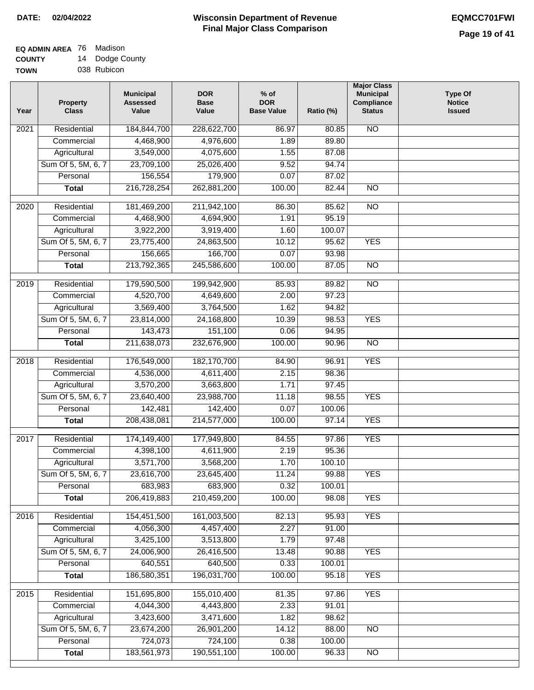#### **EQ ADMIN AREA** 76 Madison **COUNTY** 14 Dodge County

**TOWN** 038 Rubicon

| Year              | <b>Property</b><br><b>Class</b>    | <b>Municipal</b><br><b>Assessed</b><br>Value | <b>DOR</b><br><b>Base</b><br>Value | % of<br><b>DOR</b><br><b>Base Value</b> | Ratio (%) | <b>Municipal</b><br>Compliance<br><b>Status</b> | <b>Type Of</b><br><b>Notice</b><br><b>Issued</b> |
|-------------------|------------------------------------|----------------------------------------------|------------------------------------|-----------------------------------------|-----------|-------------------------------------------------|--------------------------------------------------|
| $\overline{202}1$ | Residential                        | 184,844,700                                  | 228,622,700                        | 86.97                                   | 80.85     | <b>NO</b>                                       |                                                  |
|                   | Commercial                         | 4,468,900                                    | 4,976,600                          | 1.89                                    | 89.80     |                                                 |                                                  |
|                   | Agricultural                       | 3,549,000                                    | 4,075,600                          | 1.55                                    | 87.08     |                                                 |                                                  |
|                   | Sum Of 5, 5M, 6, 7                 | 23,709,100                                   | 25,026,400                         | 9.52                                    | 94.74     |                                                 |                                                  |
|                   | Personal                           | 156,554                                      | 179,900                            | 0.07                                    | 87.02     |                                                 |                                                  |
|                   | <b>Total</b>                       | 216,728,254                                  | 262,881,200                        | 100.00                                  | 82.44     | $\overline{NO}$                                 |                                                  |
| $\overline{2020}$ | Residential                        | 181,469,200                                  | 211,942,100                        | 86.30                                   | 85.62     | $\overline{NO}$                                 |                                                  |
|                   | Commercial                         | 4,468,900                                    | 4,694,900                          | 1.91                                    | 95.19     |                                                 |                                                  |
|                   | Agricultural                       | 3,922,200                                    | 3,919,400                          | 1.60                                    | 100.07    |                                                 |                                                  |
|                   | Sum Of 5, 5M, 6, 7                 | 23,775,400                                   | 24,863,500                         | 10.12                                   | 95.62     | <b>YES</b>                                      |                                                  |
|                   | Personal                           | 156,665                                      | 166,700                            | 0.07                                    | 93.98     |                                                 |                                                  |
|                   | <b>Total</b>                       | 213,792,365                                  | 245,586,600                        | 100.00                                  | 87.05     | $\overline{NO}$                                 |                                                  |
| 2019              | Residential                        | 179,590,500                                  | 199,942,900                        | 85.93                                   | 89.82     | <b>NO</b>                                       |                                                  |
|                   | Commercial                         | 4,520,700                                    | 4,649,600                          | 2.00                                    | 97.23     |                                                 |                                                  |
|                   |                                    | 3,569,400                                    | 3,764,500                          | 1.62                                    | 94.82     |                                                 |                                                  |
|                   | Agricultural<br>Sum Of 5, 5M, 6, 7 | 23,814,000                                   | 24,168,800                         | 10.39                                   | 98.53     | <b>YES</b>                                      |                                                  |
|                   | Personal                           | 143,473                                      | 151,100                            | 0.06                                    | 94.95     |                                                 |                                                  |
|                   | <b>Total</b>                       | 211,638,073                                  | 232,676,900                        | 100.00                                  | 90.96     | $\overline{NO}$                                 |                                                  |
|                   |                                    |                                              |                                    |                                         |           |                                                 |                                                  |
| 2018              | Residential                        | 176,549,000                                  | 182,170,700                        | 84.90                                   | 96.91     | <b>YES</b>                                      |                                                  |
|                   | Commercial                         | 4,536,000                                    | 4,611,400                          | 2.15                                    | 98.36     |                                                 |                                                  |
|                   | Agricultural                       | 3,570,200                                    | 3,663,800                          | 1.71                                    | 97.45     |                                                 |                                                  |
|                   | Sum Of 5, 5M, 6, 7                 | 23,640,400                                   | 23,988,700                         | 11.18                                   | 98.55     | <b>YES</b>                                      |                                                  |
|                   | Personal                           | 142,481                                      | 142,400                            | 0.07                                    | 100.06    |                                                 |                                                  |
|                   | <b>Total</b>                       | 208,438,081                                  | 214,577,000                        | 100.00                                  | 97.14     | <b>YES</b>                                      |                                                  |
| 2017              | Residential                        | 174,149,400                                  | 177,949,800                        | 84.55                                   | 97.86     | <b>YES</b>                                      |                                                  |
|                   | Commercial                         | 4,398,100                                    | 4,611,900                          | 2.19                                    | 95.36     |                                                 |                                                  |
|                   | Agricultural                       | 3,571,700                                    | 3,568,200                          | 1.70                                    | 100.10    |                                                 |                                                  |
|                   | Sum Of 5, 5M, 6, 7                 | 23,616,700                                   | 23,645,400                         | 11.24                                   | 99.88     | <b>YES</b>                                      |                                                  |
|                   | Personal                           | 683,983                                      | 683,900                            | 0.32                                    | 100.01    |                                                 |                                                  |
|                   | <b>Total</b>                       | 206,419,883                                  | 210,459,200                        | 100.00                                  | 98.08     | <b>YES</b>                                      |                                                  |
| 2016              | Residential                        | 154,451,500                                  | 161,003,500                        | 82.13                                   | 95.93     | <b>YES</b>                                      |                                                  |
|                   | Commercial                         | 4,056,300                                    | 4,457,400                          | 2.27                                    | 91.00     |                                                 |                                                  |
|                   | Agricultural                       | 3,425,100                                    | 3,513,800                          | 1.79                                    | 97.48     |                                                 |                                                  |
|                   | Sum Of 5, 5M, 6, 7                 | 24,006,900                                   | 26,416,500                         | 13.48                                   | 90.88     | <b>YES</b>                                      |                                                  |
|                   | Personal                           | 640,551                                      | 640,500                            | 0.33                                    | 100.01    |                                                 |                                                  |
|                   | <b>Total</b>                       | 186,580,351                                  | 196,031,700                        | 100.00                                  | 95.18     | <b>YES</b>                                      |                                                  |
| 2015              | Residential                        | 151,695,800                                  | 155,010,400                        | 81.35                                   | 97.86     | <b>YES</b>                                      |                                                  |
|                   | Commercial                         | 4,044,300                                    | 4,443,800                          | 2.33                                    | 91.01     |                                                 |                                                  |
|                   | Agricultural                       | 3,423,600                                    | 3,471,600                          | 1.82                                    | 98.62     |                                                 |                                                  |
|                   | Sum Of 5, 5M, 6, 7                 | 23,674,200                                   | 26,901,200                         | 14.12                                   | 88.00     | $\overline{NO}$                                 |                                                  |
|                   | Personal                           | 724,073                                      | 724,100                            | 0.38                                    | 100.00    |                                                 |                                                  |
|                   | <b>Total</b>                       | 183,561,973                                  | 190,551,100                        | 100.00                                  | 96.33     | N <sub>O</sub>                                  |                                                  |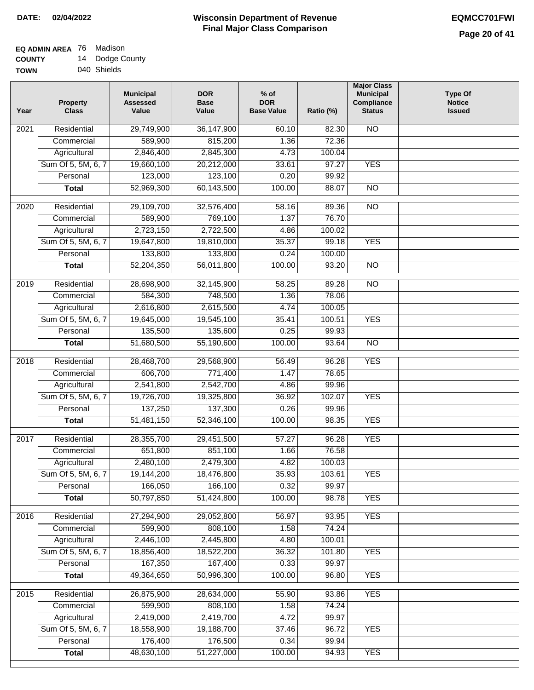#### **Wisconsin Department of Revenue Final Major Class Comparison DATE: 02/04/2022 EQMCC701FWI**

#### **EQ ADMIN AREA** 76 Madison **COUNTY** 14 Dodge County

| - - - - - - - |             |
|---------------|-------------|
| <b>TOWN</b>   | 040 Shields |

| Year | <b>Property</b><br><b>Class</b> | <b>Municipal</b><br><b>Assessed</b><br>Value | <b>DOR</b><br><b>Base</b><br>Value | $%$ of<br><b>DOR</b><br><b>Base Value</b> | Ratio (%) | <b>Major Class</b><br><b>Municipal</b><br>Compliance<br><b>Status</b> | <b>Type Of</b><br><b>Notice</b><br><b>Issued</b> |
|------|---------------------------------|----------------------------------------------|------------------------------------|-------------------------------------------|-----------|-----------------------------------------------------------------------|--------------------------------------------------|
| 2021 | Residential                     | 29,749,900                                   | 36,147,900                         | 60.10                                     | 82.30     | <b>NO</b>                                                             |                                                  |
|      | Commercial                      | 589,900                                      | 815,200                            | 1.36                                      | 72.36     |                                                                       |                                                  |
|      | Agricultural                    | 2,846,400                                    | 2,845,300                          | 4.73                                      | 100.04    |                                                                       |                                                  |
|      | Sum Of 5, 5M, 6, 7              | 19,660,100                                   | 20,212,000                         | 33.61                                     | 97.27     | <b>YES</b>                                                            |                                                  |
|      | Personal                        | 123,000                                      | 123,100                            | 0.20                                      | 99.92     |                                                                       |                                                  |
|      | <b>Total</b>                    | 52,969,300                                   | 60,143,500                         | 100.00                                    | 88.07     | $\overline{NO}$                                                       |                                                  |
| 2020 | Residential                     | 29,109,700                                   | 32,576,400                         | 58.16                                     | 89.36     | $\overline{NO}$                                                       |                                                  |
|      | Commercial                      | 589,900                                      | 769,100                            | 1.37                                      | 76.70     |                                                                       |                                                  |
|      | Agricultural                    | 2,723,150                                    | 2,722,500                          | 4.86                                      | 100.02    |                                                                       |                                                  |
|      | Sum Of 5, 5M, 6, 7              | 19,647,800                                   | 19,810,000                         | 35.37                                     | 99.18     | <b>YES</b>                                                            |                                                  |
|      | Personal                        | 133,800                                      | 133,800                            | 0.24                                      | 100.00    |                                                                       |                                                  |
|      | <b>Total</b>                    | 52,204,350                                   | 56,011,800                         | 100.00                                    | 93.20     | $\overline{NO}$                                                       |                                                  |
|      |                                 |                                              |                                    |                                           |           |                                                                       |                                                  |
| 2019 | Residential                     | 28,698,900                                   | 32,145,900                         | 58.25                                     | 89.28     | N <sub>O</sub>                                                        |                                                  |
|      | Commercial                      | 584,300                                      | 748,500                            | 1.36                                      | 78.06     |                                                                       |                                                  |
|      | Agricultural                    | 2,616,800                                    | 2,615,500                          | 4.74                                      | 100.05    |                                                                       |                                                  |
|      | Sum Of 5, 5M, 6, 7              | 19,645,000                                   | 19,545,100                         | 35.41                                     | 100.51    | <b>YES</b>                                                            |                                                  |
|      | Personal                        | 135,500                                      | 135,600                            | 0.25                                      | 99.93     |                                                                       |                                                  |
|      | <b>Total</b>                    | 51,680,500                                   | 55,190,600                         | 100.00                                    | 93.64     | <b>NO</b>                                                             |                                                  |
| 2018 | Residential                     | 28,468,700                                   | 29,568,900                         | 56.49                                     | 96.28     | <b>YES</b>                                                            |                                                  |
|      | Commercial                      | 606,700                                      | 771,400                            | 1.47                                      | 78.65     |                                                                       |                                                  |
|      | Agricultural                    | 2,541,800                                    | 2,542,700                          | 4.86                                      | 99.96     |                                                                       |                                                  |
|      | Sum Of 5, 5M, 6, 7              | 19,726,700                                   | 19,325,800                         | 36.92                                     | 102.07    | <b>YES</b>                                                            |                                                  |
|      | Personal                        | 137,250                                      | 137,300                            | 0.26                                      | 99.96     |                                                                       |                                                  |
|      | <b>Total</b>                    | 51,481,150                                   | 52,346,100                         | 100.00                                    | 98.35     | <b>YES</b>                                                            |                                                  |
| 2017 | Residential                     | 28,355,700                                   | 29,451,500                         | 57.27                                     | 96.28     | <b>YES</b>                                                            |                                                  |
|      | Commercial                      | 651,800                                      | 851,100                            | 1.66                                      | 76.58     |                                                                       |                                                  |
|      | Agricultural                    | 2,480,100                                    | 2,479,300                          | 4.82                                      | 100.03    |                                                                       |                                                  |
|      | Sum Of 5, 5M, 6, 7              | 19,144,200                                   | 18,476,800                         | 35.93                                     | 103.61    | <b>YES</b>                                                            |                                                  |
|      | Personal                        | 166,050                                      | 166,100                            | 0.32                                      | 99.97     |                                                                       |                                                  |
|      | <b>Total</b>                    | 50,797,850                                   | 51,424,800                         | 100.00                                    | 98.78     | <b>YES</b>                                                            |                                                  |
|      |                                 |                                              |                                    |                                           |           |                                                                       |                                                  |
| 2016 | Residential                     | 27,294,900                                   | 29,052,800                         | 56.97                                     | 93.95     | <b>YES</b>                                                            |                                                  |
|      | Commercial                      | 599,900                                      | 808,100                            | 1.58                                      | 74.24     |                                                                       |                                                  |
|      | Agricultural                    | 2,446,100                                    | 2,445,800                          | 4.80                                      | 100.01    |                                                                       |                                                  |
|      | Sum Of 5, 5M, 6, 7              | 18,856,400                                   | 18,522,200                         | 36.32                                     | 101.80    | <b>YES</b>                                                            |                                                  |
|      | Personal                        | 167,350                                      | 167,400                            | 0.33                                      | 99.97     |                                                                       |                                                  |
|      | <b>Total</b>                    | 49,364,650                                   | 50,996,300                         | 100.00                                    | 96.80     | <b>YES</b>                                                            |                                                  |
| 2015 | Residential                     | 26,875,900                                   | 28,634,000                         | 55.90                                     | 93.86     | <b>YES</b>                                                            |                                                  |
|      | Commercial                      | 599,900                                      | 808,100                            | 1.58                                      | 74.24     |                                                                       |                                                  |
|      | Agricultural                    | 2,419,000                                    | 2,419,700                          | 4.72                                      | 99.97     |                                                                       |                                                  |
|      | Sum Of 5, 5M, 6, 7              | 18,558,900                                   | 19,188,700                         | 37.46                                     | 96.72     | <b>YES</b>                                                            |                                                  |
|      | Personal                        | 176,400                                      | 176,500                            | 0.34                                      | 99.94     |                                                                       |                                                  |
|      | <b>Total</b>                    | 48,630,100                                   | 51,227,000                         | 100.00                                    | 94.93     | <b>YES</b>                                                            |                                                  |
|      |                                 |                                              |                                    |                                           |           |                                                                       |                                                  |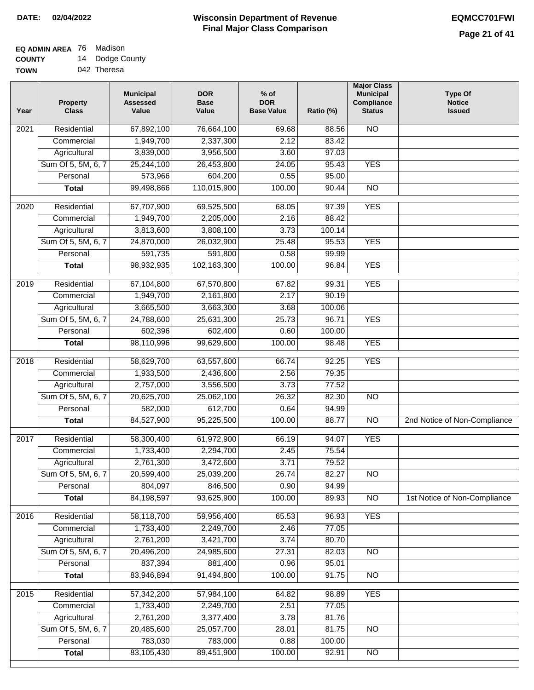# **EQ ADMIN AREA** 76 Madison

**COUNTY TOWN** 14 Dodge County 042 Theresa

| Year | <b>Property</b><br><b>Class</b> | <b>Municipal</b><br><b>Assessed</b><br>Value | <b>DOR</b><br><b>Base</b><br>Value | $%$ of<br><b>DOR</b><br><b>Base Value</b> | Ratio (%) | <b>Major Class</b><br><b>Municipal</b><br>Compliance<br><b>Status</b> | <b>Type Of</b><br><b>Notice</b><br><b>Issued</b> |
|------|---------------------------------|----------------------------------------------|------------------------------------|-------------------------------------------|-----------|-----------------------------------------------------------------------|--------------------------------------------------|
| 2021 | Residential                     | 67,892,100                                   | 76,664,100                         | 69.68                                     | 88.56     | <b>NO</b>                                                             |                                                  |
|      | Commercial                      | 1,949,700                                    | 2,337,300                          | 2.12                                      | 83.42     |                                                                       |                                                  |
|      | Agricultural                    | 3,839,000                                    | 3,956,500                          | 3.60                                      | 97.03     |                                                                       |                                                  |
|      | Sum Of 5, 5M, 6, 7              | 25,244,100                                   | 26,453,800                         | 24.05                                     | 95.43     | <b>YES</b>                                                            |                                                  |
|      | Personal                        | 573,966                                      | 604,200                            | 0.55                                      | 95.00     |                                                                       |                                                  |
|      | <b>Total</b>                    | 99,498,866                                   | 110,015,900                        | 100.00                                    | 90.44     | $\overline{NO}$                                                       |                                                  |
| 2020 | Residential                     | 67,707,900                                   | 69,525,500                         | 68.05                                     | 97.39     | <b>YES</b>                                                            |                                                  |
|      | Commercial                      | 1,949,700                                    | 2,205,000                          | 2.16                                      | 88.42     |                                                                       |                                                  |
|      | Agricultural                    | 3,813,600                                    | 3,808,100                          | 3.73                                      | 100.14    |                                                                       |                                                  |
|      | Sum Of 5, 5M, 6, 7              | 24,870,000                                   | 26,032,900                         | 25.48                                     | 95.53     | <b>YES</b>                                                            |                                                  |
|      | Personal                        | 591,735                                      | 591,800                            | 0.58                                      | 99.99     |                                                                       |                                                  |
|      | <b>Total</b>                    | 98,932,935                                   | 102,163,300                        | 100.00                                    | 96.84     | <b>YES</b>                                                            |                                                  |
|      |                                 |                                              |                                    |                                           |           |                                                                       |                                                  |
| 2019 | Residential                     | 67,104,800                                   | 67,570,800                         | 67.82                                     | 99.31     | <b>YES</b>                                                            |                                                  |
|      | Commercial                      | 1,949,700                                    | 2,161,800                          | 2.17                                      | 90.19     |                                                                       |                                                  |
|      | Agricultural                    | 3,665,500                                    | 3,663,300                          | 3.68                                      | 100.06    |                                                                       |                                                  |
|      | Sum Of 5, 5M, 6, 7              | 24,788,600                                   | 25,631,300                         | 25.73                                     | 96.71     | <b>YES</b>                                                            |                                                  |
|      | Personal                        | 602,396                                      | 602,400                            | 0.60                                      | 100.00    |                                                                       |                                                  |
|      | <b>Total</b>                    | 98,110,996                                   | 99,629,600                         | 100.00                                    | 98.48     | <b>YES</b>                                                            |                                                  |
| 2018 | Residential                     | 58,629,700                                   | 63,557,600                         | 66.74                                     | 92.25     | <b>YES</b>                                                            |                                                  |
|      | Commercial                      | 1,933,500                                    | 2,436,600                          | 2.56                                      | 79.35     |                                                                       |                                                  |
|      | Agricultural                    | 2,757,000                                    | 3,556,500                          | 3.73                                      | 77.52     |                                                                       |                                                  |
|      | Sum Of 5, 5M, 6, 7              | 20,625,700                                   | 25,062,100                         | 26.32                                     | 82.30     | <b>NO</b>                                                             |                                                  |
|      | Personal                        | 582,000                                      | 612,700                            | 0.64                                      | 94.99     |                                                                       |                                                  |
|      | <b>Total</b>                    | 84,527,900                                   | 95,225,500                         | 100.00                                    | 88.77     | $\overline{10}$                                                       | 2nd Notice of Non-Compliance                     |
| 2017 | Residential                     | 58,300,400                                   | 61,972,900                         | 66.19                                     | 94.07     | <b>YES</b>                                                            |                                                  |
|      | Commercial                      | 1,733,400                                    | 2,294,700                          | 2.45                                      | 75.54     |                                                                       |                                                  |
|      | Agricultural                    | 2,761,300                                    | 3,472,600                          | 3.71                                      | 79.52     |                                                                       |                                                  |
|      | Sum Of 5, 5M, 6, 7              | 20,599,400                                   | 25,039,200                         | 26.74                                     | 82.27     | $\overline{N}$                                                        |                                                  |
|      | Personal                        | 804,097                                      | 846,500                            | 0.90                                      | 94.99     |                                                                       |                                                  |
|      | <b>Total</b>                    | 84,198,597                                   | 93,625,900                         | 100.00                                    | 89.93     | N <sub>O</sub>                                                        | 1st Notice of Non-Compliance                     |
| 2016 | Residential                     | 58,118,700                                   | 59,956,400                         | 65.53                                     | 96.93     | <b>YES</b>                                                            |                                                  |
|      | Commercial                      | 1,733,400                                    | 2,249,700                          | 2.46                                      | 77.05     |                                                                       |                                                  |
|      | Agricultural                    | 2,761,200                                    | 3,421,700                          | 3.74                                      | 80.70     |                                                                       |                                                  |
|      | Sum Of 5, 5M, 6, 7              | 20,496,200                                   | 24,985,600                         | 27.31                                     | 82.03     | $\overline{NO}$                                                       |                                                  |
|      | Personal                        | 837,394                                      | 881,400                            | 0.96                                      | 95.01     |                                                                       |                                                  |
|      | <b>Total</b>                    | 83,946,894                                   | 91,494,800                         | 100.00                                    | 91.75     | N <sub>O</sub>                                                        |                                                  |
| 2015 | Residential                     | 57,342,200                                   | 57,984,100                         | 64.82                                     | 98.89     | <b>YES</b>                                                            |                                                  |
|      | Commercial                      | 1,733,400                                    | 2,249,700                          | 2.51                                      | 77.05     |                                                                       |                                                  |
|      | Agricultural                    | 2,761,200                                    | 3,377,400                          | 3.78                                      | 81.76     |                                                                       |                                                  |
|      | Sum Of 5, 5M, 6, 7              | 20,485,600                                   | 25,057,700                         | 28.01                                     | 81.75     | N <sub>O</sub>                                                        |                                                  |
|      | Personal                        | 783,030                                      | 783,000                            | 0.88                                      | 100.00    |                                                                       |                                                  |
|      | <b>Total</b>                    | 83,105,430                                   | 89,451,900                         | 100.00                                    | 92.91     | $\overline{NO}$                                                       |                                                  |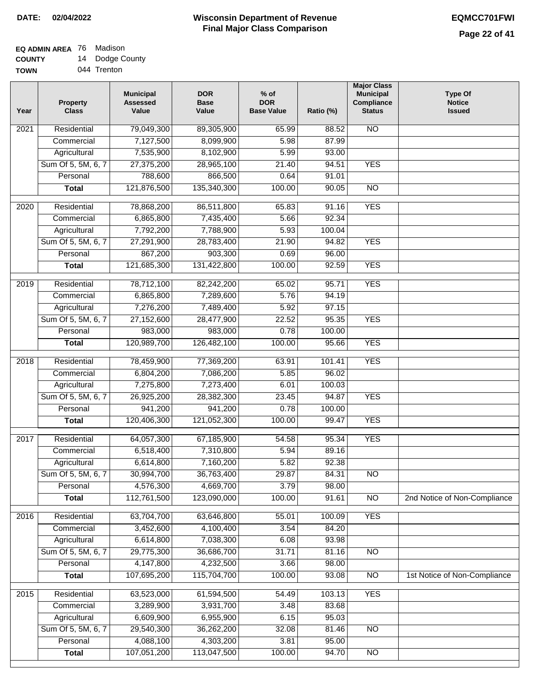#### **Wisconsin Department of Revenue Final Major Class Comparison DATE: 02/04/2022 EQMCC701FWI**

## **EQ ADMIN AREA** 76 Madison **COUNTY**

**TOWN** 14 Dodge County 044 Trenton

| Year              | <b>Property</b><br><b>Class</b> | <b>Municipal</b><br><b>Assessed</b><br>Value | <b>DOR</b><br><b>Base</b><br>Value | $%$ of<br><b>DOR</b><br><b>Base Value</b> | Ratio (%)       | <b>Major Class</b><br><b>Municipal</b><br>Compliance<br><b>Status</b> | <b>Type Of</b><br><b>Notice</b><br><b>Issued</b> |
|-------------------|---------------------------------|----------------------------------------------|------------------------------------|-------------------------------------------|-----------------|-----------------------------------------------------------------------|--------------------------------------------------|
| 2021              | Residential                     | 79,049,300                                   | 89,305,900                         | 65.99                                     | 88.52           | <b>NO</b>                                                             |                                                  |
|                   | Commercial                      | 7,127,500                                    | 8,099,900                          | 5.98                                      | 87.99           |                                                                       |                                                  |
|                   | Agricultural                    | 7,535,900                                    | 8,102,900                          | 5.99                                      | 93.00           |                                                                       |                                                  |
|                   | Sum Of 5, 5M, 6, 7              | 27,375,200                                   | 28,965,100                         | 21.40                                     | 94.51           | <b>YES</b>                                                            |                                                  |
|                   | Personal                        | 788,600                                      | 866,500                            | 0.64                                      | 91.01           |                                                                       |                                                  |
|                   | <b>Total</b>                    | 121,876,500                                  | 135,340,300                        | 100.00                                    | 90.05           | $\overline{NO}$                                                       |                                                  |
| $\overline{2020}$ | Residential                     | 78,868,200                                   | 86,511,800                         | 65.83                                     | 91.16           | <b>YES</b>                                                            |                                                  |
|                   | Commercial                      | 6,865,800                                    | 7,435,400                          | 5.66                                      | 92.34           |                                                                       |                                                  |
|                   | Agricultural                    | 7,792,200                                    | 7,788,900                          | 5.93                                      | 100.04          |                                                                       |                                                  |
|                   | Sum Of 5, 5M, 6, 7              | 27,291,900                                   | 28,783,400                         | 21.90                                     | 94.82           | <b>YES</b>                                                            |                                                  |
|                   | Personal                        | 867,200                                      | 903,300                            | 0.69                                      | 96.00           |                                                                       |                                                  |
|                   | <b>Total</b>                    | 121,685,300                                  | 131,422,800                        | 100.00                                    | 92.59           | <b>YES</b>                                                            |                                                  |
| $\frac{1}{2019}$  | Residential                     | 78,712,100                                   | 82,242,200                         | 65.02                                     | 95.71           | <b>YES</b>                                                            |                                                  |
|                   | Commercial                      | 6,865,800                                    | 7,289,600                          | 5.76                                      | 94.19           |                                                                       |                                                  |
|                   | Agricultural                    | 7,276,200                                    | 7,489,400                          | 5.92                                      | 97.15           |                                                                       |                                                  |
|                   | Sum Of 5, 5M, 6, 7              | 27,152,600                                   | 28,477,900                         | 22.52                                     | 95.35           | <b>YES</b>                                                            |                                                  |
|                   | Personal                        | 983,000                                      | 983,000                            | 0.78                                      | 100.00          |                                                                       |                                                  |
|                   | <b>Total</b>                    | 120,989,700                                  | 126,482,100                        | 100.00                                    | 95.66           | <b>YES</b>                                                            |                                                  |
|                   |                                 |                                              |                                    |                                           |                 |                                                                       |                                                  |
| 2018              | Residential                     | 78,459,900                                   | 77,369,200                         | 63.91                                     | 101.41          | <b>YES</b>                                                            |                                                  |
|                   | Commercial                      | 6,804,200                                    | 7,086,200                          | 5.85                                      | 96.02           |                                                                       |                                                  |
|                   | Agricultural                    | 7,275,800                                    | 7,273,400                          | 6.01<br>23.45                             | 100.03<br>94.87 | <b>YES</b>                                                            |                                                  |
|                   | Sum Of 5, 5M, 6, 7<br>Personal  | 26,925,200<br>941,200                        | 28,382,300<br>941,200              | 0.78                                      | 100.00          |                                                                       |                                                  |
|                   | <b>Total</b>                    | 120,406,300                                  | 121,052,300                        | 100.00                                    | 99.47           | <b>YES</b>                                                            |                                                  |
|                   |                                 |                                              |                                    |                                           |                 |                                                                       |                                                  |
| 2017              | Residential                     | 64,057,300                                   | 67,185,900                         | 54.58                                     | 95.34           | <b>YES</b>                                                            |                                                  |
|                   | Commercial                      | 6,518,400                                    | 7,310,800                          | 5.94                                      | 89.16           |                                                                       |                                                  |
|                   | Agricultural                    | 6,614,800                                    | 7,160,200                          | 5.82                                      | 92.38           |                                                                       |                                                  |
|                   | Sum Of 5, 5M, 6, 7              | 30,994,700                                   | 36,763,400                         | 29.87                                     | 84.31           | $\overline{NO}$                                                       |                                                  |
|                   | Personal                        | 4,576,300                                    | 4,669,700                          | 3.79                                      | 98.00           |                                                                       |                                                  |
|                   | <b>Total</b>                    | 112,761,500                                  | 123,090,000                        | 100.00                                    | 91.61           | <b>NO</b>                                                             | 2nd Notice of Non-Compliance                     |
| 2016              | Residential                     | 63,704,700                                   | 63,646,800                         | 55.01                                     | 100.09          | <b>YES</b>                                                            |                                                  |
|                   | Commercial                      | 3,452,600                                    | 4,100,400                          | 3.54                                      | 84.20           |                                                                       |                                                  |
|                   | Agricultural                    | 6,614,800                                    | 7,038,300                          | 6.08                                      | 93.98           |                                                                       |                                                  |
|                   | Sum Of 5, 5M, 6, 7              | 29,775,300                                   | 36,686,700                         | 31.71                                     | 81.16           | N <sub>O</sub>                                                        |                                                  |
|                   | Personal                        | 4,147,800                                    | 4,232,500                          | 3.66                                      | 98.00           |                                                                       |                                                  |
|                   | <b>Total</b>                    | 107,695,200                                  | 115,704,700                        | 100.00                                    | 93.08           | $\overline{NO}$                                                       | 1st Notice of Non-Compliance                     |
| 2015              | Residential                     | 63,523,000                                   | 61,594,500                         | 54.49                                     | 103.13          | <b>YES</b>                                                            |                                                  |
|                   | Commercial                      | 3,289,900                                    | 3,931,700                          | 3.48                                      | 83.68           |                                                                       |                                                  |
|                   | Agricultural                    | 6,609,900                                    | 6,955,900                          | 6.15                                      | 95.03           |                                                                       |                                                  |
|                   | Sum Of 5, 5M, 6, 7              | 29,540,300                                   | 36,262,200                         | 32.08                                     | 81.46           | $\overline{NO}$                                                       |                                                  |
|                   | Personal                        | 4,088,100                                    | 4,303,200                          | 3.81                                      | 95.00           |                                                                       |                                                  |
|                   | <b>Total</b>                    | 107,051,200                                  | 113,047,500                        | 100.00                                    | 94.70           | $\overline{NO}$                                                       |                                                  |
|                   |                                 |                                              |                                    |                                           |                 |                                                                       |                                                  |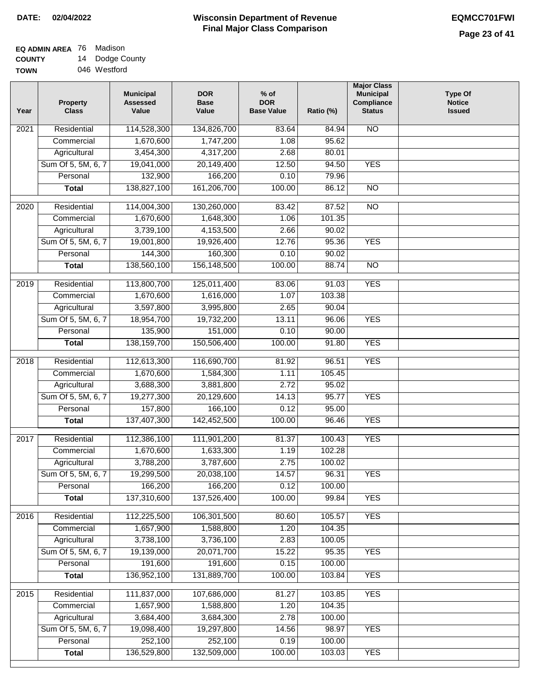## **EQ ADMIN AREA** 76 Madison **COUNTY** 14 Dodge County

| <b>TOWN</b> | 046 Westford |
|-------------|--------------|
|             |              |

| Residential<br>114,528,300<br>134,826,700<br>N <sub>O</sub><br>83.64<br>2021<br>84.94<br>1,670,600<br>1,747,200<br>1.08<br>95.62<br>Commercial<br>3,454,300<br>4,317,200<br>Agricultural<br>2.68<br>80.01<br>Sum Of 5, 5M, 6, 7<br>19,041,000<br>20,149,400<br>12.50<br>94.50<br><b>YES</b><br>132,900<br>166,200<br>Personal<br>0.10<br>79.96<br>161,206,700<br>138,827,100<br>100.00<br>86.12<br>$\overline{NO}$<br><b>Total</b><br>87.52<br>$\overline{NO}$<br>2020<br>Residential<br>114,004,300<br>130,260,000<br>83.42<br>1,670,600<br>1,648,300<br>1.06<br>101.35<br>Commercial<br>3,739,100<br>4,153,500<br>2.66<br>90.02<br>Agricultural<br>Sum Of 5, 5M, 6, 7<br>12.76<br>95.36<br><b>YES</b><br>19,001,800<br>19,926,400<br>144,300<br>160,300<br>0.10<br>90.02<br>Personal<br>156,148,500<br>$\overline{NO}$<br>138,560,100<br>100.00<br>88.74<br><b>Total</b><br>113,800,700<br>2019<br>Residential<br>125,011,400<br>83.06<br>91.03<br><b>YES</b><br>Commercial<br>1,670,600<br>1,616,000<br>103.38<br>1.07<br>3,597,800<br>3,995,800<br>2.65<br>90.04<br>Agricultural<br>Sum Of 5, 5M, 6, 7<br>18,954,700<br>19,732,200<br>13.11<br>96.06<br><b>YES</b><br>135,900<br>151,000<br>Personal<br>0.10<br>90.00<br>138, 159, 700<br>150,506,400<br><b>YES</b><br>100.00<br>91.80<br><b>Total</b><br><b>YES</b><br>$\overline{2018}$<br>Residential<br>112,613,300<br>116,690,700<br>81.92<br>96.51<br>1,670,600<br>1,584,300<br>105.45<br>Commercial<br>1.11 |  |
|------------------------------------------------------------------------------------------------------------------------------------------------------------------------------------------------------------------------------------------------------------------------------------------------------------------------------------------------------------------------------------------------------------------------------------------------------------------------------------------------------------------------------------------------------------------------------------------------------------------------------------------------------------------------------------------------------------------------------------------------------------------------------------------------------------------------------------------------------------------------------------------------------------------------------------------------------------------------------------------------------------------------------------------------------------------------------------------------------------------------------------------------------------------------------------------------------------------------------------------------------------------------------------------------------------------------------------------------------------------------------------------------------------------------------------------------------------------------|--|
|                                                                                                                                                                                                                                                                                                                                                                                                                                                                                                                                                                                                                                                                                                                                                                                                                                                                                                                                                                                                                                                                                                                                                                                                                                                                                                                                                                                                                                                                        |  |
|                                                                                                                                                                                                                                                                                                                                                                                                                                                                                                                                                                                                                                                                                                                                                                                                                                                                                                                                                                                                                                                                                                                                                                                                                                                                                                                                                                                                                                                                        |  |
|                                                                                                                                                                                                                                                                                                                                                                                                                                                                                                                                                                                                                                                                                                                                                                                                                                                                                                                                                                                                                                                                                                                                                                                                                                                                                                                                                                                                                                                                        |  |
|                                                                                                                                                                                                                                                                                                                                                                                                                                                                                                                                                                                                                                                                                                                                                                                                                                                                                                                                                                                                                                                                                                                                                                                                                                                                                                                                                                                                                                                                        |  |
|                                                                                                                                                                                                                                                                                                                                                                                                                                                                                                                                                                                                                                                                                                                                                                                                                                                                                                                                                                                                                                                                                                                                                                                                                                                                                                                                                                                                                                                                        |  |
|                                                                                                                                                                                                                                                                                                                                                                                                                                                                                                                                                                                                                                                                                                                                                                                                                                                                                                                                                                                                                                                                                                                                                                                                                                                                                                                                                                                                                                                                        |  |
|                                                                                                                                                                                                                                                                                                                                                                                                                                                                                                                                                                                                                                                                                                                                                                                                                                                                                                                                                                                                                                                                                                                                                                                                                                                                                                                                                                                                                                                                        |  |
|                                                                                                                                                                                                                                                                                                                                                                                                                                                                                                                                                                                                                                                                                                                                                                                                                                                                                                                                                                                                                                                                                                                                                                                                                                                                                                                                                                                                                                                                        |  |
|                                                                                                                                                                                                                                                                                                                                                                                                                                                                                                                                                                                                                                                                                                                                                                                                                                                                                                                                                                                                                                                                                                                                                                                                                                                                                                                                                                                                                                                                        |  |
|                                                                                                                                                                                                                                                                                                                                                                                                                                                                                                                                                                                                                                                                                                                                                                                                                                                                                                                                                                                                                                                                                                                                                                                                                                                                                                                                                                                                                                                                        |  |
|                                                                                                                                                                                                                                                                                                                                                                                                                                                                                                                                                                                                                                                                                                                                                                                                                                                                                                                                                                                                                                                                                                                                                                                                                                                                                                                                                                                                                                                                        |  |
|                                                                                                                                                                                                                                                                                                                                                                                                                                                                                                                                                                                                                                                                                                                                                                                                                                                                                                                                                                                                                                                                                                                                                                                                                                                                                                                                                                                                                                                                        |  |
|                                                                                                                                                                                                                                                                                                                                                                                                                                                                                                                                                                                                                                                                                                                                                                                                                                                                                                                                                                                                                                                                                                                                                                                                                                                                                                                                                                                                                                                                        |  |
|                                                                                                                                                                                                                                                                                                                                                                                                                                                                                                                                                                                                                                                                                                                                                                                                                                                                                                                                                                                                                                                                                                                                                                                                                                                                                                                                                                                                                                                                        |  |
|                                                                                                                                                                                                                                                                                                                                                                                                                                                                                                                                                                                                                                                                                                                                                                                                                                                                                                                                                                                                                                                                                                                                                                                                                                                                                                                                                                                                                                                                        |  |
|                                                                                                                                                                                                                                                                                                                                                                                                                                                                                                                                                                                                                                                                                                                                                                                                                                                                                                                                                                                                                                                                                                                                                                                                                                                                                                                                                                                                                                                                        |  |
|                                                                                                                                                                                                                                                                                                                                                                                                                                                                                                                                                                                                                                                                                                                                                                                                                                                                                                                                                                                                                                                                                                                                                                                                                                                                                                                                                                                                                                                                        |  |
|                                                                                                                                                                                                                                                                                                                                                                                                                                                                                                                                                                                                                                                                                                                                                                                                                                                                                                                                                                                                                                                                                                                                                                                                                                                                                                                                                                                                                                                                        |  |
|                                                                                                                                                                                                                                                                                                                                                                                                                                                                                                                                                                                                                                                                                                                                                                                                                                                                                                                                                                                                                                                                                                                                                                                                                                                                                                                                                                                                                                                                        |  |
|                                                                                                                                                                                                                                                                                                                                                                                                                                                                                                                                                                                                                                                                                                                                                                                                                                                                                                                                                                                                                                                                                                                                                                                                                                                                                                                                                                                                                                                                        |  |
|                                                                                                                                                                                                                                                                                                                                                                                                                                                                                                                                                                                                                                                                                                                                                                                                                                                                                                                                                                                                                                                                                                                                                                                                                                                                                                                                                                                                                                                                        |  |
| 3,688,300<br>2.72<br>Agricultural<br>3,881,800<br>95.02                                                                                                                                                                                                                                                                                                                                                                                                                                                                                                                                                                                                                                                                                                                                                                                                                                                                                                                                                                                                                                                                                                                                                                                                                                                                                                                                                                                                                |  |
| Sum Of 5, 5M, 6, 7<br>19,277,300<br>20,129,600<br>14.13<br>95.77<br><b>YES</b>                                                                                                                                                                                                                                                                                                                                                                                                                                                                                                                                                                                                                                                                                                                                                                                                                                                                                                                                                                                                                                                                                                                                                                                                                                                                                                                                                                                         |  |
| 157,800<br>166,100<br>Personal<br>0.12<br>95.00                                                                                                                                                                                                                                                                                                                                                                                                                                                                                                                                                                                                                                                                                                                                                                                                                                                                                                                                                                                                                                                                                                                                                                                                                                                                                                                                                                                                                        |  |
| 137,407,300<br><b>YES</b><br><b>Total</b><br>142,452,500<br>100.00<br>96.46                                                                                                                                                                                                                                                                                                                                                                                                                                                                                                                                                                                                                                                                                                                                                                                                                                                                                                                                                                                                                                                                                                                                                                                                                                                                                                                                                                                            |  |
| <b>YES</b><br>2017<br>Residential<br>112,386,100<br>111,901,200<br>81.37<br>100.43                                                                                                                                                                                                                                                                                                                                                                                                                                                                                                                                                                                                                                                                                                                                                                                                                                                                                                                                                                                                                                                                                                                                                                                                                                                                                                                                                                                     |  |
| 1,670,600<br>1,633,300<br>1.19<br>102.28<br>Commercial                                                                                                                                                                                                                                                                                                                                                                                                                                                                                                                                                                                                                                                                                                                                                                                                                                                                                                                                                                                                                                                                                                                                                                                                                                                                                                                                                                                                                 |  |
| 3,788,200<br>3,787,600<br>2.75<br>100.02<br>Agricultural                                                                                                                                                                                                                                                                                                                                                                                                                                                                                                                                                                                                                                                                                                                                                                                                                                                                                                                                                                                                                                                                                                                                                                                                                                                                                                                                                                                                               |  |
| Sum Of 5, 5M, 6, 7<br>19,299,500<br>20,038,100<br>14.57<br>96.31<br><b>YES</b>                                                                                                                                                                                                                                                                                                                                                                                                                                                                                                                                                                                                                                                                                                                                                                                                                                                                                                                                                                                                                                                                                                                                                                                                                                                                                                                                                                                         |  |
| 166,200<br>166,200<br>Personal<br>0.12<br>100.00                                                                                                                                                                                                                                                                                                                                                                                                                                                                                                                                                                                                                                                                                                                                                                                                                                                                                                                                                                                                                                                                                                                                                                                                                                                                                                                                                                                                                       |  |
| 137,310,600<br>137,526,400<br>100.00<br>99.84<br><b>YES</b><br><b>Total</b>                                                                                                                                                                                                                                                                                                                                                                                                                                                                                                                                                                                                                                                                                                                                                                                                                                                                                                                                                                                                                                                                                                                                                                                                                                                                                                                                                                                            |  |
| Residential<br>112,225,500<br>106,301,500<br>80.60<br><b>YES</b><br>2016<br>105.57                                                                                                                                                                                                                                                                                                                                                                                                                                                                                                                                                                                                                                                                                                                                                                                                                                                                                                                                                                                                                                                                                                                                                                                                                                                                                                                                                                                     |  |
| 1,657,900<br>1,588,800<br>1.20<br>104.35<br>Commercial                                                                                                                                                                                                                                                                                                                                                                                                                                                                                                                                                                                                                                                                                                                                                                                                                                                                                                                                                                                                                                                                                                                                                                                                                                                                                                                                                                                                                 |  |
| 3,738,100<br>3,736,100<br>Agricultural<br>2.83<br>100.05                                                                                                                                                                                                                                                                                                                                                                                                                                                                                                                                                                                                                                                                                                                                                                                                                                                                                                                                                                                                                                                                                                                                                                                                                                                                                                                                                                                                               |  |
| Sum Of 5, 5M, 6, 7<br>19,139,000<br>20,071,700<br>15.22<br>95.35<br><b>YES</b>                                                                                                                                                                                                                                                                                                                                                                                                                                                                                                                                                                                                                                                                                                                                                                                                                                                                                                                                                                                                                                                                                                                                                                                                                                                                                                                                                                                         |  |
| Personal<br>191,600<br>191,600<br>100.00<br>0.15                                                                                                                                                                                                                                                                                                                                                                                                                                                                                                                                                                                                                                                                                                                                                                                                                                                                                                                                                                                                                                                                                                                                                                                                                                                                                                                                                                                                                       |  |
| 136,952,100<br>131,889,700<br>100.00<br>103.84<br><b>YES</b><br><b>Total</b>                                                                                                                                                                                                                                                                                                                                                                                                                                                                                                                                                                                                                                                                                                                                                                                                                                                                                                                                                                                                                                                                                                                                                                                                                                                                                                                                                                                           |  |
| <b>YES</b><br>Residential<br>111,837,000<br>107,686,000<br>81.27<br>103.85<br>2015                                                                                                                                                                                                                                                                                                                                                                                                                                                                                                                                                                                                                                                                                                                                                                                                                                                                                                                                                                                                                                                                                                                                                                                                                                                                                                                                                                                     |  |
| 1,657,900<br>104.35<br>Commercial<br>1,588,800<br>1.20                                                                                                                                                                                                                                                                                                                                                                                                                                                                                                                                                                                                                                                                                                                                                                                                                                                                                                                                                                                                                                                                                                                                                                                                                                                                                                                                                                                                                 |  |
| 3,684,400<br>3,684,300<br>2.78<br>Agricultural<br>100.00                                                                                                                                                                                                                                                                                                                                                                                                                                                                                                                                                                                                                                                                                                                                                                                                                                                                                                                                                                                                                                                                                                                                                                                                                                                                                                                                                                                                               |  |
| Sum Of 5, 5M, 6, 7<br>19,098,400<br>19,297,800<br>14.56<br>98.97<br><b>YES</b>                                                                                                                                                                                                                                                                                                                                                                                                                                                                                                                                                                                                                                                                                                                                                                                                                                                                                                                                                                                                                                                                                                                                                                                                                                                                                                                                                                                         |  |
| Personal<br>252,100<br>252,100<br>0.19<br>100.00                                                                                                                                                                                                                                                                                                                                                                                                                                                                                                                                                                                                                                                                                                                                                                                                                                                                                                                                                                                                                                                                                                                                                                                                                                                                                                                                                                                                                       |  |
| 136,529,800<br>132,509,000<br>100.00<br><b>YES</b><br><b>Total</b><br>103.03                                                                                                                                                                                                                                                                                                                                                                                                                                                                                                                                                                                                                                                                                                                                                                                                                                                                                                                                                                                                                                                                                                                                                                                                                                                                                                                                                                                           |  |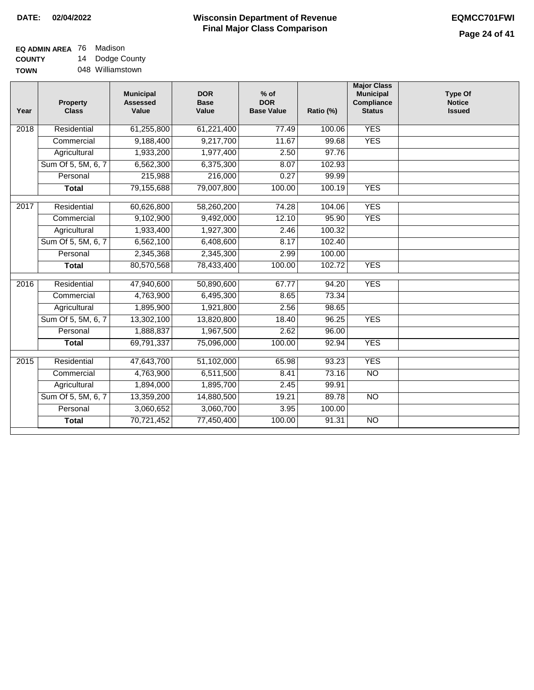| <b>EQ ADMIN AREA</b> 76 Madison |                  |
|---------------------------------|------------------|
| <b>COUNTY</b>                   | 14 Dodge County  |
| <b>TOWN</b>                     | 048 Williamstown |

| Year               | <b>Property</b><br><b>Class</b> | <b>Municipal</b><br><b>Assessed</b><br>Value | <b>DOR</b><br><b>Base</b><br>Value | $%$ of<br><b>DOR</b><br><b>Base Value</b> | Ratio (%) | <b>Major Class</b><br><b>Municipal</b><br>Compliance<br><b>Status</b> | <b>Type Of</b><br><b>Notice</b><br><b>Issued</b> |
|--------------------|---------------------------------|----------------------------------------------|------------------------------------|-------------------------------------------|-----------|-----------------------------------------------------------------------|--------------------------------------------------|
| 2018               | Residential                     | 61,255,800                                   | 61,221,400                         | 77.49                                     | 100.06    | <b>YES</b>                                                            |                                                  |
|                    | Commercial                      | 9,188,400                                    | 9,217,700                          | 11.67                                     | 99.68     | <b>YES</b>                                                            |                                                  |
|                    | Agricultural                    | 1,933,200                                    | 1,977,400                          | 2.50                                      | 97.76     |                                                                       |                                                  |
|                    | Sum Of 5, 5M, 6, 7              | 6,562,300                                    | 6,375,300                          | 8.07                                      | 102.93    |                                                                       |                                                  |
|                    | Personal                        | 215,988                                      | 216,000                            | 0.27                                      | 99.99     |                                                                       |                                                  |
|                    | <b>Total</b>                    | 79,155,688                                   | 79,007,800                         | 100.00                                    | 100.19    | <b>YES</b>                                                            |                                                  |
| 2017               | Residential                     | 60,626,800                                   | 58,260,200                         | 74.28                                     | 104.06    | <b>YES</b>                                                            |                                                  |
|                    | Commercial                      | 9,102,900                                    | 9,492,000                          | 12.10                                     | 95.90     | <b>YES</b>                                                            |                                                  |
|                    | Agricultural                    | 1,933,400                                    | 1,927,300                          | 2.46                                      | 100.32    |                                                                       |                                                  |
|                    | Sum Of 5, 5M, 6, 7              | 6,562,100                                    | 6,408,600                          | 8.17                                      | 102.40    |                                                                       |                                                  |
|                    | Personal                        | 2,345,368                                    | 2,345,300                          | 2.99                                      | 100.00    |                                                                       |                                                  |
|                    | <b>Total</b>                    | 80,570,568                                   | 78,433,400                         | 100.00                                    | 102.72    | <b>YES</b>                                                            |                                                  |
| $\overline{20}$ 16 | Residential                     | 47,940,600                                   | 50,890,600                         | 67.77                                     | 94.20     | <b>YES</b>                                                            |                                                  |
|                    | Commercial                      | 4,763,900                                    | 6,495,300                          | 8.65                                      | 73.34     |                                                                       |                                                  |
|                    | Agricultural                    | 1,895,900                                    | 1,921,800                          | 2.56                                      | 98.65     |                                                                       |                                                  |
|                    | Sum Of 5, 5M, 6, 7              | 13,302,100                                   | 13,820,800                         | 18.40                                     | 96.25     | <b>YES</b>                                                            |                                                  |
|                    | Personal                        | 1,888,837                                    | 1,967,500                          | 2.62                                      | 96.00     |                                                                       |                                                  |
|                    | <b>Total</b>                    | 69,791,337                                   | 75,096,000                         | 100.00                                    | 92.94     | <b>YES</b>                                                            |                                                  |
| 2015               | Residential                     | 47,643,700                                   | 51,102,000                         | 65.98                                     | 93.23     | <b>YES</b>                                                            |                                                  |
|                    | Commercial                      | 4,763,900                                    | 6,511,500                          | 8.41                                      | 73.16     | <b>NO</b>                                                             |                                                  |
|                    |                                 | 1,894,000                                    | 1,895,700                          | 2.45                                      | 99.91     |                                                                       |                                                  |
|                    | Agricultural                    |                                              |                                    |                                           |           | N <sub>O</sub>                                                        |                                                  |
|                    | Sum Of 5, 5M, 6, 7              | 13,359,200<br>3,060,652                      | 14,880,500<br>3,060,700            | 19.21                                     | 89.78     |                                                                       |                                                  |
|                    | Personal                        |                                              |                                    | 3.95                                      | 100.00    |                                                                       |                                                  |
|                    | <b>Total</b>                    | 70,721,452                                   | 77,450,400                         | 100.00                                    | 91.31     | <b>NO</b>                                                             |                                                  |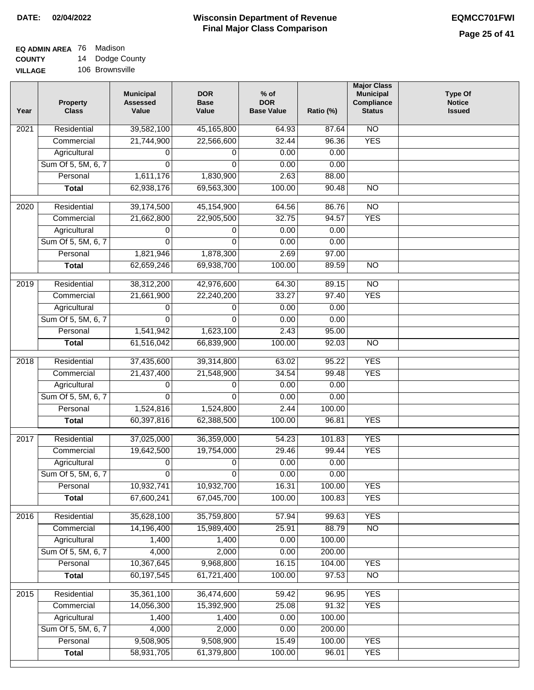#### **EQ ADMIN AREA** 76 Madison **COUNTY** 14 Dodge County

**VILLAGE** 106 Brownsville

| Year              | <b>Property</b><br><b>Class</b>    | <b>Municipal</b><br><b>Assessed</b><br>Value | <b>DOR</b><br><b>Base</b><br>Value | $%$ of<br><b>DOR</b><br><b>Base Value</b> | Ratio (%) | <b>Major Class</b><br><b>Municipal</b><br>Compliance<br><b>Status</b> | <b>Type Of</b><br><b>Notice</b><br><b>Issued</b> |
|-------------------|------------------------------------|----------------------------------------------|------------------------------------|-------------------------------------------|-----------|-----------------------------------------------------------------------|--------------------------------------------------|
| $\overline{202}1$ | Residential                        | 39,582,100                                   | 45,165,800                         | 64.93                                     | 87.64     | N <sub>O</sub>                                                        |                                                  |
|                   | Commercial                         | 21,744,900                                   | 22,566,600                         | 32.44                                     | 96.36     | <b>YES</b>                                                            |                                                  |
|                   | Agricultural                       | 0                                            | 0                                  | 0.00                                      | 0.00      |                                                                       |                                                  |
|                   | Sum Of 5, 5M, 6, 7                 | $\Omega$                                     | $\mathbf{0}$                       | 0.00                                      | 0.00      |                                                                       |                                                  |
|                   | Personal                           | 1,611,176                                    | 1,830,900                          | 2.63                                      | 88.00     |                                                                       |                                                  |
|                   | <b>Total</b>                       | 62,938,176                                   | 69,563,300                         | 100.00                                    | 90.48     | $\overline{NO}$                                                       |                                                  |
| $\overline{2020}$ | Residential                        | 39,174,500                                   | 45,154,900                         | 64.56                                     | 86.76     | $\overline{NO}$                                                       |                                                  |
|                   | Commercial                         | 21,662,800                                   | 22,905,500                         | 32.75                                     | 94.57     | <b>YES</b>                                                            |                                                  |
|                   | Agricultural                       | 0                                            | 0                                  | 0.00                                      | 0.00      |                                                                       |                                                  |
|                   | Sum Of 5, 5M, 6, 7                 | $\Omega$                                     | 0                                  | 0.00                                      | 0.00      |                                                                       |                                                  |
|                   | Personal                           | 1,821,946                                    | 1,878,300                          | 2.69                                      | 97.00     |                                                                       |                                                  |
|                   | <b>Total</b>                       | 62,659,246                                   | 69,938,700                         | 100.00                                    | 89.59     | $\overline{NO}$                                                       |                                                  |
|                   |                                    |                                              |                                    |                                           |           |                                                                       |                                                  |
| 2019              | Residential                        | 38,312,200                                   | 42,976,600                         | 64.30                                     | 89.15     | $\overline{10}$                                                       |                                                  |
|                   | Commercial                         | 21,661,900                                   | 22,240,200                         | 33.27                                     | 97.40     | <b>YES</b>                                                            |                                                  |
|                   | Agricultural                       | 0                                            | 0                                  | 0.00                                      | 0.00      |                                                                       |                                                  |
|                   | Sum Of 5, 5M, 6, 7                 | 0                                            | $\Omega$                           | 0.00                                      | 0.00      |                                                                       |                                                  |
|                   | Personal                           | 1,541,942                                    | 1,623,100                          | 2.43                                      | 95.00     | $\overline{NO}$                                                       |                                                  |
|                   | <b>Total</b>                       | 61,516,042                                   | 66,839,900                         | 100.00                                    | 92.03     |                                                                       |                                                  |
| 2018              | Residential                        | 37,435,600                                   | 39,314,800                         | 63.02                                     | 95.22     | <b>YES</b>                                                            |                                                  |
|                   | Commercial                         | 21,437,400                                   | 21,548,900                         | 34.54                                     | 99.48     | <b>YES</b>                                                            |                                                  |
|                   | Agricultural                       | 0                                            | 0                                  | 0.00                                      | 0.00      |                                                                       |                                                  |
|                   | Sum Of 5, 5M, 6, 7                 | 0                                            | 0                                  | 0.00                                      | 0.00      |                                                                       |                                                  |
|                   | Personal                           | 1,524,816                                    | 1,524,800                          | 2.44                                      | 100.00    |                                                                       |                                                  |
|                   | <b>Total</b>                       | 60,397,816                                   | 62,388,500                         | 100.00                                    | 96.81     | <b>YES</b>                                                            |                                                  |
| 2017              | Residential                        | 37,025,000                                   | 36,359,000                         | 54.23                                     | 101.83    | <b>YES</b>                                                            |                                                  |
|                   | Commercial                         | 19,642,500                                   | 19,754,000                         | 29.46                                     | 99.44     | <b>YES</b>                                                            |                                                  |
|                   | Agricultural                       | 0                                            | 0                                  | 0.00                                      | 0.00      |                                                                       |                                                  |
|                   | Sum Of 5, 5M, 6, 7                 | 0                                            | $\overline{0}$                     | 0.00                                      | 0.00      |                                                                       |                                                  |
|                   | Personal                           | 10,932,741                                   | 10,932,700                         | 16.31                                     | 100.00    | <b>YES</b>                                                            |                                                  |
|                   | <b>Total</b>                       | 67,600,241                                   | 67,045,700                         | 100.00                                    | 100.83    | <b>YES</b>                                                            |                                                  |
|                   | Residential                        | 35,628,100                                   |                                    |                                           | 99.63     | <b>YES</b>                                                            |                                                  |
| 2016              |                                    | 14,196,400                                   | 35,759,800<br>15,989,400           | 57.94<br>25.91                            | 88.79     | N <sub>O</sub>                                                        |                                                  |
|                   | Commercial                         | 1,400                                        | 1,400                              | 0.00                                      | 100.00    |                                                                       |                                                  |
|                   | Agricultural<br>Sum Of 5, 5M, 6, 7 | 4,000                                        | 2,000                              | 0.00                                      | 200.00    |                                                                       |                                                  |
|                   | Personal                           | 10,367,645                                   | 9,968,800                          | 16.15                                     | 104.00    | <b>YES</b>                                                            |                                                  |
|                   | <b>Total</b>                       | 60,197,545                                   | 61,721,400                         | 100.00                                    | 97.53     | N <sub>O</sub>                                                        |                                                  |
|                   |                                    |                                              |                                    |                                           |           |                                                                       |                                                  |
| 2015              | Residential                        | 35,361,100                                   | 36,474,600                         | 59.42                                     | 96.95     | <b>YES</b>                                                            |                                                  |
|                   | Commercial                         | 14,056,300                                   | 15,392,900                         | 25.08                                     | 91.32     | <b>YES</b>                                                            |                                                  |
|                   | Agricultural                       | 1,400                                        | 1,400                              | 0.00                                      | 100.00    |                                                                       |                                                  |
|                   | Sum Of 5, 5M, 6, 7                 | 4,000                                        | 2,000                              | 0.00                                      | 200.00    |                                                                       |                                                  |
|                   | Personal                           | 9,508,905                                    | 9,508,900                          | 15.49                                     | 100.00    | <b>YES</b>                                                            |                                                  |
|                   | <b>Total</b>                       | 58,931,705                                   | 61,379,800                         | 100.00                                    | 96.01     | <b>YES</b>                                                            |                                                  |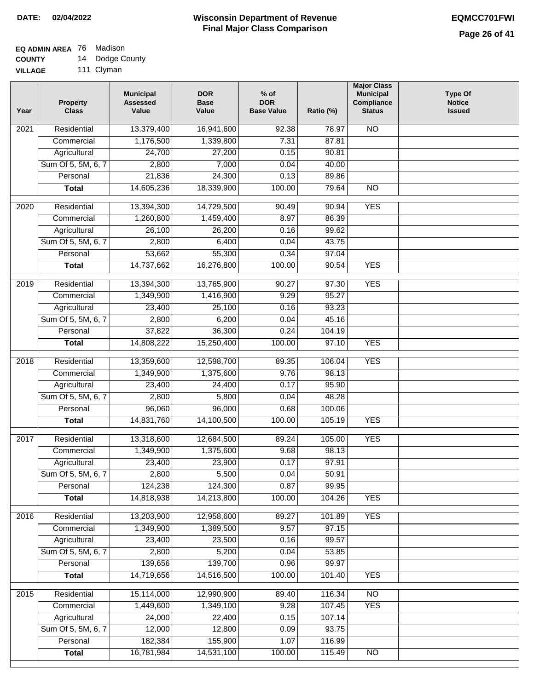# **EQ ADMIN AREA** 76 Madison

**COUNTY** 14 Dodge County

**VILLAGE** 111 Clyman

| Year | <b>Property</b><br><b>Class</b> | <b>Municipal</b><br><b>Assessed</b><br>Value | <b>DOR</b><br><b>Base</b><br>Value | $%$ of<br><b>DOR</b><br><b>Base Value</b> | Ratio (%) | <b>Major Class</b><br><b>Municipal</b><br>Compliance<br><b>Status</b> | <b>Type Of</b><br><b>Notice</b><br><b>Issued</b> |
|------|---------------------------------|----------------------------------------------|------------------------------------|-------------------------------------------|-----------|-----------------------------------------------------------------------|--------------------------------------------------|
| 2021 | Residential                     | 13,379,400                                   | 16,941,600                         | 92.38                                     | 78.97     | N <sub>O</sub>                                                        |                                                  |
|      | Commercial                      | 1,176,500                                    | 1,339,800                          | 7.31                                      | 87.81     |                                                                       |                                                  |
|      | Agricultural                    | 24,700                                       | 27,200                             | 0.15                                      | 90.81     |                                                                       |                                                  |
|      | Sum Of 5, 5M, 6, 7              | 2,800                                        | 7,000                              | 0.04                                      | 40.00     |                                                                       |                                                  |
|      | Personal                        | 21,836                                       | 24,300                             | 0.13                                      | 89.86     |                                                                       |                                                  |
|      | <b>Total</b>                    | 14,605,236                                   | 18,339,900                         | 100.00                                    | 79.64     | $\overline{NO}$                                                       |                                                  |
| 2020 | Residential                     | 13,394,300                                   | 14,729,500                         | 90.49                                     | 90.94     | <b>YES</b>                                                            |                                                  |
|      | Commercial                      | 1,260,800                                    | 1,459,400                          | 8.97                                      | 86.39     |                                                                       |                                                  |
|      | Agricultural                    | 26,100                                       | 26,200                             | 0.16                                      | 99.62     |                                                                       |                                                  |
|      | Sum Of 5, 5M, 6, 7              | 2,800                                        | 6,400                              | 0.04                                      | 43.75     |                                                                       |                                                  |
|      | Personal                        | 53,662                                       | 55,300                             | 0.34                                      | 97.04     |                                                                       |                                                  |
|      | <b>Total</b>                    | 14,737,662                                   | 16,276,800                         | 100.00                                    | 90.54     | <b>YES</b>                                                            |                                                  |
| 2019 | Residential                     | 13,394,300                                   | 13,765,900                         | 90.27                                     | 97.30     | <b>YES</b>                                                            |                                                  |
|      | Commercial                      | 1,349,900                                    | 1,416,900                          | 9.29                                      | 95.27     |                                                                       |                                                  |
|      | Agricultural                    | 23,400                                       | 25,100                             | 0.16                                      | 93.23     |                                                                       |                                                  |
|      | Sum Of 5, 5M, 6, 7              | 2,800                                        | 6,200                              | 0.04                                      | 45.16     |                                                                       |                                                  |
|      | Personal                        | 37,822                                       | 36,300                             | 0.24                                      | 104.19    |                                                                       |                                                  |
|      | <b>Total</b>                    | 14,808,222                                   | 15,250,400                         | 100.00                                    | 97.10     | <b>YES</b>                                                            |                                                  |
| 2018 | Residential                     | 13,359,600                                   | 12,598,700                         | 89.35                                     | 106.04    | <b>YES</b>                                                            |                                                  |
|      | Commercial                      | 1,349,900                                    | 1,375,600                          | 9.76                                      | 98.13     |                                                                       |                                                  |
|      | Agricultural                    | 23,400                                       | 24,400                             | 0.17                                      | 95.90     |                                                                       |                                                  |
|      | Sum Of 5, 5M, 6, 7              | 2,800                                        | 5,800                              | 0.04                                      | 48.28     |                                                                       |                                                  |
|      | Personal                        | 96,060                                       | 96,000                             | 0.68                                      | 100.06    |                                                                       |                                                  |
|      | <b>Total</b>                    | 14,831,760                                   | 14,100,500                         | 100.00                                    | 105.19    | <b>YES</b>                                                            |                                                  |
| 2017 | Residential                     | 13,318,600                                   | 12,684,500                         | 89.24                                     | 105.00    | <b>YES</b>                                                            |                                                  |
|      | Commercial                      | 1,349,900                                    | 1,375,600                          | 9.68                                      | 98.13     |                                                                       |                                                  |
|      | Agricultural                    | 23,400                                       | 23,900                             | 0.17                                      | 97.91     |                                                                       |                                                  |
|      | Sum Of 5, 5M, 6, 7              | 2,800                                        | 5,500                              | 0.04                                      | 50.91     |                                                                       |                                                  |
|      | Personal                        | 124,238                                      | 124,300                            | 0.87                                      | 99.95     |                                                                       |                                                  |
|      | <b>Total</b>                    | 14,818,938                                   | 14,213,800                         | 100.00                                    | 104.26    | <b>YES</b>                                                            |                                                  |
| 2016 | Residential                     | 13,203,900                                   | 12,958,600                         | 89.27                                     | 101.89    | <b>YES</b>                                                            |                                                  |
|      | Commercial                      | 1,349,900                                    | 1,389,500                          | 9.57                                      | 97.15     |                                                                       |                                                  |
|      | Agricultural                    | 23,400                                       | 23,500                             | 0.16                                      | 99.57     |                                                                       |                                                  |
|      | Sum Of 5, 5M, 6, 7              | 2,800                                        | 5,200                              | 0.04                                      | 53.85     |                                                                       |                                                  |
|      | Personal                        | 139,656                                      | 139,700                            | 0.96                                      | 99.97     |                                                                       |                                                  |
|      | <b>Total</b>                    | 14,719,656                                   | 14,516,500                         | 100.00                                    | 101.40    | <b>YES</b>                                                            |                                                  |
| 2015 | Residential                     | 15,114,000                                   | 12,990,900                         | 89.40                                     | 116.34    | N <sub>O</sub>                                                        |                                                  |
|      | Commercial                      | 1,449,600                                    | 1,349,100                          | 9.28                                      | 107.45    | <b>YES</b>                                                            |                                                  |
|      | Agricultural                    | 24,000                                       | 22,400                             | 0.15                                      | 107.14    |                                                                       |                                                  |
|      | Sum Of 5, 5M, 6, 7              | 12,000                                       | 12,800                             | 0.09                                      | 93.75     |                                                                       |                                                  |
|      | Personal                        | 182,384                                      | 155,900                            | 1.07                                      | 116.99    |                                                                       |                                                  |
|      | <b>Total</b>                    | 16,781,984                                   | 14,531,100                         | 100.00                                    | 115.49    | N <sub>O</sub>                                                        |                                                  |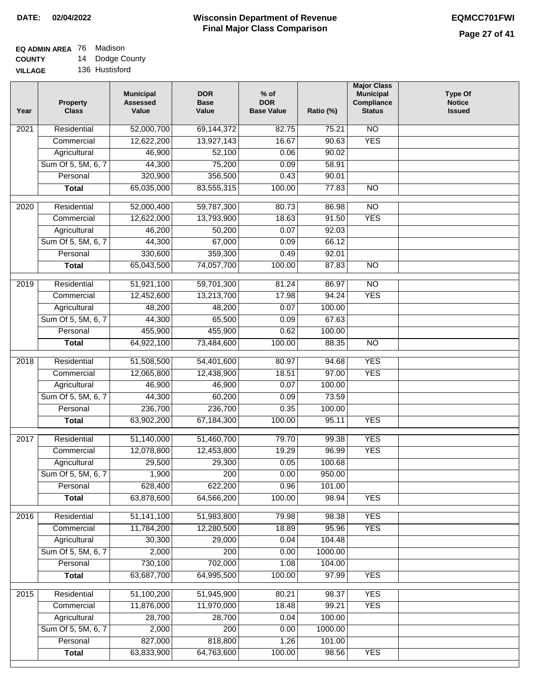#### **EQ ADMIN AREA** 76 Madison **COUNTY** 14 Dodge County

**VILLAGE** 136 Hustisford

| Year              | <b>Property</b><br><b>Class</b>    | <b>Municipal</b><br><b>Assessed</b><br>Value | <b>DOR</b><br><b>Base</b><br>Value | % of<br><b>DOR</b><br><b>Base Value</b> | Ratio (%)         | <b>Major Class</b><br><b>Municipal</b><br>Compliance<br><b>Status</b> | <b>Type Of</b><br><b>Notice</b><br><b>Issued</b> |
|-------------------|------------------------------------|----------------------------------------------|------------------------------------|-----------------------------------------|-------------------|-----------------------------------------------------------------------|--------------------------------------------------|
| $\overline{202}1$ | Residential                        | 52,000,700                                   | 69,144,372                         | 82.75                                   | 75.21             | N <sub>O</sub>                                                        |                                                  |
|                   | Commercial                         | 12,622,200                                   | 13,927,143                         | 16.67                                   | 90.63             | <b>YES</b>                                                            |                                                  |
|                   | Agricultural                       | 46,900                                       | 52,100                             | 0.06                                    | 90.02             |                                                                       |                                                  |
|                   | Sum Of 5, 5M, 6, 7                 | 44,300                                       | 75,200                             | 0.09                                    | 58.91             |                                                                       |                                                  |
|                   | Personal                           | 320,900                                      | 356,500                            | 0.43                                    | 90.01             |                                                                       |                                                  |
|                   | <b>Total</b>                       | 65,035,000                                   | 83,555,315                         | 100.00                                  | 77.83             | $\overline{NO}$                                                       |                                                  |
| $\overline{2020}$ | Residential                        | 52,000,400                                   | 59,787,300                         | 80.73                                   | 86.98             | $\overline{NO}$                                                       |                                                  |
|                   | Commercial                         | 12,622,000                                   | 13,793,900                         | 18.63                                   | 91.50             | <b>YES</b>                                                            |                                                  |
|                   | Agricultural                       | 46,200                                       | 50,200                             | 0.07                                    | 92.03             |                                                                       |                                                  |
|                   | Sum Of 5, 5M, 6, 7                 | 44,300                                       | 67,000                             | 0.09                                    | 66.12             |                                                                       |                                                  |
|                   | Personal                           | 330,600                                      | 359,300                            | 0.49                                    | 92.01             |                                                                       |                                                  |
|                   | <b>Total</b>                       | 65,043,500                                   | 74,057,700                         | 100.00                                  | 87.83             | $\overline{NO}$                                                       |                                                  |
|                   |                                    |                                              |                                    |                                         |                   |                                                                       |                                                  |
| $\frac{1}{2019}$  | Residential                        | 51,921,100                                   | 59,701,300                         | 81.24                                   | 86.97             | $\overline{10}$                                                       |                                                  |
|                   | Commercial                         | 12,452,600                                   | 13,213,700                         | 17.98                                   | 94.24             | <b>YES</b>                                                            |                                                  |
|                   | Agricultural                       | 48,200                                       | 48,200                             | 0.07                                    | 100.00            |                                                                       |                                                  |
|                   | Sum Of 5, 5M, 6, 7                 | 44,300                                       | 65,500                             | 0.09                                    | 67.63             |                                                                       |                                                  |
|                   | Personal                           | 455,900                                      | 455,900                            | 0.62                                    | 100.00            |                                                                       |                                                  |
|                   | <b>Total</b>                       | 64,922,100                                   | 73,484,600                         | 100.00                                  | 88.35             | $\overline{NO}$                                                       |                                                  |
| 2018              | Residential                        | 51,508,500                                   | 54,401,600                         | 80.97                                   | 94.68             | <b>YES</b>                                                            |                                                  |
|                   | Commercial                         | 12,065,800                                   | 12,438,900                         | 18.51                                   | 97.00             | <b>YES</b>                                                            |                                                  |
|                   | Agricultural                       | 46,900                                       | 46,900                             | 0.07                                    | 100.00            |                                                                       |                                                  |
|                   | Sum Of 5, 5M, 6, 7                 | 44,300                                       | 60,200                             | 0.09                                    | 73.59             |                                                                       |                                                  |
|                   | Personal                           | 236,700                                      | 236,700                            | 0.35                                    | 100.00            |                                                                       |                                                  |
|                   | <b>Total</b>                       | 63,902,200                                   | 67,184,300                         | 100.00                                  | 95.11             | <b>YES</b>                                                            |                                                  |
| $\overline{2017}$ | Residential                        | 51,140,000                                   | 51,460,700                         | 79.70                                   | 99.38             | <b>YES</b>                                                            |                                                  |
|                   | Commercial                         | 12,078,800                                   | 12,453,800                         | 19.29                                   | 96.99             | <b>YES</b>                                                            |                                                  |
|                   | Agricultural                       | 29,500                                       | 29,300                             | 0.05                                    | 100.68            |                                                                       |                                                  |
|                   | Sum Of 5, 5M, 6, 7                 | 1,900                                        | 200                                | 0.00                                    | 950.00            |                                                                       |                                                  |
|                   | Personal                           | 628,400                                      | 622,200                            | 0.96                                    | 101.00            |                                                                       |                                                  |
|                   | <b>Total</b>                       | 63,878,600                                   | 64,566,200                         | 100.00                                  | 98.94             | <b>YES</b>                                                            |                                                  |
|                   |                                    |                                              |                                    |                                         |                   |                                                                       |                                                  |
| 2016              | Residential                        | 51,141,100                                   | 51,983,800                         | 79.98                                   | 98.38             | <b>YES</b>                                                            |                                                  |
|                   | Commercial                         | 11,784,200                                   | 12,280,500                         | 18.89                                   | 95.96             | <b>YES</b>                                                            |                                                  |
|                   | Agricultural<br>Sum Of 5, 5M, 6, 7 | 30,300                                       | 29,000<br>$\overline{200}$         | 0.04                                    | 104.48<br>1000.00 |                                                                       |                                                  |
|                   | Personal                           | 2,000<br>730,100                             |                                    | 0.00<br>1.08                            |                   |                                                                       |                                                  |
|                   | <b>Total</b>                       | 63,687,700                                   | 702,000<br>64,995,500              | 100.00                                  | 104.00<br>97.99   | <b>YES</b>                                                            |                                                  |
|                   |                                    |                                              |                                    |                                         |                   |                                                                       |                                                  |
| 2015              | Residential                        | 51,100,200                                   | 51,945,900                         | 80.21                                   | 98.37             | <b>YES</b>                                                            |                                                  |
|                   | Commercial                         | 11,876,000                                   | 11,970,000                         | 18.48                                   | 99.21             | <b>YES</b>                                                            |                                                  |
|                   | Agricultural                       | 28,700                                       | 28,700                             | 0.04                                    | 100.00            |                                                                       |                                                  |
|                   | Sum Of 5, 5M, 6, 7                 | 2,000                                        | 200                                | 0.00                                    | 1000.00           |                                                                       |                                                  |
|                   | Personal                           | 827,000                                      | 818,800                            | 1.26                                    | 101.00            |                                                                       |                                                  |
|                   | <b>Total</b>                       | 63,833,900                                   | 64,763,600                         | 100.00                                  | 98.56             | <b>YES</b>                                                            |                                                  |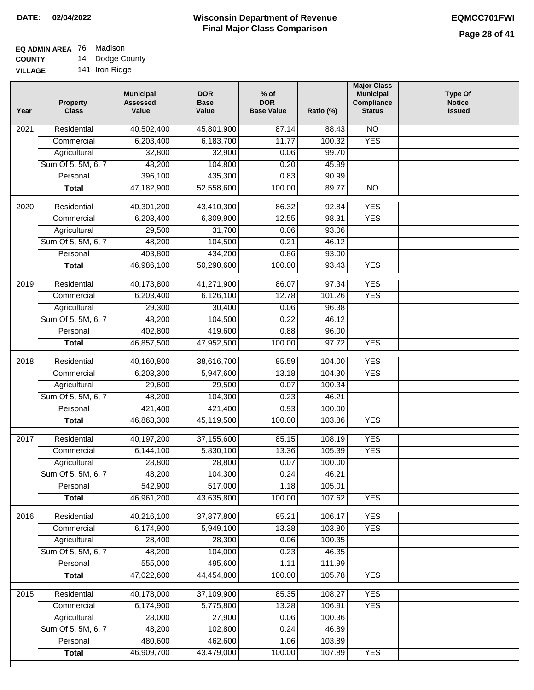#### **EQ ADMIN AREA** 76 Madison **COUNTY** 14 Dodge County

**VILLAGE** 141 Iron Ridge

| Year              | <b>Property</b><br><b>Class</b> | <b>Municipal</b><br><b>Assessed</b><br>Value | <b>DOR</b><br><b>Base</b><br>Value | % of<br><b>DOR</b><br><b>Base Value</b> | Ratio (%) | <b>Major Class</b><br><b>Municipal</b><br>Compliance<br><b>Status</b> | <b>Type Of</b><br><b>Notice</b><br><b>Issued</b> |
|-------------------|---------------------------------|----------------------------------------------|------------------------------------|-----------------------------------------|-----------|-----------------------------------------------------------------------|--------------------------------------------------|
| $\overline{202}1$ | Residential                     | 40,502,400                                   | 45,801,900                         | 87.14                                   | 88.43     | N <sub>O</sub>                                                        |                                                  |
|                   | Commercial                      | 6,203,400                                    | 6,183,700                          | 11.77                                   | 100.32    | <b>YES</b>                                                            |                                                  |
|                   | Agricultural                    | 32,800                                       | 32,900                             | 0.06                                    | 99.70     |                                                                       |                                                  |
|                   | Sum Of 5, 5M, 6, 7              | 48,200                                       | 104,800                            | 0.20                                    | 45.99     |                                                                       |                                                  |
|                   | Personal                        | 396,100                                      | 435,300                            | 0.83                                    | 90.99     |                                                                       |                                                  |
|                   | <b>Total</b>                    | 47,182,900                                   | 52,558,600                         | 100.00                                  | 89.77     | $\overline{NO}$                                                       |                                                  |
| $\overline{2020}$ | Residential                     | 40,301,200                                   | 43,410,300                         | 86.32                                   | 92.84     | <b>YES</b>                                                            |                                                  |
|                   | Commercial                      | 6,203,400                                    | 6,309,900                          | 12.55                                   | 98.31     | <b>YES</b>                                                            |                                                  |
|                   | Agricultural                    | 29,500                                       | 31,700                             | 0.06                                    | 93.06     |                                                                       |                                                  |
|                   | Sum Of 5, 5M, 6, 7              | 48,200                                       | 104,500                            | 0.21                                    | 46.12     |                                                                       |                                                  |
|                   | Personal                        | 403,800                                      | 434,200                            | 0.86                                    | 93.00     |                                                                       |                                                  |
|                   | <b>Total</b>                    | 46,986,100                                   | 50,290,600                         | 100.00                                  | 93.43     | <b>YES</b>                                                            |                                                  |
|                   |                                 |                                              |                                    |                                         |           |                                                                       |                                                  |
| $\frac{1}{2019}$  | Residential                     | 40,173,800                                   | 41,271,900                         | 86.07                                   | 97.34     | <b>YES</b>                                                            |                                                  |
|                   | Commercial                      | 6,203,400                                    | 6,126,100                          | 12.78                                   | 101.26    | <b>YES</b>                                                            |                                                  |
|                   | Agricultural                    | 29,300                                       | 30,400                             | 0.06                                    | 96.38     |                                                                       |                                                  |
|                   | Sum Of 5, 5M, 6, 7              | 48,200                                       | 104,500                            | 0.22                                    | 46.12     |                                                                       |                                                  |
|                   | Personal                        | 402,800                                      | 419,600                            | 0.88                                    | 96.00     |                                                                       |                                                  |
|                   | <b>Total</b>                    | 46,857,500                                   | 47,952,500                         | 100.00                                  | 97.72     | <b>YES</b>                                                            |                                                  |
| 2018              | Residential                     | 40,160,800                                   | 38,616,700                         | 85.59                                   | 104.00    | <b>YES</b>                                                            |                                                  |
|                   | Commercial                      | 6,203,300                                    | 5,947,600                          | 13.18                                   | 104.30    | <b>YES</b>                                                            |                                                  |
|                   | Agricultural                    | 29,600                                       | 29,500                             | 0.07                                    | 100.34    |                                                                       |                                                  |
|                   | Sum Of 5, 5M, 6, 7              | 48,200                                       | 104,300                            | 0.23                                    | 46.21     |                                                                       |                                                  |
|                   | Personal                        | 421,400                                      | 421,400                            | 0.93                                    | 100.00    |                                                                       |                                                  |
|                   | <b>Total</b>                    | 46,863,300                                   | 45,119,500                         | 100.00                                  | 103.86    | <b>YES</b>                                                            |                                                  |
| $\overline{2017}$ | Residential                     | 40,197,200                                   | 37,155,600                         | 85.15                                   | 108.19    | <b>YES</b>                                                            |                                                  |
|                   | Commercial                      | 6,144,100                                    | 5,830,100                          | 13.36                                   | 105.39    | <b>YES</b>                                                            |                                                  |
|                   | Agricultural                    | 28,800                                       | 28,800                             | 0.07                                    | 100.00    |                                                                       |                                                  |
|                   | Sum Of 5, 5M, 6, 7              | 48,200                                       | 104,300                            | 0.24                                    | 46.21     |                                                                       |                                                  |
|                   | Personal                        | 542,900                                      | 517,000                            | 1.18                                    | 105.01    |                                                                       |                                                  |
|                   | <b>Total</b>                    | 46,961,200                                   | 43,635,800                         | 100.00                                  | 107.62    | <b>YES</b>                                                            |                                                  |
|                   |                                 |                                              |                                    |                                         |           |                                                                       |                                                  |
| 2016              | Residential                     | 40,216,100                                   | 37,877,800                         | 85.21                                   | 106.17    | <b>YES</b>                                                            |                                                  |
|                   | Commercial                      | 6,174,900                                    | 5,949,100                          | 13.38                                   | 103.80    | <b>YES</b>                                                            |                                                  |
|                   | Agricultural                    | 28,400                                       | 28,300                             | 0.06                                    | 100.35    |                                                                       |                                                  |
|                   | Sum Of 5, 5M, 6, 7              | 48,200                                       | 104,000                            | 0.23                                    | 46.35     |                                                                       |                                                  |
|                   | Personal                        | 555,000                                      | 495,600                            | 1.11                                    | 111.99    |                                                                       |                                                  |
|                   | <b>Total</b>                    | 47,022,600                                   | 44,454,800                         | 100.00                                  | 105.78    | <b>YES</b>                                                            |                                                  |
| 2015              | Residential                     | 40,178,000                                   | 37,109,900                         | 85.35                                   | 108.27    | <b>YES</b>                                                            |                                                  |
|                   | Commercial                      | 6,174,900                                    | 5,775,800                          | 13.28                                   | 106.91    | <b>YES</b>                                                            |                                                  |
|                   | Agricultural                    | 28,000                                       | 27,900                             | 0.06                                    | 100.36    |                                                                       |                                                  |
|                   | Sum Of 5, 5M, 6, 7              | 48,200                                       | 102,800                            | 0.24                                    | 46.89     |                                                                       |                                                  |
|                   | Personal                        | 480,600                                      | 462,600                            | 1.06                                    | 103.89    |                                                                       |                                                  |
|                   | <b>Total</b>                    | 46,909,700                                   | 43,479,000                         | 100.00                                  | 107.89    | <b>YES</b>                                                            |                                                  |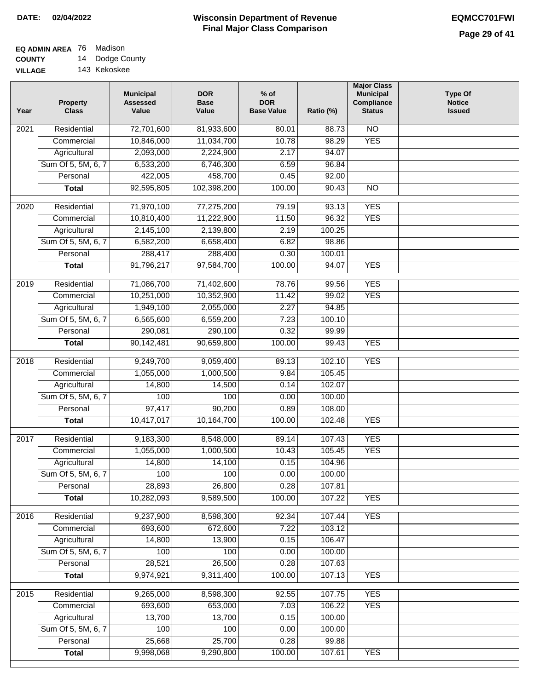## **EQ ADMIN AREA** 76 Madison **COUNTY**

**VILLAGE** 14 Dodge County 143 Kekoskee

| Year | <b>Property</b><br><b>Class</b> | <b>Municipal</b><br><b>Assessed</b><br>Value | <b>DOR</b><br><b>Base</b><br>Value | $%$ of<br><b>DOR</b><br><b>Base Value</b> | Ratio (%)        | <b>Major Class</b><br><b>Municipal</b><br>Compliance<br><b>Status</b> | <b>Type Of</b><br><b>Notice</b><br><b>Issued</b> |
|------|---------------------------------|----------------------------------------------|------------------------------------|-------------------------------------------|------------------|-----------------------------------------------------------------------|--------------------------------------------------|
| 2021 | Residential                     | 72,701,600                                   | 81,933,600                         | 80.01                                     | 88.73            | N <sub>O</sub>                                                        |                                                  |
|      | Commercial                      | 10,846,000                                   | 11,034,700                         | 10.78                                     | 98.29            | <b>YES</b>                                                            |                                                  |
|      | Agricultural                    | 2,093,000                                    | 2,224,900                          | 2.17                                      | 94.07            |                                                                       |                                                  |
|      | Sum Of 5, 5M, 6, 7              | 6,533,200                                    | 6,746,300                          | 6.59                                      | 96.84            |                                                                       |                                                  |
|      | Personal                        | 422,005                                      | 458,700                            | 0.45                                      | 92.00            |                                                                       |                                                  |
|      | <b>Total</b>                    | 92,595,805                                   | 102,398,200                        | 100.00                                    | 90.43            | $\overline{NO}$                                                       |                                                  |
| 2020 | Residential                     | 71,970,100                                   | 77,275,200                         | 79.19                                     | 93.13            | <b>YES</b>                                                            |                                                  |
|      | Commercial                      | 10,810,400                                   | 11,222,900                         | 11.50                                     | 96.32            | <b>YES</b>                                                            |                                                  |
|      | Agricultural                    | 2,145,100                                    | 2,139,800                          | 2.19                                      | 100.25           |                                                                       |                                                  |
|      | Sum Of 5, 5M, 6, 7              | 6,582,200                                    | 6,658,400                          | 6.82                                      | 98.86            |                                                                       |                                                  |
|      | Personal                        | 288,417                                      | 288,400                            | 0.30                                      | 100.01           |                                                                       |                                                  |
|      | <b>Total</b>                    | 91,796,217                                   | 97,584,700                         | 100.00                                    | 94.07            | <b>YES</b>                                                            |                                                  |
| 2019 | Residential                     | 71,086,700                                   | 71,402,600                         | 78.76                                     | 99.56            | <b>YES</b>                                                            |                                                  |
|      | Commercial                      | 10,251,000                                   | 10,352,900                         | 11.42                                     | 99.02            | <b>YES</b>                                                            |                                                  |
|      | Agricultural                    | 1,949,100                                    | 2,055,000                          | 2.27                                      | 94.85            |                                                                       |                                                  |
|      | Sum Of 5, 5M, 6, 7              | 6,565,600                                    | 6,559,200                          | 7.23                                      | 100.10           |                                                                       |                                                  |
|      | Personal                        | 290,081                                      | 290,100                            | 0.32                                      | 99.99            |                                                                       |                                                  |
|      | <b>Total</b>                    | 90,142,481                                   | 90,659,800                         | 100.00                                    | 99.43            | <b>YES</b>                                                            |                                                  |
|      |                                 |                                              |                                    |                                           |                  |                                                                       |                                                  |
| 2018 | Residential<br>Commercial       | 9,249,700<br>1,055,000                       | 9,059,400<br>1,000,500             | 89.13<br>9.84                             | 102.10<br>105.45 | <b>YES</b>                                                            |                                                  |
|      | Agricultural                    | 14,800                                       | 14,500                             | 0.14                                      | 102.07           |                                                                       |                                                  |
|      | Sum Of 5, 5M, 6, 7              | 100                                          | 100                                | 0.00                                      | 100.00           |                                                                       |                                                  |
|      | Personal                        | 97,417                                       | 90,200                             | 0.89                                      | 108.00           |                                                                       |                                                  |
|      | <b>Total</b>                    | 10,417,017                                   | 10,164,700                         | 100.00                                    | 102.48           | <b>YES</b>                                                            |                                                  |
|      |                                 |                                              |                                    |                                           |                  |                                                                       |                                                  |
| 2017 | Residential                     | 9,183,300                                    | 8,548,000                          | 89.14                                     | 107.43           | <b>YES</b>                                                            |                                                  |
|      | Commercial                      | 1,055,000                                    | 1,000,500                          | 10.43                                     | 105.45           | <b>YES</b>                                                            |                                                  |
|      | Agricultural                    | 14,800                                       | 14,100                             | 0.15                                      | 104.96           |                                                                       |                                                  |
|      | Sum Of 5, 5M, 6, 7              | 100                                          | 100                                | 0.00                                      | 100.00           |                                                                       |                                                  |
|      | Personal                        | 28,893                                       | 26,800                             | 0.28                                      | 107.81           |                                                                       |                                                  |
|      | <b>Total</b>                    | 10,282,093                                   | 9,589,500                          | 100.00                                    | 107.22           | <b>YES</b>                                                            |                                                  |
| 2016 | Residential                     | 9,237,900                                    | 8,598,300                          | 92.34                                     | 107.44           | <b>YES</b>                                                            |                                                  |
|      | Commercial                      | 693,600                                      | 672,600                            | 7.22                                      | 103.12           |                                                                       |                                                  |
|      | Agricultural                    | 14,800                                       | 13,900                             | 0.15                                      | 106.47           |                                                                       |                                                  |
|      | Sum Of 5, 5M, 6, 7              | 100                                          | 100                                | 0.00                                      | 100.00           |                                                                       |                                                  |
|      | Personal                        | 28,521                                       | 26,500                             | 0.28                                      | 107.63           |                                                                       |                                                  |
|      | <b>Total</b>                    | 9,974,921                                    | 9,311,400                          | 100.00                                    | 107.13           | <b>YES</b>                                                            |                                                  |
| 2015 | Residential                     | 9,265,000                                    | 8,598,300                          | 92.55                                     | 107.75           | <b>YES</b>                                                            |                                                  |
|      | Commercial                      | 693,600                                      | 653,000                            | 7.03                                      | 106.22           | <b>YES</b>                                                            |                                                  |
|      | Agricultural                    | 13,700                                       | 13,700                             | 0.15                                      | 100.00           |                                                                       |                                                  |
|      | Sum Of 5, 5M, 6, 7              | 100                                          | 100                                | 0.00                                      | 100.00           |                                                                       |                                                  |
|      | Personal                        | 25,668                                       | 25,700                             | 0.28                                      | 99.88            |                                                                       |                                                  |
|      | <b>Total</b>                    | 9,998,068                                    | 9,290,800                          | 100.00                                    | 107.61           | <b>YES</b>                                                            |                                                  |
|      |                                 |                                              |                                    |                                           |                  |                                                                       |                                                  |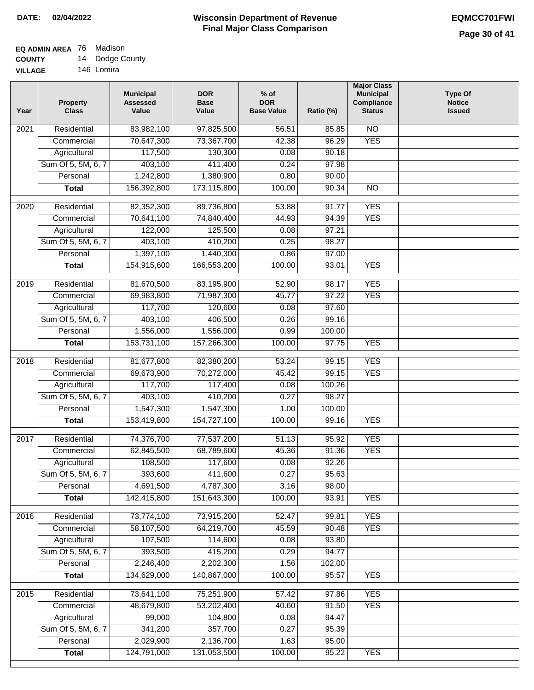#### **EQ ADMIN AREA** 76 Madison **COUNTY** 14 Dodge County

**VILLAGE** 146 Lomira

| Year | <b>Property</b><br><b>Class</b> | <b>Municipal</b><br><b>Assessed</b><br>Value | <b>DOR</b><br><b>Base</b><br>Value | $%$ of<br><b>DOR</b><br><b>Base Value</b> | Ratio (%) | <b>Major Class</b><br><b>Municipal</b><br>Compliance<br><b>Status</b> | <b>Type Of</b><br><b>Notice</b><br><b>Issued</b> |
|------|---------------------------------|----------------------------------------------|------------------------------------|-------------------------------------------|-----------|-----------------------------------------------------------------------|--------------------------------------------------|
| 2021 | Residential                     | 83,982,100                                   | 97,825,500                         | 56.51                                     | 85.85     | $\overline{NO}$                                                       |                                                  |
|      | Commercial                      | 70,647,300                                   | 73,367,700                         | 42.38                                     | 96.29     | <b>YES</b>                                                            |                                                  |
|      | Agricultural                    | 117,500                                      | 130,300                            | 0.08                                      | 90.18     |                                                                       |                                                  |
|      | Sum Of 5, 5M, 6, 7              | 403,100                                      | 411,400                            | 0.24                                      | 97.98     |                                                                       |                                                  |
|      | Personal                        | 1,242,800                                    | 1,380,900                          | 0.80                                      | 90.00     |                                                                       |                                                  |
|      | <b>Total</b>                    | 156,392,800                                  | 173,115,800                        | 100.00                                    | 90.34     | $\overline{NO}$                                                       |                                                  |
| 2020 | Residential                     | 82,352,300                                   | 89,736,800                         | 53.88                                     | 91.77     | <b>YES</b>                                                            |                                                  |
|      | Commercial                      | 70,641,100                                   | 74,840,400                         | 44.93                                     | 94.39     | <b>YES</b>                                                            |                                                  |
|      | Agricultural                    | 122,000                                      | 125,500                            | 0.08                                      | 97.21     |                                                                       |                                                  |
|      | Sum Of 5, 5M, 6, 7              | 403,100                                      | 410,200                            | 0.25                                      | 98.27     |                                                                       |                                                  |
|      | Personal                        | 1,397,100                                    | 1,440,300                          | 0.86                                      | 97.00     |                                                                       |                                                  |
|      | <b>Total</b>                    | 154,915,600                                  | 166,553,200                        | 100.00                                    | 93.01     | <b>YES</b>                                                            |                                                  |
|      |                                 |                                              |                                    |                                           |           |                                                                       |                                                  |
| 2019 | Residential                     | 81,670,500                                   | 83,195,900                         | 52.90                                     | 98.17     | <b>YES</b>                                                            |                                                  |
|      | Commercial                      | 69,983,800                                   | 71,987,300                         | 45.77                                     | 97.22     | <b>YES</b>                                                            |                                                  |
|      | Agricultural                    | 117,700                                      | 120,600                            | 0.08                                      | 97.60     |                                                                       |                                                  |
|      | Sum Of 5, 5M, 6, 7              | 403,100                                      | 406,500                            | 0.26                                      | 99.16     |                                                                       |                                                  |
|      | Personal                        | 1,556,000                                    | 1,556,000                          | 0.99                                      | 100.00    |                                                                       |                                                  |
|      | <b>Total</b>                    | 153,731,100                                  | 157,266,300                        | 100.00                                    | 97.75     | <b>YES</b>                                                            |                                                  |
| 2018 | Residential                     | 81,677,800                                   | 82,380,200                         | 53.24                                     | 99.15     | <b>YES</b>                                                            |                                                  |
|      | Commercial                      | 69,673,900                                   | 70,272,000                         | 45.42                                     | 99.15     | <b>YES</b>                                                            |                                                  |
|      | Agricultural                    | 117,700                                      | 117,400                            | 0.08                                      | 100.26    |                                                                       |                                                  |
|      | Sum Of 5, 5M, 6, 7              | 403,100                                      | 410,200                            | 0.27                                      | 98.27     |                                                                       |                                                  |
|      | Personal                        | 1,547,300                                    | 1,547,300                          | 1.00                                      | 100.00    |                                                                       |                                                  |
|      | <b>Total</b>                    | 153,419,800                                  | 154,727,100                        | 100.00                                    | 99.16     | <b>YES</b>                                                            |                                                  |
| 2017 | Residential                     | 74,376,700                                   | 77,537,200                         | 51.13                                     | 95.92     | <b>YES</b>                                                            |                                                  |
|      | Commercial                      | 62,845,500                                   | 68,789,600                         | 45.36                                     | 91.36     | <b>YES</b>                                                            |                                                  |
|      | Agricultural                    | 108,500                                      | 117,600                            | 0.08                                      | 92.26     |                                                                       |                                                  |
|      | Sum Of 5, 5M, 6, 7              | 393,600                                      | 411,600                            | 0.27                                      | 95.63     |                                                                       |                                                  |
|      | Personal                        | 4,691,500                                    | 4,787,300                          | 3.16                                      | 98.00     |                                                                       |                                                  |
|      | <b>Total</b>                    | 142,415,800                                  | 151,643,300                        | 100.00                                    | 93.91     | <b>YES</b>                                                            |                                                  |
| 2016 | Residential                     | 73,774,100                                   | 73,915,200                         | 52.47                                     | 99.81     | <b>YES</b>                                                            |                                                  |
|      | Commercial                      | 58,107,500                                   | 64,219,700                         | 45.59                                     | 90.48     | <b>YES</b>                                                            |                                                  |
|      | Agricultural                    | 107,500                                      | 114,600                            | 0.08                                      | 93.80     |                                                                       |                                                  |
|      | Sum Of 5, 5M, 6, 7              | 393,500                                      | 415,200                            | 0.29                                      | 94.77     |                                                                       |                                                  |
|      | Personal                        | 2,246,400                                    | 2,202,300                          | 1.56                                      | 102.00    |                                                                       |                                                  |
|      | <b>Total</b>                    | 134,629,000                                  | 140,867,000                        | 100.00                                    | 95.57     | <b>YES</b>                                                            |                                                  |
|      |                                 |                                              |                                    |                                           | 97.86     | <b>YES</b>                                                            |                                                  |
| 2015 | Residential<br>Commercial       | 73,641,100<br>48,679,800                     | 75,251,900<br>53,202,400           | 57.42<br>40.60                            | 91.50     | <b>YES</b>                                                            |                                                  |
|      | Agricultural                    | 99,000                                       | 104,800                            | 0.08                                      | 94.47     |                                                                       |                                                  |
|      | Sum Of 5, 5M, 6, 7              | 341,200                                      | 357,700                            | 0.27                                      | 95.39     |                                                                       |                                                  |
|      | Personal                        | 2,029,900                                    | 2,136,700                          | 1.63                                      | 95.00     |                                                                       |                                                  |
|      | <b>Total</b>                    | 124,791,000                                  | 131,053,500                        | 100.00                                    | 95.22     | <b>YES</b>                                                            |                                                  |
|      |                                 |                                              |                                    |                                           |           |                                                                       |                                                  |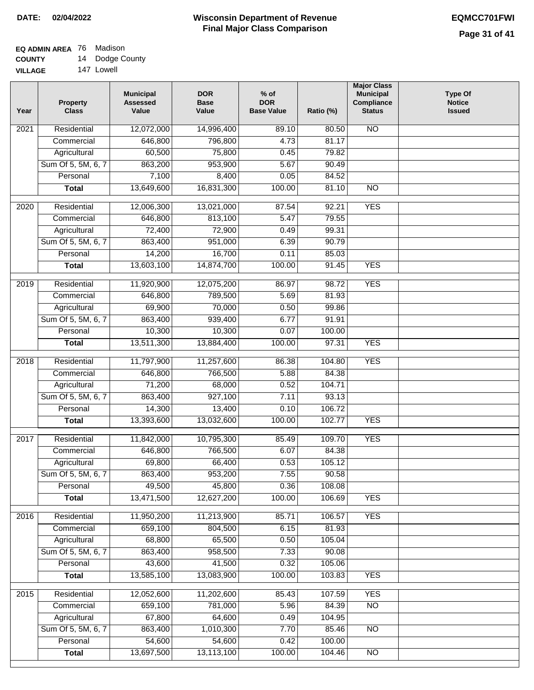#### **Wisconsin Department of Revenue Final Major Class Comparison DATE: 02/04/2022 EQMCC701FWI**

#### **EQ ADMIN AREA** 76 Madison **COUNTY** 14 Dodge County

**VILLAGE** 147 Lowell

| <b>NO</b><br>Residential<br>12,072,000<br>14,996,400<br>89.10<br>80.50<br>2021<br>81.17<br>Commercial<br>646,800<br>796,800<br>4.73<br>60,500<br>75,800<br>79.82<br>Agricultural<br>0.45<br>Sum Of 5, 5M, 6, 7<br>863,200<br>953,900<br>5.67<br>90.49<br>Personal<br>7,100<br>8,400<br>0.05<br>84.52<br>13,649,600<br>16,831,300<br>100.00<br>81.10<br>$\overline{NO}$<br><b>Total</b><br><b>YES</b><br>Residential<br>12,006,300<br>13,021,000<br>92.21<br>2020<br>87.54<br>Commercial<br>646,800<br>813,100<br>5.47<br>79.55<br>Agricultural<br>72,400<br>72,900<br>0.49<br>99.31<br>Sum Of 5, 5M, 6, 7<br>863,400<br>951,000<br>90.79<br>6.39<br>14,200<br>16,700<br>0.11<br>85.03<br>Personal<br><b>YES</b><br>13,603,100<br>14,874,700<br>100.00<br>91.45<br><b>Total</b><br><b>YES</b><br>$\frac{1}{2019}$<br>Residential<br>11,920,900<br>12,075,200<br>98.72<br>86.97<br>Commercial<br>646,800<br>789,500<br>5.69<br>81.93<br>70,000<br>0.50<br>99.86<br>Agricultural<br>69,900<br>Sum Of 5, 5M, 6, 7<br>863,400<br>939,400<br>6.77<br>91.91<br>10,300<br>10,300<br>Personal<br>0.07<br>100.00<br><b>YES</b><br>13,511,300<br>100.00<br>97.31<br><b>Total</b><br>13,884,400<br><b>YES</b><br>2018<br>Residential<br>11,797,900<br>11,257,600<br>86.38<br>104.80<br>5.88<br>Commercial<br>646,800<br>766,500<br>84.38 | <b>Notice</b><br><b>Issued</b> |
|------------------------------------------------------------------------------------------------------------------------------------------------------------------------------------------------------------------------------------------------------------------------------------------------------------------------------------------------------------------------------------------------------------------------------------------------------------------------------------------------------------------------------------------------------------------------------------------------------------------------------------------------------------------------------------------------------------------------------------------------------------------------------------------------------------------------------------------------------------------------------------------------------------------------------------------------------------------------------------------------------------------------------------------------------------------------------------------------------------------------------------------------------------------------------------------------------------------------------------------------------------------------------------------------------------------------------|--------------------------------|
|                                                                                                                                                                                                                                                                                                                                                                                                                                                                                                                                                                                                                                                                                                                                                                                                                                                                                                                                                                                                                                                                                                                                                                                                                                                                                                                              |                                |
|                                                                                                                                                                                                                                                                                                                                                                                                                                                                                                                                                                                                                                                                                                                                                                                                                                                                                                                                                                                                                                                                                                                                                                                                                                                                                                                              |                                |
|                                                                                                                                                                                                                                                                                                                                                                                                                                                                                                                                                                                                                                                                                                                                                                                                                                                                                                                                                                                                                                                                                                                                                                                                                                                                                                                              |                                |
|                                                                                                                                                                                                                                                                                                                                                                                                                                                                                                                                                                                                                                                                                                                                                                                                                                                                                                                                                                                                                                                                                                                                                                                                                                                                                                                              |                                |
|                                                                                                                                                                                                                                                                                                                                                                                                                                                                                                                                                                                                                                                                                                                                                                                                                                                                                                                                                                                                                                                                                                                                                                                                                                                                                                                              |                                |
|                                                                                                                                                                                                                                                                                                                                                                                                                                                                                                                                                                                                                                                                                                                                                                                                                                                                                                                                                                                                                                                                                                                                                                                                                                                                                                                              |                                |
|                                                                                                                                                                                                                                                                                                                                                                                                                                                                                                                                                                                                                                                                                                                                                                                                                                                                                                                                                                                                                                                                                                                                                                                                                                                                                                                              |                                |
|                                                                                                                                                                                                                                                                                                                                                                                                                                                                                                                                                                                                                                                                                                                                                                                                                                                                                                                                                                                                                                                                                                                                                                                                                                                                                                                              |                                |
|                                                                                                                                                                                                                                                                                                                                                                                                                                                                                                                                                                                                                                                                                                                                                                                                                                                                                                                                                                                                                                                                                                                                                                                                                                                                                                                              |                                |
|                                                                                                                                                                                                                                                                                                                                                                                                                                                                                                                                                                                                                                                                                                                                                                                                                                                                                                                                                                                                                                                                                                                                                                                                                                                                                                                              |                                |
|                                                                                                                                                                                                                                                                                                                                                                                                                                                                                                                                                                                                                                                                                                                                                                                                                                                                                                                                                                                                                                                                                                                                                                                                                                                                                                                              |                                |
|                                                                                                                                                                                                                                                                                                                                                                                                                                                                                                                                                                                                                                                                                                                                                                                                                                                                                                                                                                                                                                                                                                                                                                                                                                                                                                                              |                                |
|                                                                                                                                                                                                                                                                                                                                                                                                                                                                                                                                                                                                                                                                                                                                                                                                                                                                                                                                                                                                                                                                                                                                                                                                                                                                                                                              |                                |
|                                                                                                                                                                                                                                                                                                                                                                                                                                                                                                                                                                                                                                                                                                                                                                                                                                                                                                                                                                                                                                                                                                                                                                                                                                                                                                                              |                                |
|                                                                                                                                                                                                                                                                                                                                                                                                                                                                                                                                                                                                                                                                                                                                                                                                                                                                                                                                                                                                                                                                                                                                                                                                                                                                                                                              |                                |
|                                                                                                                                                                                                                                                                                                                                                                                                                                                                                                                                                                                                                                                                                                                                                                                                                                                                                                                                                                                                                                                                                                                                                                                                                                                                                                                              |                                |
|                                                                                                                                                                                                                                                                                                                                                                                                                                                                                                                                                                                                                                                                                                                                                                                                                                                                                                                                                                                                                                                                                                                                                                                                                                                                                                                              |                                |
|                                                                                                                                                                                                                                                                                                                                                                                                                                                                                                                                                                                                                                                                                                                                                                                                                                                                                                                                                                                                                                                                                                                                                                                                                                                                                                                              |                                |
|                                                                                                                                                                                                                                                                                                                                                                                                                                                                                                                                                                                                                                                                                                                                                                                                                                                                                                                                                                                                                                                                                                                                                                                                                                                                                                                              |                                |
|                                                                                                                                                                                                                                                                                                                                                                                                                                                                                                                                                                                                                                                                                                                                                                                                                                                                                                                                                                                                                                                                                                                                                                                                                                                                                                                              |                                |
|                                                                                                                                                                                                                                                                                                                                                                                                                                                                                                                                                                                                                                                                                                                                                                                                                                                                                                                                                                                                                                                                                                                                                                                                                                                                                                                              |                                |
| 71,200<br>68,000<br>0.52<br>104.71<br>Agricultural                                                                                                                                                                                                                                                                                                                                                                                                                                                                                                                                                                                                                                                                                                                                                                                                                                                                                                                                                                                                                                                                                                                                                                                                                                                                           |                                |
| Sum Of 5, 5M, 6, 7<br>863,400<br>927,100<br>7.11<br>93.13                                                                                                                                                                                                                                                                                                                                                                                                                                                                                                                                                                                                                                                                                                                                                                                                                                                                                                                                                                                                                                                                                                                                                                                                                                                                    |                                |
| 14,300<br>13,400<br>0.10<br>106.72<br>Personal<br><b>YES</b><br>13,393,600<br>100.00<br>102.77                                                                                                                                                                                                                                                                                                                                                                                                                                                                                                                                                                                                                                                                                                                                                                                                                                                                                                                                                                                                                                                                                                                                                                                                                               |                                |
| 13,032,600<br><b>Total</b>                                                                                                                                                                                                                                                                                                                                                                                                                                                                                                                                                                                                                                                                                                                                                                                                                                                                                                                                                                                                                                                                                                                                                                                                                                                                                                   |                                |
| <b>YES</b><br>Residential<br>11,842,000<br>10,795,300<br>109.70<br>2017<br>85.49                                                                                                                                                                                                                                                                                                                                                                                                                                                                                                                                                                                                                                                                                                                                                                                                                                                                                                                                                                                                                                                                                                                                                                                                                                             |                                |
| 646,800<br>766,500<br>6.07<br>84.38<br>Commercial                                                                                                                                                                                                                                                                                                                                                                                                                                                                                                                                                                                                                                                                                                                                                                                                                                                                                                                                                                                                                                                                                                                                                                                                                                                                            |                                |
| 69,800<br>66,400<br>0.53<br>105.12<br>Agricultural                                                                                                                                                                                                                                                                                                                                                                                                                                                                                                                                                                                                                                                                                                                                                                                                                                                                                                                                                                                                                                                                                                                                                                                                                                                                           |                                |
| Sum Of 5, 5M, 6, 7<br>863,400<br>953,200<br>7.55<br>90.58                                                                                                                                                                                                                                                                                                                                                                                                                                                                                                                                                                                                                                                                                                                                                                                                                                                                                                                                                                                                                                                                                                                                                                                                                                                                    |                                |
| 49,500<br>45,800<br>Personal<br>0.36<br>108.08                                                                                                                                                                                                                                                                                                                                                                                                                                                                                                                                                                                                                                                                                                                                                                                                                                                                                                                                                                                                                                                                                                                                                                                                                                                                               |                                |
| 13,471,500<br>12,627,200<br>100.00<br><b>YES</b><br><b>Total</b><br>106.69                                                                                                                                                                                                                                                                                                                                                                                                                                                                                                                                                                                                                                                                                                                                                                                                                                                                                                                                                                                                                                                                                                                                                                                                                                                   |                                |
| <b>YES</b><br>2016<br>Residential<br>11,950,200<br>11,213,900<br>85.71<br>106.57                                                                                                                                                                                                                                                                                                                                                                                                                                                                                                                                                                                                                                                                                                                                                                                                                                                                                                                                                                                                                                                                                                                                                                                                                                             |                                |
| 659,100<br>Commercial<br>804,500<br>6.15<br>81.93                                                                                                                                                                                                                                                                                                                                                                                                                                                                                                                                                                                                                                                                                                                                                                                                                                                                                                                                                                                                                                                                                                                                                                                                                                                                            |                                |
| 68,800<br>65,500<br>0.50<br>105.04<br>Agricultural                                                                                                                                                                                                                                                                                                                                                                                                                                                                                                                                                                                                                                                                                                                                                                                                                                                                                                                                                                                                                                                                                                                                                                                                                                                                           |                                |
| 863,400<br>958,500<br>Sum Of 5, 5M, 6, 7<br>7.33<br>90.08                                                                                                                                                                                                                                                                                                                                                                                                                                                                                                                                                                                                                                                                                                                                                                                                                                                                                                                                                                                                                                                                                                                                                                                                                                                                    |                                |
| Personal<br>43,600<br>41,500<br>0.32<br>105.06                                                                                                                                                                                                                                                                                                                                                                                                                                                                                                                                                                                                                                                                                                                                                                                                                                                                                                                                                                                                                                                                                                                                                                                                                                                                               |                                |
| 13,585,100<br>13,083,900<br>100.00<br>103.83<br><b>YES</b><br><b>Total</b>                                                                                                                                                                                                                                                                                                                                                                                                                                                                                                                                                                                                                                                                                                                                                                                                                                                                                                                                                                                                                                                                                                                                                                                                                                                   |                                |
| 2015<br>12,052,600<br>11,202,600<br><b>YES</b><br>Residential<br>85.43<br>107.59                                                                                                                                                                                                                                                                                                                                                                                                                                                                                                                                                                                                                                                                                                                                                                                                                                                                                                                                                                                                                                                                                                                                                                                                                                             |                                |
| 659,100<br>781,000<br>5.96<br>$\overline{NO}$<br>Commercial<br>84.39                                                                                                                                                                                                                                                                                                                                                                                                                                                                                                                                                                                                                                                                                                                                                                                                                                                                                                                                                                                                                                                                                                                                                                                                                                                         |                                |
| 67,800<br>64,600<br>104.95<br>Agricultural<br>0.49                                                                                                                                                                                                                                                                                                                                                                                                                                                                                                                                                                                                                                                                                                                                                                                                                                                                                                                                                                                                                                                                                                                                                                                                                                                                           |                                |
| Sum Of 5, 5M, 6, 7<br>863,400<br>1,010,300<br>7.70<br>85.46<br><b>NO</b>                                                                                                                                                                                                                                                                                                                                                                                                                                                                                                                                                                                                                                                                                                                                                                                                                                                                                                                                                                                                                                                                                                                                                                                                                                                     |                                |
| 54,600<br>54,600<br>Personal<br>0.42<br>100.00                                                                                                                                                                                                                                                                                                                                                                                                                                                                                                                                                                                                                                                                                                                                                                                                                                                                                                                                                                                                                                                                                                                                                                                                                                                                               |                                |
| 13,697,500<br>13,113,100<br>100.00<br>104.46<br>$\overline{NO}$<br><b>Total</b>                                                                                                                                                                                                                                                                                                                                                                                                                                                                                                                                                                                                                                                                                                                                                                                                                                                                                                                                                                                                                                                                                                                                                                                                                                              |                                |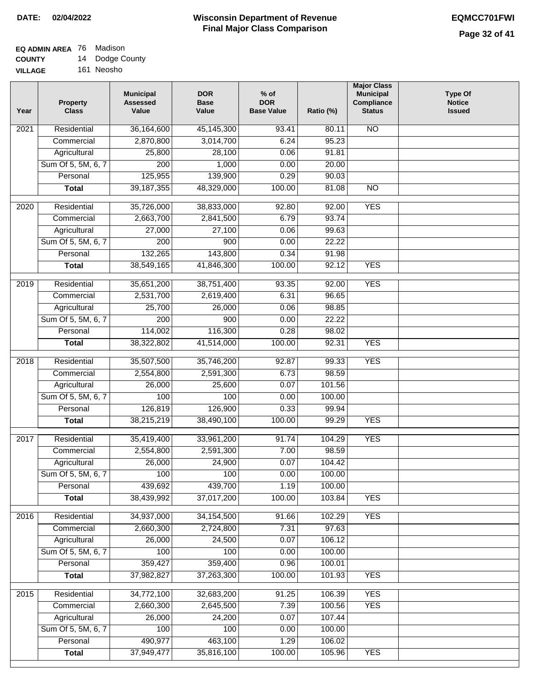<u> Estados de Esta</u>

#### **Wisconsin Department of Revenue Final Major Class Comparison DATE: 02/04/2022 EQMCC701FWI**

## **EQ ADMIN AREA** 76 Madison **COUNTY**

**VILLAGE** 14 Dodge County 161 Neosho

| Year | <b>Property</b><br><b>Class</b> | <b>Municipal</b><br><b>Assessed</b><br>Value | <b>DOR</b><br><b>Base</b><br>Value | $%$ of<br><b>DOR</b><br><b>Base Value</b> | Ratio (%) | <b>Major Class</b><br><b>Municipal</b><br>Compliance<br><b>Status</b> | <b>Type Of</b><br><b>Notice</b><br><b>Issued</b> |
|------|---------------------------------|----------------------------------------------|------------------------------------|-------------------------------------------|-----------|-----------------------------------------------------------------------|--------------------------------------------------|
| 2021 | Residential                     | 36,164,600                                   | 45,145,300                         | 93.41                                     | 80.11     | <b>NO</b>                                                             |                                                  |
|      | Commercial                      | 2,870,800                                    | 3,014,700                          | 6.24                                      | 95.23     |                                                                       |                                                  |
|      | Agricultural                    | 25,800                                       | 28,100                             | 0.06                                      | 91.81     |                                                                       |                                                  |
|      | Sum Of 5, 5M, 6, 7              | $\overline{200}$                             | 1,000                              | 0.00                                      | 20.00     |                                                                       |                                                  |
|      | Personal                        | 125,955                                      | 139,900                            | 0.29                                      | 90.03     |                                                                       |                                                  |
|      | <b>Total</b>                    | 39, 187, 355                                 | 48,329,000                         | 100.00                                    | 81.08     | $\overline{NO}$                                                       |                                                  |
| 2020 | Residential                     | 35,726,000                                   | 38,833,000                         | 92.80                                     | 92.00     | <b>YES</b>                                                            |                                                  |
|      | Commercial                      | 2,663,700                                    | 2,841,500                          | 6.79                                      | 93.74     |                                                                       |                                                  |
|      | Agricultural                    | 27,000                                       | 27,100                             | 0.06                                      | 99.63     |                                                                       |                                                  |
|      | Sum Of 5, 5M, 6, 7              | 200                                          | 900                                | 0.00                                      | 22.22     |                                                                       |                                                  |
|      | Personal                        | 132,265                                      | 143,800                            | 0.34                                      | 91.98     |                                                                       |                                                  |
|      | <b>Total</b>                    | 38,549,165                                   | 41,846,300                         | 100.00                                    | 92.12     | <b>YES</b>                                                            |                                                  |
|      |                                 |                                              |                                    |                                           |           |                                                                       |                                                  |
| 2019 | Residential                     | 35,651,200                                   | 38,751,400                         | 93.35                                     | 92.00     | <b>YES</b>                                                            |                                                  |
|      | Commercial                      | 2,531,700                                    | 2,619,400                          | 6.31                                      | 96.65     |                                                                       |                                                  |
|      | Agricultural                    | 25,700                                       | 26,000                             | 0.06                                      | 98.85     |                                                                       |                                                  |
|      | Sum Of 5, 5M, 6, 7              | 200                                          | 900                                | 0.00                                      | 22.22     |                                                                       |                                                  |
|      | Personal                        | 114,002                                      | 116,300                            | 0.28                                      | 98.02     |                                                                       |                                                  |
|      | <b>Total</b>                    | 38,322,802                                   | 41,514,000                         | 100.00                                    | 92.31     | <b>YES</b>                                                            |                                                  |
| 2018 | Residential                     | 35,507,500                                   | 35,746,200                         | 92.87                                     | 99.33     | <b>YES</b>                                                            |                                                  |
|      | Commercial                      | 2,554,800                                    | 2,591,300                          | 6.73                                      | 98.59     |                                                                       |                                                  |
|      | Agricultural                    | 26,000                                       | 25,600                             | 0.07                                      | 101.56    |                                                                       |                                                  |
|      | Sum Of 5, 5M, 6, 7              | 100                                          | 100                                | 0.00                                      | 100.00    |                                                                       |                                                  |
|      | Personal                        | 126,819                                      | 126,900                            | 0.33                                      | 99.94     |                                                                       |                                                  |
|      | <b>Total</b>                    | 38,215,219                                   | 38,490,100                         | 100.00                                    | 99.29     | <b>YES</b>                                                            |                                                  |
| 2017 | Residential                     | 35,419,400                                   | 33,961,200                         | 91.74                                     | 104.29    | <b>YES</b>                                                            |                                                  |
|      | Commercial                      | 2,554,800                                    | 2,591,300                          | 7.00                                      | 98.59     |                                                                       |                                                  |
|      | Agricultural                    | 26,000                                       | 24,900                             | 0.07                                      | 104.42    |                                                                       |                                                  |
|      | Sum Of 5, 5M, 6, 7              | 100                                          | 100                                | 0.00                                      | 100.00    |                                                                       |                                                  |
|      | Personal                        | 439,692                                      | 439,700                            | 1.19                                      | 100.00    |                                                                       |                                                  |
|      | <b>Total</b>                    | 38,439,992                                   | 37,017,200                         | 100.00                                    | 103.84    | <b>YES</b>                                                            |                                                  |
| 2016 | Residential                     | 34,937,000                                   | 34, 154, 500                       | 91.66                                     | 102.29    | <b>YES</b>                                                            |                                                  |
|      | Commercial                      | 2,660,300                                    | 2,724,800                          | 7.31                                      | 97.63     |                                                                       |                                                  |
|      | Agricultural                    | 26,000                                       | 24,500                             | 0.07                                      | 106.12    |                                                                       |                                                  |
|      | Sum Of 5, 5M, 6, 7              | 100                                          | 100                                | 0.00                                      | 100.00    |                                                                       |                                                  |
|      | Personal                        | 359,427                                      | 359,400                            | 0.96                                      | 100.01    |                                                                       |                                                  |
|      | <b>Total</b>                    | 37,982,827                                   | 37,263,300                         | 100.00                                    | 101.93    | <b>YES</b>                                                            |                                                  |
|      |                                 |                                              |                                    |                                           |           |                                                                       |                                                  |
| 2015 | Residential                     | 34,772,100                                   | 32,683,200                         | 91.25                                     | 106.39    | <b>YES</b>                                                            |                                                  |
|      | Commercial                      | 2,660,300                                    | 2,645,500                          | 7.39                                      | 100.56    | <b>YES</b>                                                            |                                                  |
|      | Agricultural                    | 26,000                                       | 24,200                             | 0.07                                      | 107.44    |                                                                       |                                                  |
|      | Sum Of 5, 5M, 6, 7              | 100                                          | 100                                | 0.00                                      | 100.00    |                                                                       |                                                  |
|      | Personal                        | 490,977                                      | 463,100                            | 1.29                                      | 106.02    |                                                                       |                                                  |
|      | <b>Total</b>                    | 37,949,477                                   | 35,816,100                         | 100.00                                    | 105.96    | <b>YES</b>                                                            |                                                  |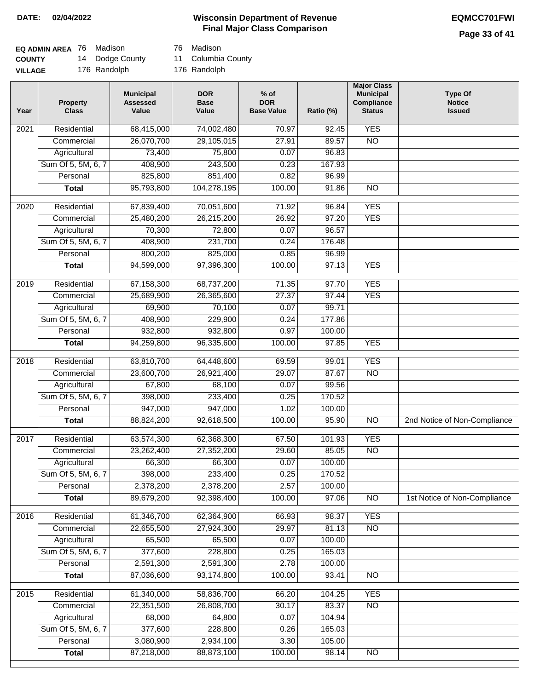# **Wisconsin Department of Revenue DATE: 02/04/2022 EQMCC701FWI Final Major Class Comparison**

| EQ ADMIN AREA 76 | Madison         | 76 Madison         |
|------------------|-----------------|--------------------|
| <b>COUNTY</b>    | 14 Dodge County | 11 Columbia County |
| <b>VILLAGE</b>   | 176 Randolph    | 176 Randolph       |

76 Madison

| 68,415,000<br><b>YES</b><br>Residential<br>74,002,480<br>70.97<br>92.45<br>2021<br>26,070,700<br>29,105,015<br>27.91<br>89.57<br>$\overline{NO}$<br>Commercial<br>73,400<br>75,800<br>0.07<br>96.83<br>Agricultural<br>Sum Of 5, 5M, 6, 7<br>408,900<br>243,500<br>0.23<br>167.93<br>825,800<br>851,400<br>Personal<br>0.82<br>96.99<br>95,793,800<br>104,278,195<br>100.00<br>91.86<br>$\overline{NO}$<br><b>Total</b><br><b>YES</b><br>$\overline{2020}$<br>Residential<br>67,839,400<br>70,051,600<br>71.92<br>96.84<br>26,215,200<br>97.20<br><b>YES</b><br>Commercial<br>25,480,200<br>26.92<br>72,800<br>96.57<br>Agricultural<br>70,300<br>0.07<br>Sum Of 5, 5M, 6, 7<br>408,900<br>231,700<br>0.24<br>176.48<br>Personal<br>800,200<br>825,000<br>0.85<br>96.99<br><b>YES</b><br><b>Total</b><br>94,599,000<br>97,396,300<br>100.00<br>97.13<br><b>YES</b><br>$\frac{2019}{ }$<br>Residential<br>67,158,300<br>68,737,200<br>71.35<br>97.70<br>27.37<br><b>YES</b><br>Commercial<br>25,689,900<br>26,365,600<br>97.44<br>70,100<br>0.07<br>99.71<br>Agricultural<br>69,900<br>Sum Of 5, 5M, 6, 7<br>408,900<br>229,900<br>177.86<br>0.24<br>Personal<br>932,800<br>932,800<br>0.97<br>100.00<br><b>YES</b><br>94,259,800<br>96,335,600<br>100.00<br>97.85<br><b>Total</b><br><b>YES</b><br>Residential<br>63,810,700<br>64,448,600<br>69.59<br>99.01<br>2018<br><b>NO</b><br>Commercial<br>23,600,700<br>26,921,400<br>29.07<br>87.67<br>Agricultural<br>67,800<br>68,100<br>0.07<br>99.56<br>Sum Of 5, 5M, 6, 7<br>398,000<br>233,400<br>0.25<br>170.52<br>Personal<br>947,000<br>947,000<br>1.02<br>100.00<br>92,618,500<br>100.00<br>95.90<br>$\overline{10}$<br>2nd Notice of Non-Compliance<br><b>Total</b><br>88,824,200<br><b>YES</b><br>Residential<br>63,574,300<br>67.50<br>101.93<br>2017<br>62,368,300<br><b>NO</b><br>23,262,400<br>27,352,200<br>29.60<br>85.05<br>Commercial<br>0.07<br>66,300<br>66,300<br>100.00<br>Agricultural<br>Sum Of 5, 5M, 6, 7<br>398,000<br>233,400<br>0.25<br>170.52<br>2,378,200<br>2,378,200<br>2.57<br>Personal<br>100.00<br>89,679,200<br>92,398,400<br>100.00<br>97.06<br>$\overline{3}$<br>1st Notice of Non-Compliance<br><b>Total</b><br><b>YES</b><br>2016<br>Residential<br>61,346,700<br>62,364,900<br>66.93<br>98.37<br>22,655,500<br>27,924,300<br>29.97<br>$\overline{NO}$<br>Commercial<br>81.13<br>65,500<br>65,500<br>0.07<br>100.00<br>Agricultural<br>Sum Of 5, 5M, 6, 7<br>377,600<br>228,800<br>165.03<br>0.25<br>2,591,300<br>2,591,300<br>Personal<br>2.78<br>100.00<br>87,036,600<br>93,174,800<br>100.00<br><b>Total</b><br>93.41<br>N <sub>O</sub><br>61,340,000<br>58,836,700<br><b>YES</b><br>2015<br>Residential<br>66.20<br>104.25<br>22,351,500<br>26,808,700<br>30.17<br>83.37<br>$\overline{NO}$<br>Commercial<br>Agricultural<br>68,000<br>64,800<br>104.94<br>0.07<br>377,600<br>Sum Of 5, 5M, 6, 7<br>228,800<br>0.26<br>165.03<br>3,080,900<br>Personal<br>2,934,100<br>3.30<br>105.00 | Year | <b>Property</b><br><b>Class</b> | <b>Municipal</b><br><b>Assessed</b><br>Value | <b>DOR</b><br><b>Base</b><br>Value | $%$ of<br><b>DOR</b><br><b>Base Value</b> | Ratio (%) | <b>Major Class</b><br><b>Municipal</b><br>Compliance<br><b>Status</b> | <b>Type Of</b><br><b>Notice</b><br><b>Issued</b> |
|--------------------------------------------------------------------------------------------------------------------------------------------------------------------------------------------------------------------------------------------------------------------------------------------------------------------------------------------------------------------------------------------------------------------------------------------------------------------------------------------------------------------------------------------------------------------------------------------------------------------------------------------------------------------------------------------------------------------------------------------------------------------------------------------------------------------------------------------------------------------------------------------------------------------------------------------------------------------------------------------------------------------------------------------------------------------------------------------------------------------------------------------------------------------------------------------------------------------------------------------------------------------------------------------------------------------------------------------------------------------------------------------------------------------------------------------------------------------------------------------------------------------------------------------------------------------------------------------------------------------------------------------------------------------------------------------------------------------------------------------------------------------------------------------------------------------------------------------------------------------------------------------------------------------------------------------------------------------------------------------------------------------------------------------------------------------------------------------------------------------------------------------------------------------------------------------------------------------------------------------------------------------------------------------------------------------------------------------------------------------------------------------------------------------------------------------------------------------------------------------------------------------------------------------------------------------------------------------------------------------------------------------------------------------------------------------------------------------------------------------------------------------------------------------------------------------------------------------------------------------------------------------------------------------------------------------------------------------------------|------|---------------------------------|----------------------------------------------|------------------------------------|-------------------------------------------|-----------|-----------------------------------------------------------------------|--------------------------------------------------|
|                                                                                                                                                                                                                                                                                                                                                                                                                                                                                                                                                                                                                                                                                                                                                                                                                                                                                                                                                                                                                                                                                                                                                                                                                                                                                                                                                                                                                                                                                                                                                                                                                                                                                                                                                                                                                                                                                                                                                                                                                                                                                                                                                                                                                                                                                                                                                                                                                                                                                                                                                                                                                                                                                                                                                                                                                                                                                                                                                                                |      |                                 |                                              |                                    |                                           |           |                                                                       |                                                  |
|                                                                                                                                                                                                                                                                                                                                                                                                                                                                                                                                                                                                                                                                                                                                                                                                                                                                                                                                                                                                                                                                                                                                                                                                                                                                                                                                                                                                                                                                                                                                                                                                                                                                                                                                                                                                                                                                                                                                                                                                                                                                                                                                                                                                                                                                                                                                                                                                                                                                                                                                                                                                                                                                                                                                                                                                                                                                                                                                                                                |      |                                 |                                              |                                    |                                           |           |                                                                       |                                                  |
|                                                                                                                                                                                                                                                                                                                                                                                                                                                                                                                                                                                                                                                                                                                                                                                                                                                                                                                                                                                                                                                                                                                                                                                                                                                                                                                                                                                                                                                                                                                                                                                                                                                                                                                                                                                                                                                                                                                                                                                                                                                                                                                                                                                                                                                                                                                                                                                                                                                                                                                                                                                                                                                                                                                                                                                                                                                                                                                                                                                |      |                                 |                                              |                                    |                                           |           |                                                                       |                                                  |
|                                                                                                                                                                                                                                                                                                                                                                                                                                                                                                                                                                                                                                                                                                                                                                                                                                                                                                                                                                                                                                                                                                                                                                                                                                                                                                                                                                                                                                                                                                                                                                                                                                                                                                                                                                                                                                                                                                                                                                                                                                                                                                                                                                                                                                                                                                                                                                                                                                                                                                                                                                                                                                                                                                                                                                                                                                                                                                                                                                                |      |                                 |                                              |                                    |                                           |           |                                                                       |                                                  |
|                                                                                                                                                                                                                                                                                                                                                                                                                                                                                                                                                                                                                                                                                                                                                                                                                                                                                                                                                                                                                                                                                                                                                                                                                                                                                                                                                                                                                                                                                                                                                                                                                                                                                                                                                                                                                                                                                                                                                                                                                                                                                                                                                                                                                                                                                                                                                                                                                                                                                                                                                                                                                                                                                                                                                                                                                                                                                                                                                                                |      |                                 |                                              |                                    |                                           |           |                                                                       |                                                  |
|                                                                                                                                                                                                                                                                                                                                                                                                                                                                                                                                                                                                                                                                                                                                                                                                                                                                                                                                                                                                                                                                                                                                                                                                                                                                                                                                                                                                                                                                                                                                                                                                                                                                                                                                                                                                                                                                                                                                                                                                                                                                                                                                                                                                                                                                                                                                                                                                                                                                                                                                                                                                                                                                                                                                                                                                                                                                                                                                                                                |      |                                 |                                              |                                    |                                           |           |                                                                       |                                                  |
|                                                                                                                                                                                                                                                                                                                                                                                                                                                                                                                                                                                                                                                                                                                                                                                                                                                                                                                                                                                                                                                                                                                                                                                                                                                                                                                                                                                                                                                                                                                                                                                                                                                                                                                                                                                                                                                                                                                                                                                                                                                                                                                                                                                                                                                                                                                                                                                                                                                                                                                                                                                                                                                                                                                                                                                                                                                                                                                                                                                |      |                                 |                                              |                                    |                                           |           |                                                                       |                                                  |
|                                                                                                                                                                                                                                                                                                                                                                                                                                                                                                                                                                                                                                                                                                                                                                                                                                                                                                                                                                                                                                                                                                                                                                                                                                                                                                                                                                                                                                                                                                                                                                                                                                                                                                                                                                                                                                                                                                                                                                                                                                                                                                                                                                                                                                                                                                                                                                                                                                                                                                                                                                                                                                                                                                                                                                                                                                                                                                                                                                                |      |                                 |                                              |                                    |                                           |           |                                                                       |                                                  |
|                                                                                                                                                                                                                                                                                                                                                                                                                                                                                                                                                                                                                                                                                                                                                                                                                                                                                                                                                                                                                                                                                                                                                                                                                                                                                                                                                                                                                                                                                                                                                                                                                                                                                                                                                                                                                                                                                                                                                                                                                                                                                                                                                                                                                                                                                                                                                                                                                                                                                                                                                                                                                                                                                                                                                                                                                                                                                                                                                                                |      |                                 |                                              |                                    |                                           |           |                                                                       |                                                  |
|                                                                                                                                                                                                                                                                                                                                                                                                                                                                                                                                                                                                                                                                                                                                                                                                                                                                                                                                                                                                                                                                                                                                                                                                                                                                                                                                                                                                                                                                                                                                                                                                                                                                                                                                                                                                                                                                                                                                                                                                                                                                                                                                                                                                                                                                                                                                                                                                                                                                                                                                                                                                                                                                                                                                                                                                                                                                                                                                                                                |      |                                 |                                              |                                    |                                           |           |                                                                       |                                                  |
|                                                                                                                                                                                                                                                                                                                                                                                                                                                                                                                                                                                                                                                                                                                                                                                                                                                                                                                                                                                                                                                                                                                                                                                                                                                                                                                                                                                                                                                                                                                                                                                                                                                                                                                                                                                                                                                                                                                                                                                                                                                                                                                                                                                                                                                                                                                                                                                                                                                                                                                                                                                                                                                                                                                                                                                                                                                                                                                                                                                |      |                                 |                                              |                                    |                                           |           |                                                                       |                                                  |
|                                                                                                                                                                                                                                                                                                                                                                                                                                                                                                                                                                                                                                                                                                                                                                                                                                                                                                                                                                                                                                                                                                                                                                                                                                                                                                                                                                                                                                                                                                                                                                                                                                                                                                                                                                                                                                                                                                                                                                                                                                                                                                                                                                                                                                                                                                                                                                                                                                                                                                                                                                                                                                                                                                                                                                                                                                                                                                                                                                                |      |                                 |                                              |                                    |                                           |           |                                                                       |                                                  |
|                                                                                                                                                                                                                                                                                                                                                                                                                                                                                                                                                                                                                                                                                                                                                                                                                                                                                                                                                                                                                                                                                                                                                                                                                                                                                                                                                                                                                                                                                                                                                                                                                                                                                                                                                                                                                                                                                                                                                                                                                                                                                                                                                                                                                                                                                                                                                                                                                                                                                                                                                                                                                                                                                                                                                                                                                                                                                                                                                                                |      |                                 |                                              |                                    |                                           |           |                                                                       |                                                  |
|                                                                                                                                                                                                                                                                                                                                                                                                                                                                                                                                                                                                                                                                                                                                                                                                                                                                                                                                                                                                                                                                                                                                                                                                                                                                                                                                                                                                                                                                                                                                                                                                                                                                                                                                                                                                                                                                                                                                                                                                                                                                                                                                                                                                                                                                                                                                                                                                                                                                                                                                                                                                                                                                                                                                                                                                                                                                                                                                                                                |      |                                 |                                              |                                    |                                           |           |                                                                       |                                                  |
|                                                                                                                                                                                                                                                                                                                                                                                                                                                                                                                                                                                                                                                                                                                                                                                                                                                                                                                                                                                                                                                                                                                                                                                                                                                                                                                                                                                                                                                                                                                                                                                                                                                                                                                                                                                                                                                                                                                                                                                                                                                                                                                                                                                                                                                                                                                                                                                                                                                                                                                                                                                                                                                                                                                                                                                                                                                                                                                                                                                |      |                                 |                                              |                                    |                                           |           |                                                                       |                                                  |
|                                                                                                                                                                                                                                                                                                                                                                                                                                                                                                                                                                                                                                                                                                                                                                                                                                                                                                                                                                                                                                                                                                                                                                                                                                                                                                                                                                                                                                                                                                                                                                                                                                                                                                                                                                                                                                                                                                                                                                                                                                                                                                                                                                                                                                                                                                                                                                                                                                                                                                                                                                                                                                                                                                                                                                                                                                                                                                                                                                                |      |                                 |                                              |                                    |                                           |           |                                                                       |                                                  |
|                                                                                                                                                                                                                                                                                                                                                                                                                                                                                                                                                                                                                                                                                                                                                                                                                                                                                                                                                                                                                                                                                                                                                                                                                                                                                                                                                                                                                                                                                                                                                                                                                                                                                                                                                                                                                                                                                                                                                                                                                                                                                                                                                                                                                                                                                                                                                                                                                                                                                                                                                                                                                                                                                                                                                                                                                                                                                                                                                                                |      |                                 |                                              |                                    |                                           |           |                                                                       |                                                  |
|                                                                                                                                                                                                                                                                                                                                                                                                                                                                                                                                                                                                                                                                                                                                                                                                                                                                                                                                                                                                                                                                                                                                                                                                                                                                                                                                                                                                                                                                                                                                                                                                                                                                                                                                                                                                                                                                                                                                                                                                                                                                                                                                                                                                                                                                                                                                                                                                                                                                                                                                                                                                                                                                                                                                                                                                                                                                                                                                                                                |      |                                 |                                              |                                    |                                           |           |                                                                       |                                                  |
|                                                                                                                                                                                                                                                                                                                                                                                                                                                                                                                                                                                                                                                                                                                                                                                                                                                                                                                                                                                                                                                                                                                                                                                                                                                                                                                                                                                                                                                                                                                                                                                                                                                                                                                                                                                                                                                                                                                                                                                                                                                                                                                                                                                                                                                                                                                                                                                                                                                                                                                                                                                                                                                                                                                                                                                                                                                                                                                                                                                |      |                                 |                                              |                                    |                                           |           |                                                                       |                                                  |
|                                                                                                                                                                                                                                                                                                                                                                                                                                                                                                                                                                                                                                                                                                                                                                                                                                                                                                                                                                                                                                                                                                                                                                                                                                                                                                                                                                                                                                                                                                                                                                                                                                                                                                                                                                                                                                                                                                                                                                                                                                                                                                                                                                                                                                                                                                                                                                                                                                                                                                                                                                                                                                                                                                                                                                                                                                                                                                                                                                                |      |                                 |                                              |                                    |                                           |           |                                                                       |                                                  |
|                                                                                                                                                                                                                                                                                                                                                                                                                                                                                                                                                                                                                                                                                                                                                                                                                                                                                                                                                                                                                                                                                                                                                                                                                                                                                                                                                                                                                                                                                                                                                                                                                                                                                                                                                                                                                                                                                                                                                                                                                                                                                                                                                                                                                                                                                                                                                                                                                                                                                                                                                                                                                                                                                                                                                                                                                                                                                                                                                                                |      |                                 |                                              |                                    |                                           |           |                                                                       |                                                  |
|                                                                                                                                                                                                                                                                                                                                                                                                                                                                                                                                                                                                                                                                                                                                                                                                                                                                                                                                                                                                                                                                                                                                                                                                                                                                                                                                                                                                                                                                                                                                                                                                                                                                                                                                                                                                                                                                                                                                                                                                                                                                                                                                                                                                                                                                                                                                                                                                                                                                                                                                                                                                                                                                                                                                                                                                                                                                                                                                                                                |      |                                 |                                              |                                    |                                           |           |                                                                       |                                                  |
|                                                                                                                                                                                                                                                                                                                                                                                                                                                                                                                                                                                                                                                                                                                                                                                                                                                                                                                                                                                                                                                                                                                                                                                                                                                                                                                                                                                                                                                                                                                                                                                                                                                                                                                                                                                                                                                                                                                                                                                                                                                                                                                                                                                                                                                                                                                                                                                                                                                                                                                                                                                                                                                                                                                                                                                                                                                                                                                                                                                |      |                                 |                                              |                                    |                                           |           |                                                                       |                                                  |
|                                                                                                                                                                                                                                                                                                                                                                                                                                                                                                                                                                                                                                                                                                                                                                                                                                                                                                                                                                                                                                                                                                                                                                                                                                                                                                                                                                                                                                                                                                                                                                                                                                                                                                                                                                                                                                                                                                                                                                                                                                                                                                                                                                                                                                                                                                                                                                                                                                                                                                                                                                                                                                                                                                                                                                                                                                                                                                                                                                                |      |                                 |                                              |                                    |                                           |           |                                                                       |                                                  |
|                                                                                                                                                                                                                                                                                                                                                                                                                                                                                                                                                                                                                                                                                                                                                                                                                                                                                                                                                                                                                                                                                                                                                                                                                                                                                                                                                                                                                                                                                                                                                                                                                                                                                                                                                                                                                                                                                                                                                                                                                                                                                                                                                                                                                                                                                                                                                                                                                                                                                                                                                                                                                                                                                                                                                                                                                                                                                                                                                                                |      |                                 |                                              |                                    |                                           |           |                                                                       |                                                  |
|                                                                                                                                                                                                                                                                                                                                                                                                                                                                                                                                                                                                                                                                                                                                                                                                                                                                                                                                                                                                                                                                                                                                                                                                                                                                                                                                                                                                                                                                                                                                                                                                                                                                                                                                                                                                                                                                                                                                                                                                                                                                                                                                                                                                                                                                                                                                                                                                                                                                                                                                                                                                                                                                                                                                                                                                                                                                                                                                                                                |      |                                 |                                              |                                    |                                           |           |                                                                       |                                                  |
|                                                                                                                                                                                                                                                                                                                                                                                                                                                                                                                                                                                                                                                                                                                                                                                                                                                                                                                                                                                                                                                                                                                                                                                                                                                                                                                                                                                                                                                                                                                                                                                                                                                                                                                                                                                                                                                                                                                                                                                                                                                                                                                                                                                                                                                                                                                                                                                                                                                                                                                                                                                                                                                                                                                                                                                                                                                                                                                                                                                |      |                                 |                                              |                                    |                                           |           |                                                                       |                                                  |
|                                                                                                                                                                                                                                                                                                                                                                                                                                                                                                                                                                                                                                                                                                                                                                                                                                                                                                                                                                                                                                                                                                                                                                                                                                                                                                                                                                                                                                                                                                                                                                                                                                                                                                                                                                                                                                                                                                                                                                                                                                                                                                                                                                                                                                                                                                                                                                                                                                                                                                                                                                                                                                                                                                                                                                                                                                                                                                                                                                                |      |                                 |                                              |                                    |                                           |           |                                                                       |                                                  |
|                                                                                                                                                                                                                                                                                                                                                                                                                                                                                                                                                                                                                                                                                                                                                                                                                                                                                                                                                                                                                                                                                                                                                                                                                                                                                                                                                                                                                                                                                                                                                                                                                                                                                                                                                                                                                                                                                                                                                                                                                                                                                                                                                                                                                                                                                                                                                                                                                                                                                                                                                                                                                                                                                                                                                                                                                                                                                                                                                                                |      |                                 |                                              |                                    |                                           |           |                                                                       |                                                  |
|                                                                                                                                                                                                                                                                                                                                                                                                                                                                                                                                                                                                                                                                                                                                                                                                                                                                                                                                                                                                                                                                                                                                                                                                                                                                                                                                                                                                                                                                                                                                                                                                                                                                                                                                                                                                                                                                                                                                                                                                                                                                                                                                                                                                                                                                                                                                                                                                                                                                                                                                                                                                                                                                                                                                                                                                                                                                                                                                                                                |      |                                 |                                              |                                    |                                           |           |                                                                       |                                                  |
|                                                                                                                                                                                                                                                                                                                                                                                                                                                                                                                                                                                                                                                                                                                                                                                                                                                                                                                                                                                                                                                                                                                                                                                                                                                                                                                                                                                                                                                                                                                                                                                                                                                                                                                                                                                                                                                                                                                                                                                                                                                                                                                                                                                                                                                                                                                                                                                                                                                                                                                                                                                                                                                                                                                                                                                                                                                                                                                                                                                |      |                                 |                                              |                                    |                                           |           |                                                                       |                                                  |
|                                                                                                                                                                                                                                                                                                                                                                                                                                                                                                                                                                                                                                                                                                                                                                                                                                                                                                                                                                                                                                                                                                                                                                                                                                                                                                                                                                                                                                                                                                                                                                                                                                                                                                                                                                                                                                                                                                                                                                                                                                                                                                                                                                                                                                                                                                                                                                                                                                                                                                                                                                                                                                                                                                                                                                                                                                                                                                                                                                                |      |                                 |                                              |                                    |                                           |           |                                                                       |                                                  |
|                                                                                                                                                                                                                                                                                                                                                                                                                                                                                                                                                                                                                                                                                                                                                                                                                                                                                                                                                                                                                                                                                                                                                                                                                                                                                                                                                                                                                                                                                                                                                                                                                                                                                                                                                                                                                                                                                                                                                                                                                                                                                                                                                                                                                                                                                                                                                                                                                                                                                                                                                                                                                                                                                                                                                                                                                                                                                                                                                                                |      |                                 |                                              |                                    |                                           |           |                                                                       |                                                  |
|                                                                                                                                                                                                                                                                                                                                                                                                                                                                                                                                                                                                                                                                                                                                                                                                                                                                                                                                                                                                                                                                                                                                                                                                                                                                                                                                                                                                                                                                                                                                                                                                                                                                                                                                                                                                                                                                                                                                                                                                                                                                                                                                                                                                                                                                                                                                                                                                                                                                                                                                                                                                                                                                                                                                                                                                                                                                                                                                                                                |      |                                 |                                              |                                    |                                           |           |                                                                       |                                                  |
|                                                                                                                                                                                                                                                                                                                                                                                                                                                                                                                                                                                                                                                                                                                                                                                                                                                                                                                                                                                                                                                                                                                                                                                                                                                                                                                                                                                                                                                                                                                                                                                                                                                                                                                                                                                                                                                                                                                                                                                                                                                                                                                                                                                                                                                                                                                                                                                                                                                                                                                                                                                                                                                                                                                                                                                                                                                                                                                                                                                |      |                                 |                                              |                                    |                                           |           |                                                                       |                                                  |
|                                                                                                                                                                                                                                                                                                                                                                                                                                                                                                                                                                                                                                                                                                                                                                                                                                                                                                                                                                                                                                                                                                                                                                                                                                                                                                                                                                                                                                                                                                                                                                                                                                                                                                                                                                                                                                                                                                                                                                                                                                                                                                                                                                                                                                                                                                                                                                                                                                                                                                                                                                                                                                                                                                                                                                                                                                                                                                                                                                                |      |                                 |                                              |                                    |                                           |           |                                                                       |                                                  |
|                                                                                                                                                                                                                                                                                                                                                                                                                                                                                                                                                                                                                                                                                                                                                                                                                                                                                                                                                                                                                                                                                                                                                                                                                                                                                                                                                                                                                                                                                                                                                                                                                                                                                                                                                                                                                                                                                                                                                                                                                                                                                                                                                                                                                                                                                                                                                                                                                                                                                                                                                                                                                                                                                                                                                                                                                                                                                                                                                                                |      |                                 |                                              |                                    |                                           |           |                                                                       |                                                  |
|                                                                                                                                                                                                                                                                                                                                                                                                                                                                                                                                                                                                                                                                                                                                                                                                                                                                                                                                                                                                                                                                                                                                                                                                                                                                                                                                                                                                                                                                                                                                                                                                                                                                                                                                                                                                                                                                                                                                                                                                                                                                                                                                                                                                                                                                                                                                                                                                                                                                                                                                                                                                                                                                                                                                                                                                                                                                                                                                                                                |      |                                 |                                              |                                    |                                           |           |                                                                       |                                                  |
|                                                                                                                                                                                                                                                                                                                                                                                                                                                                                                                                                                                                                                                                                                                                                                                                                                                                                                                                                                                                                                                                                                                                                                                                                                                                                                                                                                                                                                                                                                                                                                                                                                                                                                                                                                                                                                                                                                                                                                                                                                                                                                                                                                                                                                                                                                                                                                                                                                                                                                                                                                                                                                                                                                                                                                                                                                                                                                                                                                                |      |                                 |                                              |                                    |                                           |           |                                                                       |                                                  |
|                                                                                                                                                                                                                                                                                                                                                                                                                                                                                                                                                                                                                                                                                                                                                                                                                                                                                                                                                                                                                                                                                                                                                                                                                                                                                                                                                                                                                                                                                                                                                                                                                                                                                                                                                                                                                                                                                                                                                                                                                                                                                                                                                                                                                                                                                                                                                                                                                                                                                                                                                                                                                                                                                                                                                                                                                                                                                                                                                                                |      |                                 |                                              |                                    |                                           |           |                                                                       |                                                  |
|                                                                                                                                                                                                                                                                                                                                                                                                                                                                                                                                                                                                                                                                                                                                                                                                                                                                                                                                                                                                                                                                                                                                                                                                                                                                                                                                                                                                                                                                                                                                                                                                                                                                                                                                                                                                                                                                                                                                                                                                                                                                                                                                                                                                                                                                                                                                                                                                                                                                                                                                                                                                                                                                                                                                                                                                                                                                                                                                                                                |      |                                 |                                              |                                    |                                           |           |                                                                       |                                                  |
|                                                                                                                                                                                                                                                                                                                                                                                                                                                                                                                                                                                                                                                                                                                                                                                                                                                                                                                                                                                                                                                                                                                                                                                                                                                                                                                                                                                                                                                                                                                                                                                                                                                                                                                                                                                                                                                                                                                                                                                                                                                                                                                                                                                                                                                                                                                                                                                                                                                                                                                                                                                                                                                                                                                                                                                                                                                                                                                                                                                |      |                                 |                                              |                                    |                                           |           |                                                                       |                                                  |
|                                                                                                                                                                                                                                                                                                                                                                                                                                                                                                                                                                                                                                                                                                                                                                                                                                                                                                                                                                                                                                                                                                                                                                                                                                                                                                                                                                                                                                                                                                                                                                                                                                                                                                                                                                                                                                                                                                                                                                                                                                                                                                                                                                                                                                                                                                                                                                                                                                                                                                                                                                                                                                                                                                                                                                                                                                                                                                                                                                                |      | <b>Total</b>                    | 87,218,000                                   | 88,873,100                         | 100.00                                    | 98.14     | N <sub>O</sub>                                                        |                                                  |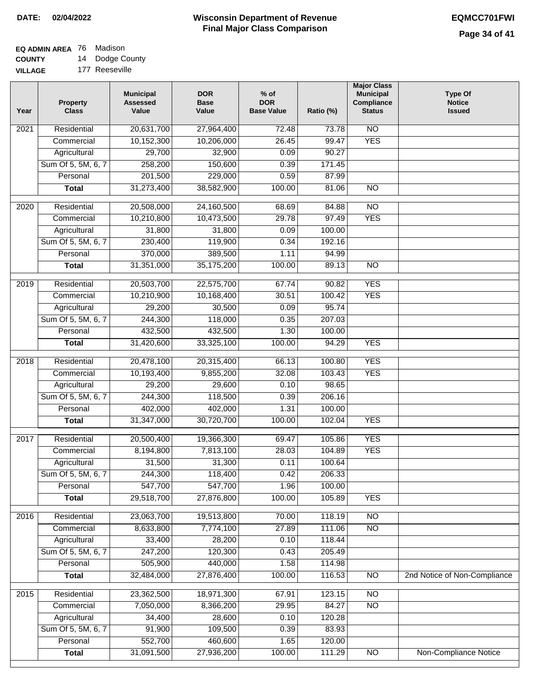# **EQ ADMIN AREA** 76 Madison

**COUNTY VILLAGE** 14 Dodge County

| 177 Reeseville |
|----------------|

| Year              | <b>Property</b><br><b>Class</b> | <b>Municipal</b><br><b>Assessed</b><br>Value | <b>DOR</b><br><b>Base</b><br>Value | $%$ of<br><b>DOR</b><br><b>Base Value</b> | Ratio (%) | <b>Major Class</b><br><b>Municipal</b><br>Compliance<br><b>Status</b> | <b>Type Of</b><br><b>Notice</b><br><b>Issued</b> |
|-------------------|---------------------------------|----------------------------------------------|------------------------------------|-------------------------------------------|-----------|-----------------------------------------------------------------------|--------------------------------------------------|
| $\overline{202}1$ | Residential                     | 20,631,700                                   | 27,964,400                         | 72.48                                     | 73.78     | $\overline{NO}$                                                       |                                                  |
|                   | Commercial                      | 10,152,300                                   | 10,206,000                         | 26.45                                     | 99.47     | <b>YES</b>                                                            |                                                  |
|                   | Agricultural                    | 29,700                                       | 32,900                             | 0.09                                      | 90.27     |                                                                       |                                                  |
|                   | Sum Of 5, 5M, 6, 7              | 258,200                                      | 150,600                            | 0.39                                      | 171.45    |                                                                       |                                                  |
|                   | Personal                        | 201,500                                      | 229,000                            | 0.59                                      | 87.99     |                                                                       |                                                  |
|                   | <b>Total</b>                    | 31,273,400                                   | 38,582,900                         | 100.00                                    | 81.06     | $\overline{NO}$                                                       |                                                  |
| $\overline{2020}$ | Residential                     | 20,508,000                                   | 24,160,500                         | 68.69                                     | 84.88     | $\overline{NO}$                                                       |                                                  |
|                   | Commercial                      | 10,210,800                                   | 10,473,500                         | 29.78                                     | 97.49     | <b>YES</b>                                                            |                                                  |
|                   | Agricultural                    | 31,800                                       | 31,800                             | 0.09                                      | 100.00    |                                                                       |                                                  |
|                   | Sum Of 5, 5M, 6, 7              | 230,400                                      | 119,900                            | 0.34                                      | 192.16    |                                                                       |                                                  |
|                   | Personal                        | 370,000                                      | 389,500                            | 1.11                                      | 94.99     |                                                                       |                                                  |
|                   | <b>Total</b>                    | 31,351,000                                   | 35,175,200                         | 100.00                                    | 89.13     | $\overline{NO}$                                                       |                                                  |
| 2019              | Residential                     | 20,503,700                                   | 22,575,700                         | 67.74                                     | 90.82     | <b>YES</b>                                                            |                                                  |
|                   | Commercial                      | 10,210,900                                   | 10,168,400                         | 30.51                                     | 100.42    | <b>YES</b>                                                            |                                                  |
|                   | Agricultural                    | 29,200                                       | 30,500                             | 0.09                                      | 95.74     |                                                                       |                                                  |
|                   | Sum Of 5, 5M, 6, 7              | 244,300                                      | 118,000                            | 0.35                                      | 207.03    |                                                                       |                                                  |
|                   | Personal                        | 432,500                                      | 432,500                            | 1.30                                      | 100.00    |                                                                       |                                                  |
|                   | <b>Total</b>                    |                                              |                                    | 100.00                                    | 94.29     | <b>YES</b>                                                            |                                                  |
|                   |                                 | 31,420,600                                   | 33,325,100                         |                                           |           |                                                                       |                                                  |
| 2018              | Residential                     | 20,478,100                                   | 20,315,400                         | 66.13                                     | 100.80    | <b>YES</b>                                                            |                                                  |
|                   | Commercial                      | 10,193,400                                   | 9,855,200                          | 32.08                                     | 103.43    | <b>YES</b>                                                            |                                                  |
|                   | Agricultural                    | 29,200                                       | 29,600                             | 0.10                                      | 98.65     |                                                                       |                                                  |
|                   | Sum Of 5, 5M, 6, 7              | 244,300                                      | 118,500                            | 0.39                                      | 206.16    |                                                                       |                                                  |
|                   | Personal                        | 402,000                                      | 402,000                            | 1.31                                      | 100.00    |                                                                       |                                                  |
|                   | <b>Total</b>                    | 31,347,000                                   | 30,720,700                         | 100.00                                    | 102.04    | <b>YES</b>                                                            |                                                  |
| $\overline{2017}$ | Residential                     | 20,500,400                                   | 19,366,300                         | 69.47                                     | 105.86    | <b>YES</b>                                                            |                                                  |
|                   | Commercial                      | 8,194,800                                    | 7,813,100                          | 28.03                                     | 104.89    | <b>YES</b>                                                            |                                                  |
|                   | Agricultural                    | 31,500                                       | 31,300                             | 0.11                                      | 100.64    |                                                                       |                                                  |
|                   | Sum Of 5, 5M, 6, 7              | 244,300                                      | 118,400                            | 0.42                                      | 206.33    |                                                                       |                                                  |
|                   | Personal                        | 547,700                                      | 547,700                            | 1.96                                      | 100.00    |                                                                       |                                                  |
|                   | <b>Total</b>                    | 29,518,700                                   | 27,876,800                         | 100.00                                    | 105.89    | <b>YES</b>                                                            |                                                  |
| 2016              | Residential                     | 23,063,700                                   | 19,513,800                         | 70.00                                     | 118.19    | $\overline{NO}$                                                       |                                                  |
|                   | Commercial                      | 8,633,800                                    | 7,774,100                          | 27.89                                     | 111.06    | N <sub>O</sub>                                                        |                                                  |
|                   | Agricultural                    | 33,400                                       | 28,200                             | 0.10                                      | 118.44    |                                                                       |                                                  |
|                   | Sum Of 5, 5M, 6, 7              | 247,200                                      | 120,300                            | 0.43                                      | 205.49    |                                                                       |                                                  |
|                   | Personal                        | 505,900                                      | 440,000                            | 1.58                                      | 114.98    |                                                                       |                                                  |
|                   | <b>Total</b>                    | 32,484,000                                   | 27,876,400                         | 100.00                                    | 116.53    | N <sub>O</sub>                                                        | 2nd Notice of Non-Compliance                     |
| 2015              | Residential                     | 23,362,500                                   | 18,971,300                         | 67.91                                     | 123.15    | <b>NO</b>                                                             |                                                  |
|                   | Commercial                      | 7,050,000                                    | 8,366,200                          | 29.95                                     | 84.27     | N <sub>O</sub>                                                        |                                                  |
|                   | Agricultural                    | 34,400                                       | 28,600                             | 0.10                                      | 120.28    |                                                                       |                                                  |
|                   | Sum Of 5, 5M, 6, 7              | 91,900                                       | 109,500                            | 0.39                                      | 83.93     |                                                                       |                                                  |
|                   | Personal                        | 552,700                                      | 460,600                            | 1.65                                      | 120.00    |                                                                       |                                                  |
|                   | <b>Total</b>                    | 31,091,500                                   | 27,936,200                         | 100.00                                    | 111.29    | NO                                                                    | <b>Non-Compliance Notice</b>                     |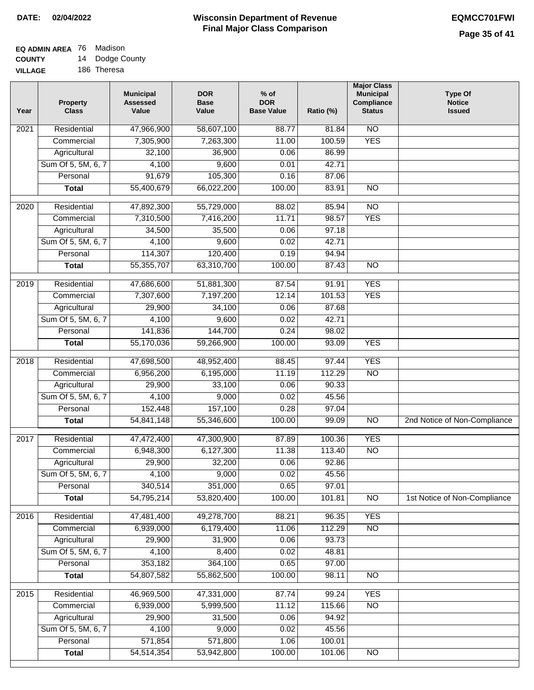#### **EQ ADMIN AREA** 76 Madison **COUNTY** 14 Dodge County

**VILLAGE** 186 Theresa

| Year | <b>Property</b><br><b>Class</b> | <b>Municipal</b><br><b>Assessed</b><br>Value | <b>DOR</b><br><b>Base</b><br>Value | $%$ of<br><b>DOR</b><br><b>Base Value</b> | Ratio (%) | <b>Major Class</b><br><b>Municipal</b><br>Compliance<br><b>Status</b> | <b>Type Of</b><br><b>Notice</b><br><b>Issued</b> |
|------|---------------------------------|----------------------------------------------|------------------------------------|-------------------------------------------|-----------|-----------------------------------------------------------------------|--------------------------------------------------|
| 2021 | Residential                     | 47,966,900                                   | 58,607,100                         | 88.77                                     | 81.84     | $\overline{NO}$                                                       |                                                  |
|      | Commercial                      | 7,305,900                                    | 7,263,300                          | 11.00                                     | 100.59    | <b>YES</b>                                                            |                                                  |
|      | Agricultural                    | 32,100                                       | 36,900                             | 0.06                                      | 86.99     |                                                                       |                                                  |
|      | Sum Of 5, 5M, 6, 7              | 4,100                                        | 9,600                              | 0.01                                      | 42.71     |                                                                       |                                                  |
|      | Personal                        | 91,679                                       | 105,300                            | 0.16                                      | 87.06     |                                                                       |                                                  |
|      | <b>Total</b>                    | 55,400,679                                   | 66,022,200                         | 100.00                                    | 83.91     | $\overline{NO}$                                                       |                                                  |
| 2020 | Residential                     | 47,892,300                                   | 55,729,000                         | 88.02                                     | 85.94     | $\overline{NO}$                                                       |                                                  |
|      | Commercial                      | 7,310,500                                    | 7,416,200                          | 11.71                                     | 98.57     | <b>YES</b>                                                            |                                                  |
|      | Agricultural                    | 34,500                                       | 35,500                             | 0.06                                      | 97.18     |                                                                       |                                                  |
|      | Sum Of 5, 5M, 6, 7              | 4,100                                        | 9,600                              | 0.02                                      | 42.71     |                                                                       |                                                  |
|      | Personal                        | 114,307                                      | 120,400                            | 0.19                                      | 94.94     |                                                                       |                                                  |
|      | <b>Total</b>                    | 55,355,707                                   | 63,310,700                         | 100.00                                    | 87.43     | $\overline{NO}$                                                       |                                                  |
| 2019 | Residential                     | 47,686,600                                   | 51,881,300                         | 87.54                                     | 91.91     | <b>YES</b>                                                            |                                                  |
|      | Commercial                      | 7,307,600                                    | 7,197,200                          | 12.14                                     | 101.53    | <b>YES</b>                                                            |                                                  |
|      | Agricultural                    | 29,900                                       | 34,100                             | 0.06                                      | 87.68     |                                                                       |                                                  |
|      | Sum Of 5, 5M, 6, 7              | 4,100                                        | 9,600                              | 0.02                                      | 42.71     |                                                                       |                                                  |
|      | Personal                        | 141,836                                      | 144,700                            | 0.24                                      | 98.02     |                                                                       |                                                  |
|      | <b>Total</b>                    | 55,170,036                                   | 59,266,900                         | 100.00                                    | 93.09     | <b>YES</b>                                                            |                                                  |
| 2018 | Residential                     | 47,698,500                                   | 48,952,400                         | 88.45                                     | 97.44     | <b>YES</b>                                                            |                                                  |
|      | Commercial                      | 6,956,200                                    | 6,195,000                          | 11.19                                     | 112.29    | N <sub>O</sub>                                                        |                                                  |
|      | Agricultural                    | 29,900                                       | 33,100                             | 0.06                                      | 90.33     |                                                                       |                                                  |
|      | Sum Of 5, 5M, 6, 7              | 4,100                                        | 9,000                              | 0.02                                      | 45.56     |                                                                       |                                                  |
|      | Personal                        | 152,448                                      | 157,100                            | 0.28                                      | 97.04     |                                                                       |                                                  |
|      | <b>Total</b>                    | 54,841,148                                   | 55,346,600                         | 100.00                                    | 99.09     | $\overline{NO}$                                                       | 2nd Notice of Non-Compliance                     |
| 2017 | Residential                     | 47,472,400                                   | 47,300,900                         | 87.89                                     | 100.36    | <b>YES</b>                                                            |                                                  |
|      | Commercial                      | 6,948,300                                    | 6,127,300                          | 11.38                                     | 113.40    | $\overline{NO}$                                                       |                                                  |
|      | Agricultural                    | 29,900                                       | 32,200                             | 0.06                                      | 92.86     |                                                                       |                                                  |
|      | Sum Of 5, 5M, 6, 7              | 4,100                                        | 9,000                              | 0.02                                      | 45.56     |                                                                       |                                                  |
|      | Personal                        | 340,514                                      | 351,000                            | 0.65                                      | 97.01     |                                                                       |                                                  |
|      | <b>Total</b>                    | 54,795,214                                   | 53,820,400                         | 100.00                                    | 101.81    | <b>NO</b>                                                             | 1st Notice of Non-Compliance                     |
| 2016 | Residential                     | 47,481,400                                   | 49,278,700                         | 88.21                                     | 96.35     | <b>YES</b>                                                            |                                                  |
|      | Commercial                      | 6,939,000                                    | 6,179,400                          | 11.06                                     | 112.29    | N <sub>O</sub>                                                        |                                                  |
|      | Agricultural                    | 29,900                                       | 31,900                             | 0.06                                      | 93.73     |                                                                       |                                                  |
|      | Sum Of 5, 5M, 6, 7              | 4,100                                        | 8,400                              | 0.02                                      | 48.81     |                                                                       |                                                  |
|      | Personal                        | 353,182                                      | 364,100                            | 0.65                                      | 97.00     |                                                                       |                                                  |
|      | <b>Total</b>                    | 54,807,582                                   | 55,862,500                         | 100.00                                    | 98.11     | N <sub>O</sub>                                                        |                                                  |
| 2015 | Residential                     | 46,969,500                                   | 47,331,000                         | 87.74                                     | 99.24     | <b>YES</b>                                                            |                                                  |
|      | Commercial                      | 6,939,000                                    | 5,999,500                          | 11.12                                     | 115.66    | $\overline{NO}$                                                       |                                                  |
|      | Agricultural                    | 29,900                                       | 31,500                             | 0.06                                      | 94.92     |                                                                       |                                                  |
|      | Sum Of 5, 5M, 6, 7              | 4,100                                        | 9,000                              | 0.02                                      | 45.56     |                                                                       |                                                  |
|      | Personal                        | 571,854                                      | 571,800                            | 1.06                                      | 100.01    |                                                                       |                                                  |
|      | <b>Total</b>                    | 54,514,354                                   | 53,942,800                         | 100.00                                    | 101.06    | NO                                                                    |                                                  |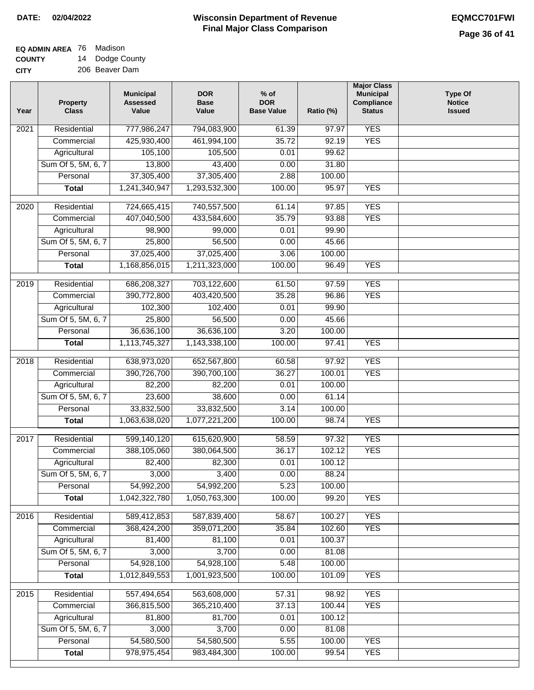#### **Wisconsin Department of Revenue Final Major Class Comparison DATE: 02/04/2022 EQMCC701FWI**

#### **EQ ADMIN AREA** 76 Madison **COUNTY** 14 Dodge County

**CITY** 206 Beaver Dam

| Year             | <b>Property</b><br><b>Class</b> | <b>Municipal</b><br><b>Assessed</b><br>Value | <b>DOR</b><br><b>Base</b><br>Value | $%$ of<br><b>DOR</b><br><b>Base Value</b> | Ratio (%) | <b>Major Class</b><br><b>Municipal</b><br>Compliance<br><b>Status</b> | <b>Type Of</b><br><b>Notice</b><br><b>Issued</b> |
|------------------|---------------------------------|----------------------------------------------|------------------------------------|-------------------------------------------|-----------|-----------------------------------------------------------------------|--------------------------------------------------|
| 2021             | Residential                     | 777,986,247                                  | 794,083,900                        | 61.39                                     | 97.97     | <b>YES</b>                                                            |                                                  |
|                  | Commercial                      | 425,930,400                                  | 461,994,100                        | 35.72                                     | 92.19     | <b>YES</b>                                                            |                                                  |
|                  | Agricultural                    | 105,100                                      | 105,500                            | 0.01                                      | 99.62     |                                                                       |                                                  |
|                  | Sum Of 5, 5M, 6, 7              | 13,800                                       | 43,400                             | 0.00                                      | 31.80     |                                                                       |                                                  |
|                  | Personal                        | 37,305,400                                   | 37,305,400                         | 2.88                                      | 100.00    |                                                                       |                                                  |
|                  | <b>Total</b>                    | 1,241,340,947                                | 1,293,532,300                      | 100.00                                    | 95.97     | <b>YES</b>                                                            |                                                  |
| $\frac{1}{2020}$ | Residential                     | 724,665,415                                  | 740,557,500                        | 61.14                                     | 97.85     | <b>YES</b>                                                            |                                                  |
|                  | Commercial                      | 407,040,500                                  | 433,584,600                        | 35.79                                     | 93.88     | <b>YES</b>                                                            |                                                  |
|                  | Agricultural                    | 98,900                                       | 99,000                             | 0.01                                      | 99.90     |                                                                       |                                                  |
|                  | Sum Of 5, 5M, 6, 7              | 25,800                                       | 56,500                             | 0.00                                      | 45.66     |                                                                       |                                                  |
|                  | Personal                        | 37,025,400                                   | 37,025,400                         | 3.06                                      | 100.00    |                                                                       |                                                  |
|                  | <b>Total</b>                    | 1,168,856,015                                | 1,211,323,000                      | 100.00                                    | 96.49     | <b>YES</b>                                                            |                                                  |
|                  |                                 |                                              |                                    |                                           |           |                                                                       |                                                  |
| 2019             | Residential                     | 686,208,327                                  | 703,122,600                        | 61.50                                     | 97.59     | <b>YES</b>                                                            |                                                  |
|                  | Commercial                      | 390,772,800                                  | 403,420,500                        | 35.28                                     | 96.86     | <b>YES</b>                                                            |                                                  |
|                  | Agricultural                    | 102,300                                      | 102,400                            | 0.01                                      | 99.90     |                                                                       |                                                  |
|                  | Sum Of 5, 5M, 6, 7              | 25,800                                       | 56,500                             | 0.00                                      | 45.66     |                                                                       |                                                  |
|                  | Personal                        | 36,636,100                                   | 36,636,100                         | 3.20                                      | 100.00    |                                                                       |                                                  |
|                  | <b>Total</b>                    | 1,113,745,327                                | 1,143,338,100                      | 100.00                                    | 97.41     | <b>YES</b>                                                            |                                                  |
| 2018             | Residential                     | 638,973,020                                  | 652,567,800                        | 60.58                                     | 97.92     | <b>YES</b>                                                            |                                                  |
|                  | Commercial                      | 390,726,700                                  | 390,700,100                        | 36.27                                     | 100.01    | <b>YES</b>                                                            |                                                  |
|                  | Agricultural                    | 82,200                                       | 82,200                             | 0.01                                      | 100.00    |                                                                       |                                                  |
|                  | Sum Of 5, 5M, 6, 7              | 23,600                                       | 38,600                             | 0.00                                      | 61.14     |                                                                       |                                                  |
|                  | Personal                        | 33,832,500                                   | 33,832,500                         | 3.14                                      | 100.00    |                                                                       |                                                  |
|                  | <b>Total</b>                    | 1,063,638,020                                | 1,077,221,200                      | 100.00                                    | 98.74     | <b>YES</b>                                                            |                                                  |
| 2017             | Residential                     | 599,140,120                                  | 615,620,900                        | 58.59                                     | 97.32     | <b>YES</b>                                                            |                                                  |
|                  | Commercial                      | 388,105,060                                  | 380,064,500                        | 36.17                                     | 102.12    | <b>YES</b>                                                            |                                                  |
|                  | Agricultural                    | 82,400                                       | 82,300                             | 0.01                                      | 100.12    |                                                                       |                                                  |
|                  | Sum Of 5, 5M, 6, 7              | 3,000                                        | 3,400                              | 0.00                                      | 88.24     |                                                                       |                                                  |
|                  | Personal                        | 54,992,200                                   | 54,992,200                         | 5.23                                      | 100.00    |                                                                       |                                                  |
|                  | <b>Total</b>                    | 1,042,322,780                                | 1,050,763,300                      | 100.00                                    | 99.20     | <b>YES</b>                                                            |                                                  |
| 2016             | Residential                     | 589,412,853                                  | 587,839,400                        | 58.67                                     | 100.27    | <b>YES</b>                                                            |                                                  |
|                  | Commercial                      | 368,424,200                                  | 359,071,200                        | 35.84                                     | 102.60    | <b>YES</b>                                                            |                                                  |
|                  | Agricultural                    | 81,400                                       | 81,100                             | 0.01                                      | 100.37    |                                                                       |                                                  |
|                  | Sum Of 5, 5M, 6, 7              | 3,000                                        | 3,700                              | 0.00                                      | 81.08     |                                                                       |                                                  |
|                  | Personal                        | 54,928,100                                   | 54,928,100                         | 5.48                                      | 100.00    |                                                                       |                                                  |
|                  | <b>Total</b>                    | 1,012,849,553                                | 1,001,923,500                      | 100.00                                    | 101.09    | <b>YES</b>                                                            |                                                  |
| 2015             | Residential                     | 557,494,654                                  | 563,608,000                        | 57.31                                     | 98.92     | <b>YES</b>                                                            |                                                  |
|                  | Commercial                      | 366,815,500                                  | 365,210,400                        | 37.13                                     | 100.44    | <b>YES</b>                                                            |                                                  |
|                  | Agricultural                    | 81,800                                       | 81,700                             | 0.01                                      | 100.12    |                                                                       |                                                  |
|                  | Sum Of 5, 5M, 6, 7              | 3,000                                        | 3,700                              | 0.00                                      | 81.08     |                                                                       |                                                  |
|                  | Personal                        | 54,580,500                                   | 54,580,500                         | 5.55                                      | 100.00    | <b>YES</b>                                                            |                                                  |
|                  | <b>Total</b>                    | 978, 975, 454                                | 983,484,300                        | 100.00                                    | 99.54     | <b>YES</b>                                                            |                                                  |
|                  |                                 |                                              |                                    |                                           |           |                                                                       |                                                  |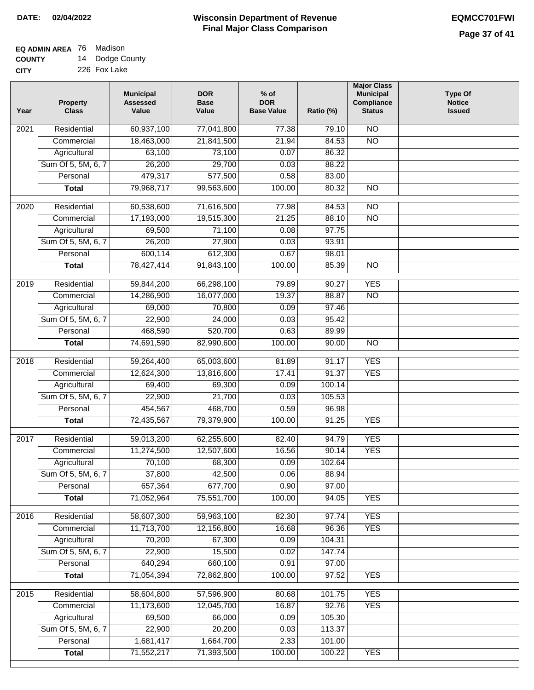# **EQ ADMIN AREA** 76 Madison

**COUNTY CITY** 14 Dodge County 226 Fox Lake

| Year | <b>Property</b><br><b>Class</b>    | <b>Municipal</b><br><b>Assessed</b><br>Value | <b>DOR</b><br><b>Base</b><br>Value | $%$ of<br><b>DOR</b><br><b>Base Value</b> | Ratio (%)       | <b>Major Class</b><br><b>Municipal</b><br>Compliance<br><b>Status</b> | <b>Type Of</b><br><b>Notice</b><br><b>Issued</b> |
|------|------------------------------------|----------------------------------------------|------------------------------------|-------------------------------------------|-----------------|-----------------------------------------------------------------------|--------------------------------------------------|
| 2021 | Residential                        | 60,937,100                                   | 77,041,800                         | 77.38                                     | 79.10           | N <sub>O</sub>                                                        |                                                  |
|      | Commercial                         | 18,463,000                                   | 21,841,500                         | 21.94                                     | 84.53           | $\overline{NO}$                                                       |                                                  |
|      | Agricultural                       | 63,100                                       | 73,100                             | 0.07                                      | 86.32           |                                                                       |                                                  |
|      | Sum Of 5, 5M, 6, 7                 | 26,200                                       | 29,700                             | 0.03                                      | 88.22           |                                                                       |                                                  |
|      | Personal                           | 479,317                                      | 577,500                            | 0.58                                      | 83.00           |                                                                       |                                                  |
|      | <b>Total</b>                       | 79,968,717                                   | 99,563,600                         | 100.00                                    | 80.32           | $\overline{NO}$                                                       |                                                  |
| 2020 | Residential                        | 60,538,600                                   | 71,616,500                         | 77.98                                     | 84.53           | $\overline{NO}$                                                       |                                                  |
|      | Commercial                         | 17,193,000                                   | 19,515,300                         | 21.25                                     | 88.10           | $\overline{NO}$                                                       |                                                  |
|      | Agricultural                       | 69,500                                       | 71,100                             | 0.08                                      | 97.75           |                                                                       |                                                  |
|      | Sum Of 5, 5M, 6, 7                 | 26,200                                       | 27,900                             | 0.03                                      | 93.91           |                                                                       |                                                  |
|      | Personal                           | 600,114                                      | 612,300                            | 0.67                                      | 98.01           |                                                                       |                                                  |
|      | <b>Total</b>                       | 78,427,414                                   | 91,843,100                         | 100.00                                    | 85.39           | $\overline{NO}$                                                       |                                                  |
| 2019 | Residential                        | 59,844,200                                   | 66,298,100                         | 79.89                                     | 90.27           | <b>YES</b>                                                            |                                                  |
|      | Commercial                         | 14,286,900                                   | 16,077,000                         | 19.37                                     | 88.87           | $\overline{NO}$                                                       |                                                  |
|      | Agricultural                       | 69,000                                       | 70,800                             | 0.09                                      | 97.46           |                                                                       |                                                  |
|      | Sum Of 5, 5M, 6, 7                 | 22,900                                       | 24,000                             | 0.03                                      | 95.42           |                                                                       |                                                  |
|      | Personal                           | 468,590                                      | 520,700                            | 0.63                                      | 89.99           |                                                                       |                                                  |
|      | <b>Total</b>                       | 74,691,590                                   | 82,990,600                         | 100.00                                    | 90.00           | $\overline{NO}$                                                       |                                                  |
| 2018 | Residential                        | 59,264,400                                   | 65,003,600                         | 81.89                                     | 91.17           | <b>YES</b>                                                            |                                                  |
|      | Commercial                         | 12,624,300                                   | 13,816,600                         | 17.41                                     | 91.37           | <b>YES</b>                                                            |                                                  |
|      | Agricultural                       | 69,400                                       | 69,300                             | 0.09                                      | 100.14          |                                                                       |                                                  |
|      | Sum Of 5, 5M, 6, 7                 | 22,900                                       | 21,700                             | 0.03                                      | 105.53          |                                                                       |                                                  |
|      | Personal                           | 454,567                                      | 468,700                            | 0.59                                      | 96.98           |                                                                       |                                                  |
|      | <b>Total</b>                       | 72,435,567                                   | 79,379,900                         | 100.00                                    | 91.25           | <b>YES</b>                                                            |                                                  |
|      |                                    |                                              |                                    |                                           |                 |                                                                       |                                                  |
| 2017 | Residential                        | 59,013,200                                   | 62,255,600                         | 82.40                                     | 94.79           | <b>YES</b><br><b>YES</b>                                              |                                                  |
|      | Commercial                         | 11,274,500<br>70,100                         | 12,507,600<br>68,300               | 16.56<br>0.09                             | 90.14<br>102.64 |                                                                       |                                                  |
|      | Agricultural<br>Sum Of 5, 5M, 6, 7 | 37,800                                       | 42,500                             | 0.06                                      | 88.94           |                                                                       |                                                  |
|      | Personal                           | 657,364                                      | 677,700                            | 0.90                                      | 97.00           |                                                                       |                                                  |
|      | <b>Total</b>                       | 71,052,964                                   | 75,551,700                         | 100.00                                    | 94.05           | <b>YES</b>                                                            |                                                  |
|      |                                    |                                              |                                    |                                           |                 |                                                                       |                                                  |
| 2016 | Residential                        | 58,607,300                                   | 59,963,100                         | 82.30                                     | 97.74           | <b>YES</b>                                                            |                                                  |
|      | Commercial                         | 11,713,700                                   | 12,156,800                         | 16.68                                     | 96.36           | <b>YES</b>                                                            |                                                  |
|      | Agricultural                       | 70,200                                       | 67,300                             | 0.09                                      | 104.31          |                                                                       |                                                  |
|      | Sum Of 5, 5M, 6, 7<br>Personal     | 22,900<br>640,294                            | 15,500<br>660,100                  | 0.02                                      | 147.74          |                                                                       |                                                  |
|      | <b>Total</b>                       | 71,054,394                                   | 72,862,800                         | 0.91<br>100.00                            | 97.00<br>97.52  | <b>YES</b>                                                            |                                                  |
|      |                                    |                                              |                                    |                                           |                 |                                                                       |                                                  |
| 2015 | Residential                        | 58,604,800                                   | 57,596,900                         | 80.68                                     | 101.75          | <b>YES</b>                                                            |                                                  |
|      | Commercial                         | 11,173,600                                   | 12,045,700                         | 16.87                                     | 92.76           | <b>YES</b>                                                            |                                                  |
|      | Agricultural                       | 69,500                                       | 66,000                             | 0.09                                      | 105.30          |                                                                       |                                                  |
|      | Sum Of 5, 5M, 6, 7                 | 22,900                                       | 20,200                             | 0.03                                      | 113.37          |                                                                       |                                                  |
|      | Personal                           | 1,681,417                                    | 1,664,700                          | 2.33                                      | 101.00          |                                                                       |                                                  |
|      | <b>Total</b>                       | 71,552,217                                   | 71,393,500                         | 100.00                                    | 100.22          | <b>YES</b>                                                            |                                                  |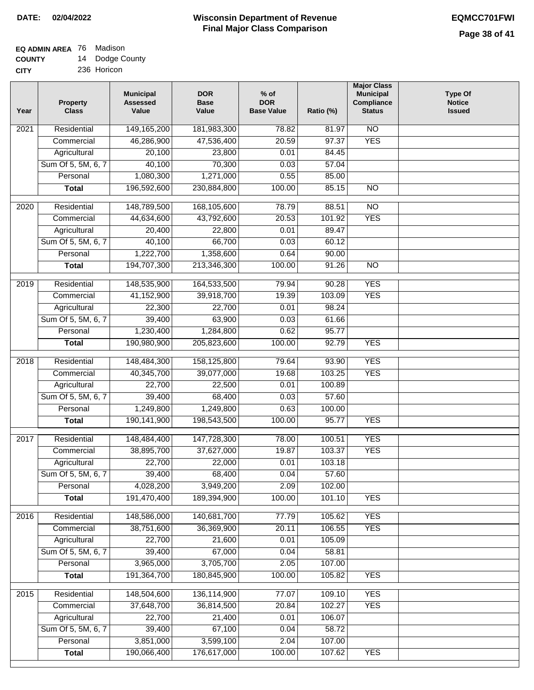#### **Wisconsin Department of Revenue Final Major Class Comparison DATE: 02/04/2022 EQMCC701FWI**

## **EQ ADMIN AREA** 76 Madison **COUNTY**

**CITY** 14 Dodge County 236 Horicon

| Year | <b>Property</b><br><b>Class</b> | <b>Municipal</b><br><b>Assessed</b><br>Value | <b>DOR</b><br><b>Base</b><br>Value | $%$ of<br><b>DOR</b><br><b>Base Value</b> | Ratio (%) | <b>Major Class</b><br><b>Municipal</b><br>Compliance<br><b>Status</b> | <b>Type Of</b><br><b>Notice</b><br><b>Issued</b> |
|------|---------------------------------|----------------------------------------------|------------------------------------|-------------------------------------------|-----------|-----------------------------------------------------------------------|--------------------------------------------------|
| 2021 | Residential                     | 149,165,200                                  | 181,983,300                        | 78.82                                     | 81.97     | <b>NO</b>                                                             |                                                  |
|      | Commercial                      | 46,286,900                                   | 47,536,400                         | 20.59                                     | 97.37     | <b>YES</b>                                                            |                                                  |
|      | Agricultural                    | 20,100                                       | 23,800                             | 0.01                                      | 84.45     |                                                                       |                                                  |
|      | Sum Of 5, 5M, 6, 7              | 40,100                                       | 70,300                             | 0.03                                      | 57.04     |                                                                       |                                                  |
|      | Personal                        | 1,080,300                                    | 1,271,000                          | 0.55                                      | 85.00     |                                                                       |                                                  |
|      | <b>Total</b>                    | 196,592,600                                  | 230,884,800                        | 100.00                                    | 85.15     | $\overline{NO}$                                                       |                                                  |
| 2020 | Residential                     | 148,789,500                                  | 168,105,600                        | 78.79                                     | 88.51     | $\overline{10}$                                                       |                                                  |
|      | Commercial                      | 44,634,600                                   | 43,792,600                         | 20.53                                     | 101.92    | <b>YES</b>                                                            |                                                  |
|      | Agricultural                    | 20,400                                       | 22,800                             | 0.01                                      | 89.47     |                                                                       |                                                  |
|      | Sum Of 5, 5M, 6, 7              | 40,100                                       | 66,700                             | 0.03                                      | 60.12     |                                                                       |                                                  |
|      | Personal                        | 1,222,700                                    | 1,358,600                          | 0.64                                      | 90.00     |                                                                       |                                                  |
|      | <b>Total</b>                    | 194,707,300                                  | 213,346,300                        | 100.00                                    | 91.26     | <b>NO</b>                                                             |                                                  |
| 2019 | Residential                     | 148,535,900                                  | 164,533,500                        | 79.94                                     | 90.28     | <b>YES</b>                                                            |                                                  |
|      | Commercial                      | 41,152,900                                   | 39,918,700                         | 19.39                                     | 103.09    | <b>YES</b>                                                            |                                                  |
|      | Agricultural                    | 22,300                                       | 22,700                             | 0.01                                      | 98.24     |                                                                       |                                                  |
|      | Sum Of 5, 5M, 6, 7              | 39,400                                       | 63,900                             | 0.03                                      | 61.66     |                                                                       |                                                  |
|      | Personal                        | 1,230,400                                    | 1,284,800                          | 0.62                                      | 95.77     |                                                                       |                                                  |
|      | <b>Total</b>                    | 190,980,900                                  | 205,823,600                        | 100.00                                    | 92.79     | <b>YES</b>                                                            |                                                  |
|      |                                 |                                              |                                    |                                           |           |                                                                       |                                                  |
| 2018 | Residential                     | 148,484,300                                  | 158,125,800                        | 79.64                                     | 93.90     | <b>YES</b>                                                            |                                                  |
|      | Commercial                      | 40,345,700                                   | 39,077,000                         | 19.68                                     | 103.25    | <b>YES</b>                                                            |                                                  |
|      | Agricultural                    | 22,700                                       | 22,500                             | 0.01                                      | 100.89    |                                                                       |                                                  |
|      | Sum Of 5, 5M, 6, 7              | 39,400                                       | 68,400                             | 0.03                                      | 57.60     |                                                                       |                                                  |
|      | Personal                        | 1,249,800                                    | 1,249,800                          | 0.63                                      | 100.00    |                                                                       |                                                  |
|      | <b>Total</b>                    | 190,141,900                                  | 198,543,500                        | 100.00                                    | 95.77     | <b>YES</b>                                                            |                                                  |
| 2017 | Residential                     | 148,484,400                                  | 147,728,300                        | 78.00                                     | 100.51    | <b>YES</b>                                                            |                                                  |
|      | Commercial                      | 38,895,700                                   | 37,627,000                         | 19.87                                     | 103.37    | <b>YES</b>                                                            |                                                  |
|      | Agricultural                    | 22,700                                       | 22,000                             | 0.01                                      | 103.18    |                                                                       |                                                  |
|      | Sum Of 5, 5M, 6, 7              | 39,400                                       | 68,400                             | 0.04                                      | 57.60     |                                                                       |                                                  |
|      | Personal                        | 4,028,200                                    | 3,949,200                          | 2.09                                      | 102.00    |                                                                       |                                                  |
|      | <b>Total</b>                    | 191,470,400                                  | 189,394,900                        | 100.00                                    | 101.10    | <b>YES</b>                                                            |                                                  |
| 2016 | Residential                     | 148,586,000                                  | 140,681,700                        | 77.79                                     | 105.62    | <b>YES</b>                                                            |                                                  |
|      | Commercial                      | 38,751,600                                   | 36,369,900                         | 20.11                                     | 106.55    | <b>YES</b>                                                            |                                                  |
|      | Agricultural                    | 22,700                                       | 21,600                             | 0.01                                      | 105.09    |                                                                       |                                                  |
|      | Sum Of 5, 5M, 6, 7              | 39,400                                       | 67,000                             | 0.04                                      | 58.81     |                                                                       |                                                  |
|      | Personal                        | 3,965,000                                    | 3,705,700                          | 2.05                                      | 107.00    |                                                                       |                                                  |
|      | <b>Total</b>                    | 191,364,700                                  | 180,845,900                        | 100.00                                    | 105.82    | <b>YES</b>                                                            |                                                  |
| 2015 | Residential                     | 148,504,600                                  | 136,114,900                        | 77.07                                     | 109.10    | <b>YES</b>                                                            |                                                  |
|      | Commercial                      | 37,648,700                                   | 36,814,500                         | 20.84                                     | 102.27    | <b>YES</b>                                                            |                                                  |
|      | Agricultural                    | 22,700                                       | 21,400                             | 0.01                                      | 106.07    |                                                                       |                                                  |
|      | Sum Of 5, 5M, 6, 7              | 39,400                                       | 67,100                             | 0.04                                      | 58.72     |                                                                       |                                                  |
|      | Personal                        | 3,851,000                                    | 3,599,100                          | 2.04                                      | 107.00    |                                                                       |                                                  |
|      | <b>Total</b>                    | 190,066,400                                  | 176,617,000                        | 100.00                                    | 107.62    | <b>YES</b>                                                            |                                                  |
|      |                                 |                                              |                                    |                                           |           |                                                                       |                                                  |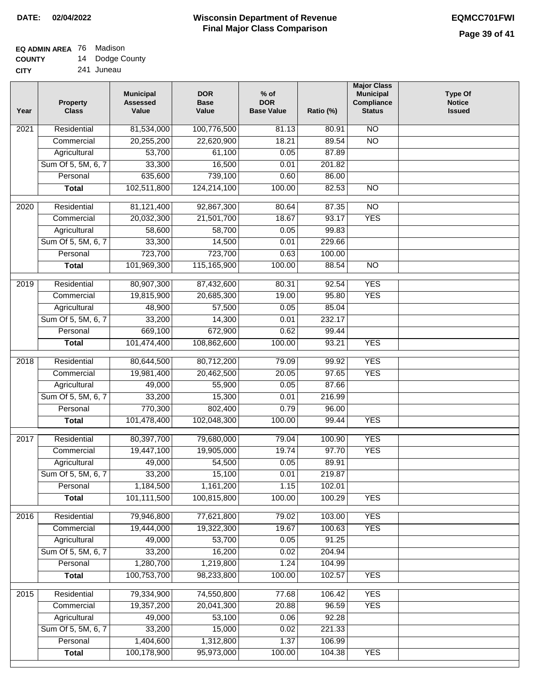#### **Wisconsin Department of Revenue Final Major Class Comparison DATE: 02/04/2022 EQMCC701FWI**

## **EQ ADMIN AREA** 76 Madison **COUNTY**

**CITY** 14 Dodge County 241 Juneau

| Year             | <b>Property</b><br><b>Class</b> | <b>Municipal</b><br><b>Assessed</b><br>Value | <b>DOR</b><br><b>Base</b><br>Value | $%$ of<br><b>DOR</b><br><b>Base Value</b> | Ratio (%) | <b>Major Class</b><br><b>Municipal</b><br>Compliance<br><b>Status</b> | <b>Type Of</b><br><b>Notice</b><br><b>Issued</b> |
|------------------|---------------------------------|----------------------------------------------|------------------------------------|-------------------------------------------|-----------|-----------------------------------------------------------------------|--------------------------------------------------|
| 2021             | Residential                     | 81,534,000                                   | 100,776,500                        | 81.13                                     | 80.91     | <b>NO</b>                                                             |                                                  |
|                  | Commercial                      | 20,255,200                                   | 22,620,900                         | 18.21                                     | 89.54     | $\overline{NO}$                                                       |                                                  |
|                  | Agricultural                    | 53,700                                       | 61,100                             | 0.05                                      | 87.89     |                                                                       |                                                  |
|                  | Sum Of 5, 5M, 6, 7              | 33,300                                       | 16,500                             | 0.01                                      | 201.82    |                                                                       |                                                  |
|                  | Personal                        | 635,600                                      | 739,100                            | 0.60                                      | 86.00     |                                                                       |                                                  |
|                  | <b>Total</b>                    | 102,511,800                                  | 124,214,100                        | 100.00                                    | 82.53     | $\overline{NO}$                                                       |                                                  |
| $\frac{1}{2020}$ | Residential                     | 81,121,400                                   | 92,867,300                         | 80.64                                     | 87.35     | $\overline{10}$                                                       |                                                  |
|                  | Commercial                      | 20,032,300                                   | 21,501,700                         | 18.67                                     | 93.17     | <b>YES</b>                                                            |                                                  |
|                  | Agricultural                    | 58,600                                       | 58,700                             | 0.05                                      | 99.83     |                                                                       |                                                  |
|                  | Sum Of 5, 5M, 6, 7              | 33,300                                       | 14,500                             | 0.01                                      | 229.66    |                                                                       |                                                  |
|                  | Personal                        | 723,700                                      | 723,700                            | 0.63                                      | 100.00    |                                                                       |                                                  |
|                  | <b>Total</b>                    | 101,969,300                                  | 115,165,900                        | 100.00                                    | 88.54     | $\overline{NO}$                                                       |                                                  |
|                  |                                 |                                              |                                    |                                           |           |                                                                       |                                                  |
| 2019             | Residential                     | 80,907,300                                   | 87,432,600                         | 80.31                                     | 92.54     | <b>YES</b>                                                            |                                                  |
|                  | Commercial                      | 19,815,900                                   | 20,685,300                         | 19.00                                     | 95.80     | <b>YES</b>                                                            |                                                  |
|                  | Agricultural                    | 48,900                                       | 57,500                             | 0.05                                      | 85.04     |                                                                       |                                                  |
|                  | Sum Of 5, 5M, 6, 7              | 33,200                                       | 14,300                             | 0.01                                      | 232.17    |                                                                       |                                                  |
|                  | Personal                        | 669,100                                      | 672,900                            | 0.62                                      | 99.44     |                                                                       |                                                  |
|                  | <b>Total</b>                    | 101,474,400                                  | 108,862,600                        | 100.00                                    | 93.21     | <b>YES</b>                                                            |                                                  |
| 2018             | Residential                     | 80,644,500                                   | 80,712,200                         | 79.09                                     | 99.92     | <b>YES</b>                                                            |                                                  |
|                  | Commercial                      | 19,981,400                                   | 20,462,500                         | 20.05                                     | 97.65     | <b>YES</b>                                                            |                                                  |
|                  | Agricultural                    | 49,000                                       | 55,900                             | 0.05                                      | 87.66     |                                                                       |                                                  |
|                  | Sum Of 5, 5M, 6, 7              | 33,200                                       | 15,300                             | 0.01                                      | 216.99    |                                                                       |                                                  |
|                  | Personal                        | 770,300                                      | 802,400                            | 0.79                                      | 96.00     |                                                                       |                                                  |
|                  | <b>Total</b>                    | 101,478,400                                  | 102,048,300                        | 100.00                                    | 99.44     | <b>YES</b>                                                            |                                                  |
| 2017             | Residential                     | 80,397,700                                   | 79,680,000                         | 79.04                                     | 100.90    | <b>YES</b>                                                            |                                                  |
|                  | Commercial                      | 19,447,100                                   | 19,905,000                         | 19.74                                     | 97.70     | <b>YES</b>                                                            |                                                  |
|                  | Agricultural                    | 49,000                                       | 54,500                             | 0.05                                      | 89.91     |                                                                       |                                                  |
|                  | Sum Of 5, 5M, 6, 7              | 33,200                                       | 15,100                             | 0.01                                      | 219.87    |                                                                       |                                                  |
|                  | Personal                        | 1,184,500                                    | 1,161,200                          | 1.15                                      | 102.01    |                                                                       |                                                  |
|                  | <b>Total</b>                    | 101,111,500                                  | 100,815,800                        | 100.00                                    | 100.29    | <b>YES</b>                                                            |                                                  |
| 2016             | Residential                     | 79,946,800                                   | 77,621,800                         | 79.02                                     | 103.00    | <b>YES</b>                                                            |                                                  |
|                  | Commercial                      | 19,444,000                                   | 19,322,300                         | 19.67                                     | 100.63    | <b>YES</b>                                                            |                                                  |
|                  | Agricultural                    | 49,000                                       | 53,700                             | 0.05                                      | 91.25     |                                                                       |                                                  |
|                  | Sum Of 5, 5M, 6, 7              | 33,200                                       | 16,200                             | 0.02                                      | 204.94    |                                                                       |                                                  |
|                  | Personal                        | 1,280,700                                    | 1,219,800                          | 1.24                                      | 104.99    |                                                                       |                                                  |
|                  |                                 | 100,753,700                                  | 98,233,800                         | 100.00                                    | 102.57    | <b>YES</b>                                                            |                                                  |
|                  | <b>Total</b>                    |                                              |                                    |                                           |           |                                                                       |                                                  |
| 2015             | Residential                     | 79,334,900                                   | 74,550,800                         | 77.68                                     | 106.42    | <b>YES</b>                                                            |                                                  |
|                  | Commercial                      | 19,357,200                                   | 20,041,300                         | 20.88                                     | 96.59     | <b>YES</b>                                                            |                                                  |
|                  | Agricultural                    | 49,000                                       | 53,100                             | 0.06                                      | 92.28     |                                                                       |                                                  |
|                  | Sum Of 5, 5M, 6, 7              | 33,200                                       | 15,000                             | 0.02                                      | 221.33    |                                                                       |                                                  |
|                  | Personal                        | 1,404,600                                    | 1,312,800                          | 1.37                                      | 106.99    |                                                                       |                                                  |
|                  | <b>Total</b>                    | 100,178,900                                  | 95,973,000                         | 100.00                                    | 104.38    | <b>YES</b>                                                            |                                                  |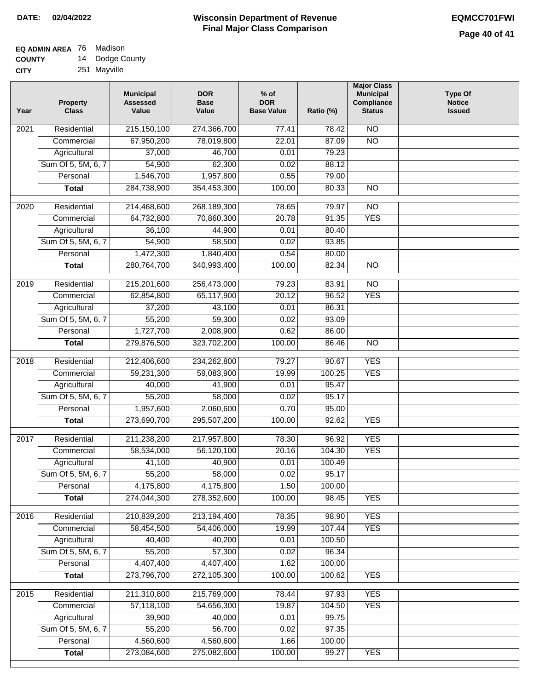#### **EQ ADMIN AREA** 76 Madison **COUNTY** 14 Dodge County

**CITY** 251 Mayville

| Year              | <b>Property</b><br><b>Class</b> | <b>Municipal</b><br><b>Assessed</b><br>Value | <b>DOR</b><br><b>Base</b><br>Value | $%$ of<br><b>DOR</b><br><b>Base Value</b> | Ratio (%)        | <b>Major Class</b><br><b>Municipal</b><br>Compliance<br><b>Status</b> | <b>Type Of</b><br><b>Notice</b><br><b>Issued</b> |
|-------------------|---------------------------------|----------------------------------------------|------------------------------------|-------------------------------------------|------------------|-----------------------------------------------------------------------|--------------------------------------------------|
| $\overline{202}1$ | Residential                     | 215,150,100                                  | 274,366,700                        | 77.41                                     | 78.42            | N <sub>O</sub>                                                        |                                                  |
|                   | Commercial                      | 67,950,200                                   | 78,019,800                         | 22.01                                     | 87.09            | $\overline{NO}$                                                       |                                                  |
|                   | Agricultural                    | 37,000                                       | 46,700                             | 0.01                                      | 79.23            |                                                                       |                                                  |
|                   | Sum Of 5, 5M, 6, 7              | 54,900                                       | 62,300                             | 0.02                                      | 88.12            |                                                                       |                                                  |
|                   | Personal                        | 1,546,700                                    | 1,957,800                          | 0.55                                      | 79.00            |                                                                       |                                                  |
|                   | <b>Total</b>                    | 284,738,900                                  | 354,453,300                        | 100.00                                    | 80.33            | $\overline{NO}$                                                       |                                                  |
| $\overline{2020}$ | Residential                     | 214,468,600                                  | 268,189,300                        | 78.65                                     | 79.97            | $\overline{NO}$                                                       |                                                  |
|                   | Commercial                      | 64,732,800                                   | 70,860,300                         | 20.78                                     | 91.35            | <b>YES</b>                                                            |                                                  |
|                   | Agricultural                    | 36,100                                       | 44,900                             | 0.01                                      | 80.40            |                                                                       |                                                  |
|                   | Sum Of 5, 5M, 6, 7              | 54,900                                       | 58,500                             | 0.02                                      | 93.85            |                                                                       |                                                  |
|                   | Personal                        | 1,472,300                                    | 1,840,400                          | 0.54                                      | 80.00            |                                                                       |                                                  |
|                   | <b>Total</b>                    | 280,764,700                                  | 340,993,400                        | 100.00                                    | 82.34            | $\overline{NO}$                                                       |                                                  |
|                   |                                 |                                              |                                    |                                           |                  |                                                                       |                                                  |
| 2019              | Residential                     | 215,201,600                                  | 256,473,000                        | 79.23                                     | 83.91            | $\overline{10}$                                                       |                                                  |
|                   | Commercial                      | 62,854,800                                   | 65,117,900                         | 20.12                                     | 96.52            | <b>YES</b>                                                            |                                                  |
|                   | Agricultural                    | 37,200                                       | 43,100                             | 0.01                                      | 86.31            |                                                                       |                                                  |
|                   | Sum Of 5, 5M, 6, 7              | 55,200                                       | 59,300                             | 0.02                                      | 93.09            |                                                                       |                                                  |
|                   | Personal                        | 1,727,700                                    | 2,008,900                          | 0.62                                      | 86.00            | $\overline{NO}$                                                       |                                                  |
|                   | <b>Total</b>                    | 279,876,500                                  | 323,702,200                        | 100.00                                    | 86.46            |                                                                       |                                                  |
| 2018              | Residential                     | 212,406,600                                  | 234,262,800                        | 79.27                                     | 90.67            | <b>YES</b>                                                            |                                                  |
|                   | Commercial                      | 59,231,300                                   | 59,083,900                         | 19.99                                     | 100.25           | <b>YES</b>                                                            |                                                  |
|                   | Agricultural                    | 40,000                                       | 41,900                             | 0.01                                      | 95.47            |                                                                       |                                                  |
|                   | Sum Of 5, 5M, 6, 7              | 55,200                                       | 58,000                             | 0.02                                      | 95.17            |                                                                       |                                                  |
|                   | Personal                        | 1,957,600                                    | 2,060,600                          | 0.70                                      | 95.00            |                                                                       |                                                  |
|                   | <b>Total</b>                    | 273,690,700                                  | 295,507,200                        | 100.00                                    | 92.62            | <b>YES</b>                                                            |                                                  |
| 2017              | Residential                     | 211,238,200                                  | 217,957,800                        | 78.30                                     | 96.92            | <b>YES</b>                                                            |                                                  |
|                   | Commercial                      | 58,534,000                                   | 56,120,100                         | 20.16                                     | 104.30           | <b>YES</b>                                                            |                                                  |
|                   | Agricultural                    | 41,100                                       | 40,900                             | 0.01                                      | 100.49           |                                                                       |                                                  |
|                   | Sum Of 5, 5M, 6, 7              | 55,200                                       | 58,000                             | 0.02                                      | 95.17            |                                                                       |                                                  |
|                   | Personal                        | 4,175,800                                    | 4,175,800                          | 1.50                                      | 100.00           |                                                                       |                                                  |
|                   | <b>Total</b>                    | 274,044,300                                  | 278,352,600                        | 100.00                                    | 98.45            | <b>YES</b>                                                            |                                                  |
|                   |                                 |                                              |                                    |                                           |                  |                                                                       |                                                  |
| 2016              | Residential                     | 210,839,200                                  | 213,194,400                        | 78.35                                     | 98.90            | <b>YES</b>                                                            |                                                  |
|                   | Commercial<br>Agricultural      | 58,454,500<br>40,400                         | 54,406,000<br>40,200               | 19.99<br>0.01                             | 107.44<br>100.50 | <b>YES</b>                                                            |                                                  |
|                   | Sum Of 5, 5M, 6, 7              | 55,200                                       | 57,300                             | 0.02                                      | 96.34            |                                                                       |                                                  |
|                   | Personal                        | 4,407,400                                    | 4,407,400                          | 1.62                                      | 100.00           |                                                                       |                                                  |
|                   | <b>Total</b>                    | 273,796,700                                  | 272,105,300                        | 100.00                                    | 100.62           | <b>YES</b>                                                            |                                                  |
|                   |                                 |                                              |                                    |                                           |                  |                                                                       |                                                  |
| 2015              | Residential                     | 211,310,800                                  | 215,769,000                        | 78.44                                     | 97.93            | <b>YES</b>                                                            |                                                  |
|                   | Commercial                      | 57,118,100                                   | 54,656,300                         | 19.87                                     | 104.50           | <b>YES</b>                                                            |                                                  |
|                   | Agricultural                    | 39,900                                       | 40,000                             | 0.01                                      | 99.75            |                                                                       |                                                  |
|                   | Sum Of 5, 5M, 6, 7              | 55,200                                       | 56,700                             | 0.02                                      | 97.35            |                                                                       |                                                  |
|                   | Personal                        | 4,560,600                                    | 4,560,600                          | 1.66                                      | 100.00           |                                                                       |                                                  |
|                   | <b>Total</b>                    | 273,084,600                                  | 275,082,600                        | 100.00                                    | 99.27            | <b>YES</b>                                                            |                                                  |